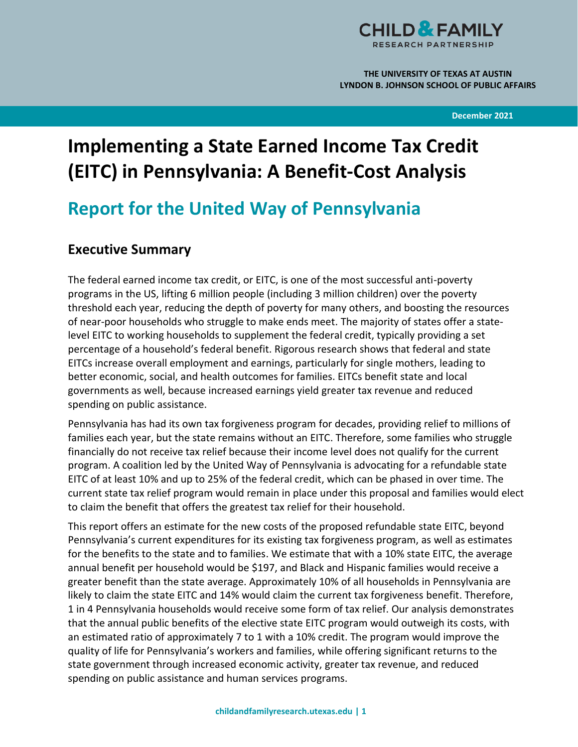

**THE UNIVERSITY OF TEXAS AT AUSTIN LYNDON B. JOHNSON SCHOOL OF PUBLIC AFFAIRS**

**December 2021**

# **Implementing a State Earned Income Tax Credit (EITC) in Pennsylvania: A Benefit-Cost Analysis**

# **Report for the United Way of Pennsylvania**

# **Executive Summary**

The federal earned income tax credit, or EITC, is one of the most successful anti-poverty programs in the US, lifting 6 million people (including 3 million children) over the poverty threshold each year, reducing the depth of poverty for many others, and boosting the resources of near-poor households who struggle to make ends meet. The majority of states offer a statelevel EITC to working households to supplement the federal credit, typically providing a set percentage of a household's federal benefit. Rigorous research shows that federal and state EITCs increase overall employment and earnings, particularly for single mothers, leading to better economic, social, and health outcomes for families. EITCs benefit state and local governments as well, because increased earnings yield greater tax revenue and reduced spending on public assistance.

Pennsylvania has had its own tax forgiveness program for decades, providing relief to millions of families each year, but the state remains without an EITC. Therefore, some families who struggle financially do not receive tax relief because their income level does not qualify for the current program. A coalition led by the United Way of Pennsylvania is advocating for a refundable state EITC of at least 10% and up to 25% of the federal credit, which can be phased in over time. The current state tax relief program would remain in place under this proposal and families would elect to claim the benefit that offers the greatest tax relief for their household.

This report offers an estimate for the new costs of the proposed refundable state EITC, beyond Pennsylvania's current expenditures for its existing tax forgiveness program, as well as estimates for the benefits to the state and to families. We estimate that with a 10% state EITC, the average annual benefit per household would be \$197, and Black and Hispanic families would receive a greater benefit than the state average. Approximately 10% of all households in Pennsylvania are likely to claim the state EITC and 14% would claim the current tax forgiveness benefit. Therefore, 1 in 4 Pennsylvania households would receive some form of tax relief. Our analysis demonstrates that the annual public benefits of the elective state EITC program would outweigh its costs, with an estimated ratio of approximately 7 to 1 with a 10% credit. The program would improve the quality of life for Pennsylvania's workers and families, while offering significant returns to the state government through increased economic activity, greater tax revenue, and reduced spending on public assistance and human services programs.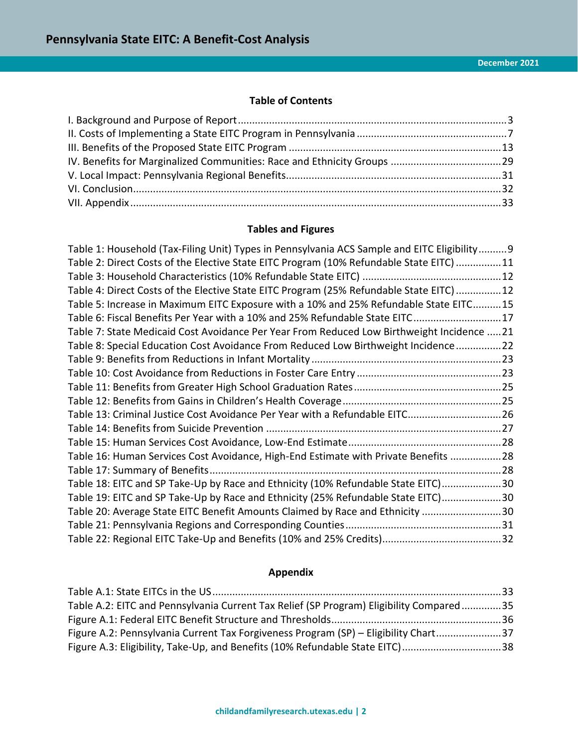# **Table of Contents**

# **Tables and Figures**

| Table 1: Household (Tax-Filing Unit) Types in Pennsylvania ACS Sample and EITC Eligibility 9 |  |
|----------------------------------------------------------------------------------------------|--|
| Table 2: Direct Costs of the Elective State EITC Program (10% Refundable State EITC) 11      |  |
|                                                                                              |  |
| Table 4: Direct Costs of the Elective State EITC Program (25% Refundable State EITC) 12      |  |
| Table 5: Increase in Maximum EITC Exposure with a 10% and 25% Refundable State EITC15        |  |
| Table 6: Fiscal Benefits Per Year with a 10% and 25% Refundable State EITC17                 |  |
| Table 7: State Medicaid Cost Avoidance Per Year From Reduced Low Birthweight Incidence 21    |  |
| Table 8: Special Education Cost Avoidance From Reduced Low Birthweight Incidence22           |  |
|                                                                                              |  |
|                                                                                              |  |
|                                                                                              |  |
|                                                                                              |  |
| Table 13: Criminal Justice Cost Avoidance Per Year with a Refundable EITC26                  |  |
|                                                                                              |  |
|                                                                                              |  |
| Table 16: Human Services Cost Avoidance, High-End Estimate with Private Benefits 28          |  |
|                                                                                              |  |
| Table 18: EITC and SP Take-Up by Race and Ethnicity (10% Refundable State EITC)30            |  |
| Table 19: EITC and SP Take-Up by Race and Ethnicity (25% Refundable State EITC)30            |  |
| Table 20: Average State EITC Benefit Amounts Claimed by Race and Ethnicity 30                |  |
|                                                                                              |  |
|                                                                                              |  |

# **Appendix**

| Table A.2: EITC and Pennsylvania Current Tax Relief (SP Program) Eligibility Compared35 |  |
|-----------------------------------------------------------------------------------------|--|
|                                                                                         |  |
| Figure A.2: Pennsylvania Current Tax Forgiveness Program (SP) - Eligibility Chart37     |  |
| Figure A.3: Eligibility, Take-Up, and Benefits (10% Refundable State EITC)38            |  |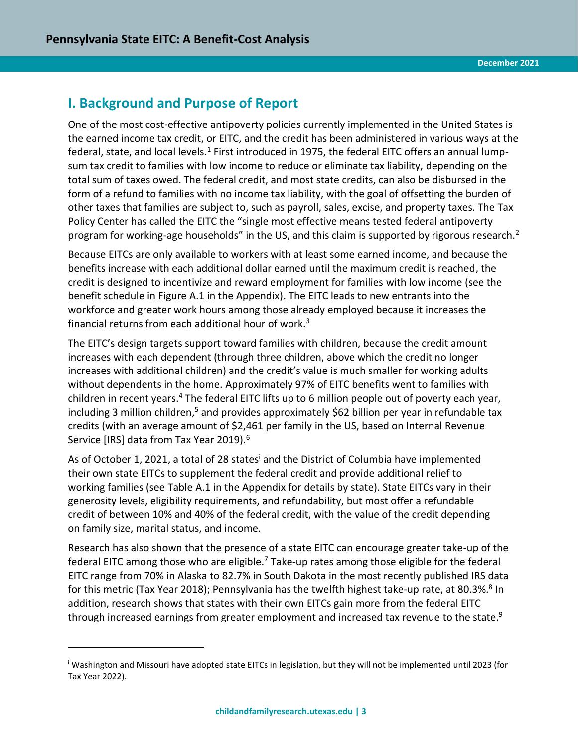# <span id="page-2-0"></span>**I. Background and Purpose of Report**

 $\overline{a}$ 

One of the most cost-effective antipoverty policies currently implemented in the United States is the earned income tax credit, or EITC, and the credit has been administered in various ways at the federal, state, and local levels.<sup>1</sup> First introduced in 1975, the federal EITC offers an annual lumpsum tax credit to families with low income to reduce or eliminate tax liability, depending on the total sum of taxes owed. The federal credit, and most state credits, can also be disbursed in the form of a refund to families with no income tax liability, with the goal of offsetting the burden of other taxes that families are subject to, such as payroll, sales, excise, and property taxes. The Tax Policy Center has called the EITC the "single most effective means tested federal antipoverty program for working-age households" in the US, and this claim is supported by rigorous research.<sup>2</sup>

Because EITCs are only available to workers with at least some earned income, and because the benefits increase with each additional dollar earned until the maximum credit is reached, the credit is designed to incentivize and reward employment for families with low income (see the benefit schedule in Figure A.1 in the Appendix). The EITC leads to new entrants into the workforce and greater work hours among those already employed because it increases the financial returns from each additional hour of work. $3$ 

The EITC's design targets support toward families with children, because the credit amount increases with each dependent (through three children, above which the credit no longer increases with additional children) and the credit's value is much smaller for working adults without dependents in the home. Approximately 97% of EITC benefits went to families with children in recent years.<sup>4</sup> The federal EITC lifts up to 6 million people out of poverty each year, including 3 million children,<sup>5</sup> and provides approximately \$62 billion per year in refundable tax credits (with an average amount of \$2,461 per family in the US, based on Internal Revenue Service [IRS] data from Tax Year 2019).<sup>6</sup>

As of October 1, 2021, a total of 28 states<sup>i</sup> and the District of Columbia have implemented their own state EITCs to supplement the federal credit and provide additional relief to working families (see Table A.1 in the Appendix for details by state). State EITCs vary in their generosity levels, eligibility requirements, and refundability, but most offer a refundable credit of between 10% and 40% of the federal credit, with the value of the credit depending on family size, marital status, and income.

Research has also shown that the presence of a state EITC can encourage greater take-up of the federal EITC among those who are eligible.<sup>7</sup> Take-up rates among those eligible for the federal EITC range from 70% in Alaska to 82.7% in South Dakota in the most recently published IRS data for this metric (Tax Year 2018); Pennsylvania has the twelfth highest take-up rate, at 80.3%.<sup>8</sup> In addition, research shows that states with their own EITCs gain more from the federal EITC through increased earnings from greater employment and increased tax revenue to the state.<sup>9</sup>

<sup>i</sup> Washington and Missouri have adopted state EITCs in legislation, but they will not be implemented until 2023 (for Tax Year 2022).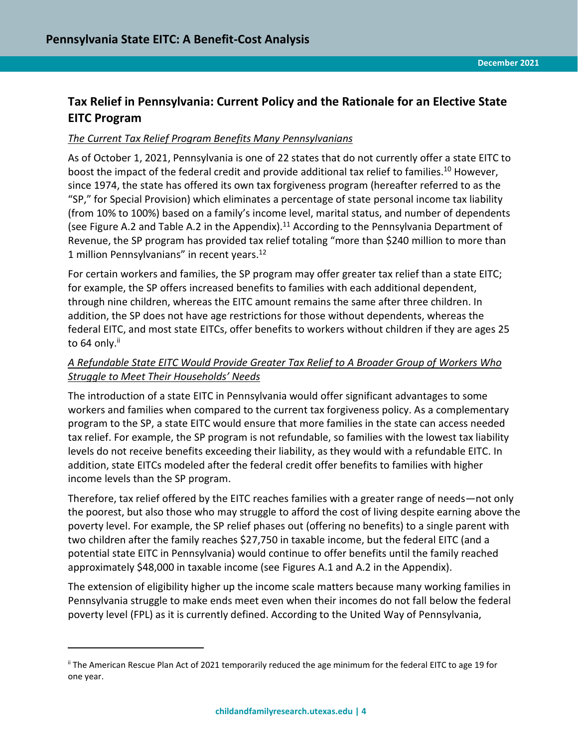# **Tax Relief in Pennsylvania: Current Policy and the Rationale for an Elective State EITC Program**

#### *The Current Tax Relief Program Benefits Many Pennsylvanians*

As of October 1, 2021, Pennsylvania is one of 22 states that do not currently offer a state EITC to boost the impact of the federal credit and provide additional tax relief to families.<sup>10</sup> However, since 1974, the state has offered its own tax forgiveness program (hereafter referred to as the "SP," for Special Provision) which eliminates a percentage of state personal income tax liability (from 10% to 100%) based on a family's income level, marital status, and number of dependents (see Figure A.2 and Table A.2 in the Appendix).<sup>11</sup> According to the Pennsylvania Department of Revenue, the SP program has provided tax relief totaling "more than \$240 million to more than 1 million Pennsylvanians" in recent years.<sup>12</sup>

For certain workers and families, the SP program may offer greater tax relief than a state EITC; for example, the SP offers increased benefits to families with each additional dependent, through nine children, whereas the EITC amount remains the same after three children. In addition, the SP does not have age restrictions for those without dependents, whereas the federal EITC, and most state EITCs, offer benefits to workers without children if they are ages 25 to 64 only.<sup>ii</sup>

# *A Refundable State EITC Would Provide Greater Tax Relief to A Broader Group of Workers Who Struggle to Meet Their Households' Needs*

The introduction of a state EITC in Pennsylvania would offer significant advantages to some workers and families when compared to the current tax forgiveness policy. As a complementary program to the SP, a state EITC would ensure that more families in the state can access needed tax relief. For example, the SP program is not refundable, so families with the lowest tax liability levels do not receive benefits exceeding their liability, as they would with a refundable EITC. In addition, state EITCs modeled after the federal credit offer benefits to families with higher income levels than the SP program.

Therefore, tax relief offered by the EITC reaches families with a greater range of needs—not only the poorest, but also those who may struggle to afford the cost of living despite earning above the poverty level. For example, the SP relief phases out (offering no benefits) to a single parent with two children after the family reaches \$27,750 in taxable income, but the federal EITC (and a potential state EITC in Pennsylvania) would continue to offer benefits until the family reached approximately \$48,000 in taxable income (see Figures A.1 and A.2 in the Appendix).

The extension of eligibility higher up the income scale matters because many working families in Pennsylvania struggle to make ends meet even when their incomes do not fall below the federal poverty level (FPL) as it is currently defined. According to the United Way of Pennsylvania,

 $\overline{a}$ 

ii The American Rescue Plan Act of 2021 temporarily reduced the age minimum for the federal EITC to age 19 for one year.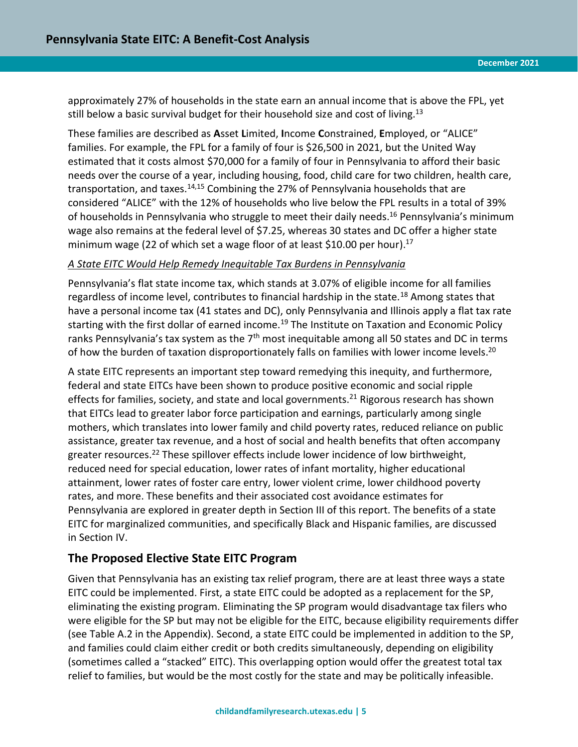approximately 27% of households in the state earn an annual income that is above the FPL, yet still below a basic survival budget for their household size and cost of living.<sup>13</sup>

These families are described as **A**sset **L**imited, **I**ncome **C**onstrained, **E**mployed, or "ALICE" families. For example, the FPL for a family of four is \$26,500 in 2021, but the United Way estimated that it costs almost \$70,000 for a family of four in Pennsylvania to afford their basic needs over the course of a year, including housing, food, child care for two children, health care, transportation, and taxes.<sup>14,15</sup> Combining the 27% of Pennsylvania households that are considered "ALICE" with the 12% of households who live below the FPL results in a total of 39% of households in Pennsylvania who struggle to meet their daily needs.<sup>16</sup> Pennsylvania's minimum wage also remains at the federal level of \$7.25, whereas 30 states and DC offer a higher state minimum wage (22 of which set a wage floor of at least \$10.00 per hour).<sup>17</sup>

#### *A State EITC Would Help Remedy Inequitable Tax Burdens in Pennsylvania*

Pennsylvania's flat state income tax, which stands at 3.07% of eligible income for all families regardless of income level, contributes to financial hardship in the state.<sup>18</sup> Among states that have a personal income tax (41 states and DC), only Pennsylvania and Illinois apply a flat tax rate starting with the first dollar of earned income.<sup>19</sup> The Institute on Taxation and Economic Policy ranks Pennsylvania's tax system as the 7<sup>th</sup> most inequitable among all 50 states and DC in terms of how the burden of taxation disproportionately falls on families with lower income levels.<sup>20</sup>

A state EITC represents an important step toward remedying this inequity, and furthermore, federal and state EITCs have been shown to produce positive economic and social ripple effects for families, society, and state and local governments.<sup>21</sup> Rigorous research has shown that EITCs lead to greater labor force participation and earnings, particularly among single mothers, which translates into lower family and child poverty rates, reduced reliance on public assistance, greater tax revenue, and a host of social and health benefits that often accompany greater resources.<sup>22</sup> These spillover effects include lower incidence of low birthweight, reduced need for special education, lower rates of infant mortality, higher educational attainment, lower rates of foster care entry, lower violent crime, lower childhood poverty rates, and more. These benefits and their associated cost avoidance estimates for Pennsylvania are explored in greater depth in Section III of this report. The benefits of a state EITC for marginalized communities, and specifically Black and Hispanic families, are discussed in Section IV.

# **The Proposed Elective State EITC Program**

Given that Pennsylvania has an existing tax relief program, there are at least three ways a state EITC could be implemented. First, a state EITC could be adopted as a replacement for the SP, eliminating the existing program. Eliminating the SP program would disadvantage tax filers who were eligible for the SP but may not be eligible for the EITC, because eligibility requirements differ (see Table A.2 in the Appendix). Second, a state EITC could be implemented in addition to the SP, and families could claim either credit or both credits simultaneously, depending on eligibility (sometimes called a "stacked" EITC). This overlapping option would offer the greatest total tax relief to families, but would be the most costly for the state and may be politically infeasible.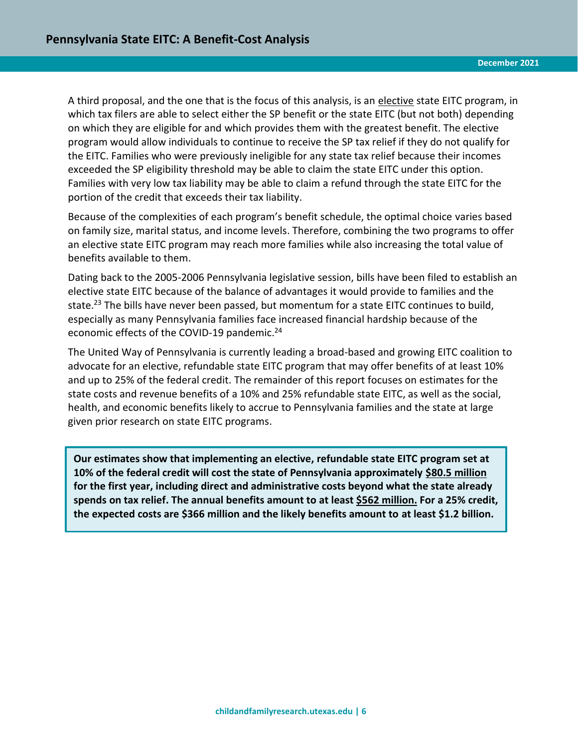A third proposal, and the one that is the focus of this analysis, is an elective state EITC program, in which tax filers are able to select either the SP benefit or the state EITC (but not both) depending on which they are eligible for and which provides them with the greatest benefit. The elective program would allow individuals to continue to receive the SP tax relief if they do not qualify for the EITC. Families who were previously ineligible for any state tax relief because their incomes exceeded the SP eligibility threshold may be able to claim the state EITC under this option. Families with very low tax liability may be able to claim a refund through the state EITC for the portion of the credit that exceeds their tax liability.

Because of the complexities of each program's benefit schedule, the optimal choice varies based on family size, marital status, and income levels. Therefore, combining the two programs to offer an elective state EITC program may reach more families while also increasing the total value of benefits available to them.

Dating back to the 2005-2006 Pennsylvania legislative session, bills have been filed to establish an elective state EITC because of the balance of advantages it would provide to families and the state.<sup>23</sup> The bills have never been passed, but momentum for a state EITC continues to build, especially as many Pennsylvania families face increased financial hardship because of the economic effects of the COVID-19 pandemic.<sup>24</sup>

The United Way of Pennsylvania is currently leading a broad-based and growing EITC coalition to advocate for an elective, refundable state EITC program that may offer benefits of at least 10% and up to 25% of the federal credit. The remainder of this report focuses on estimates for the state costs and revenue benefits of a 10% and 25% refundable state EITC, as well as the social, health, and economic benefits likely to accrue to Pennsylvania families and the state at large given prior research on state EITC programs.

**Our estimates show that implementing an elective, refundable state EITC program set at 10% of the federal credit will cost the state of Pennsylvania approximately \$80.5 million for the first year, including direct and administrative costs beyond what the state already spends on tax relief. The annual benefits amount to at least \$562 million. For a 25% credit, the expected costs are \$366 million and the likely benefits amount to at least \$1.2 billion.**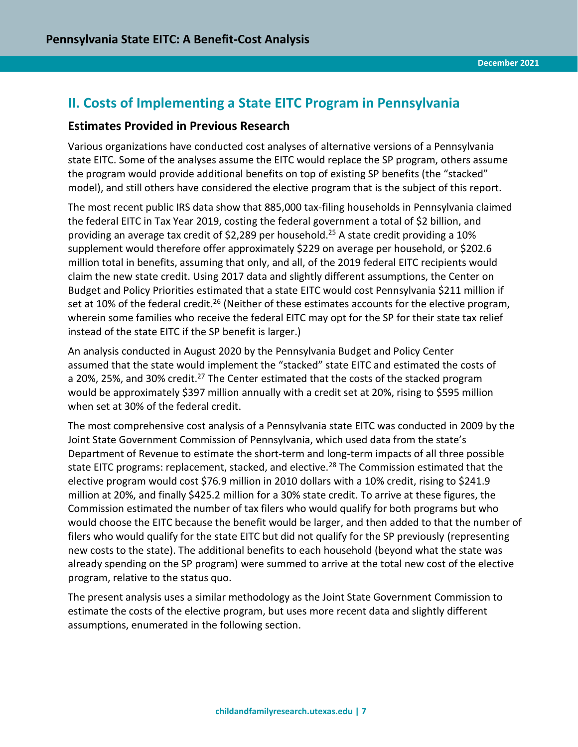# <span id="page-6-0"></span>**II. Costs of Implementing a State EITC Program in Pennsylvania**

## **Estimates Provided in Previous Research**

Various organizations have conducted cost analyses of alternative versions of a Pennsylvania state EITC. Some of the analyses assume the EITC would replace the SP program, others assume the program would provide additional benefits on top of existing SP benefits (the "stacked" model), and still others have considered the elective program that is the subject of this report.

The most recent public IRS data show that 885,000 tax-filing households in Pennsylvania claimed the federal EITC in Tax Year 2019, costing the federal government a total of \$2 billion, and providing an average tax credit of \$2,289 per household.<sup>25</sup> A state credit providing a 10% supplement would therefore offer approximately \$229 on average per household, or \$202.6 million total in benefits, assuming that only, and all, of the 2019 federal EITC recipients would claim the new state credit. Using 2017 data and slightly different assumptions, the Center on Budget and Policy Priorities estimated that a state EITC would cost Pennsylvania \$211 million if set at 10% of the federal credit.<sup>26</sup> (Neither of these estimates accounts for the elective program, wherein some families who receive the federal EITC may opt for the SP for their state tax relief instead of the state EITC if the SP benefit is larger.)

An analysis conducted in August 2020 by the Pennsylvania Budget and Policy Center assumed that the state would implement the "stacked" state EITC and estimated the costs of a 20%, 25%, and 30% credit.<sup>27</sup> The Center estimated that the costs of the stacked program would be approximately \$397 million annually with a credit set at 20%, rising to \$595 million when set at 30% of the federal credit.

The most comprehensive cost analysis of a Pennsylvania state EITC was conducted in 2009 by the Joint State Government Commission of Pennsylvania, which used data from the state's Department of Revenue to estimate the short-term and long-term impacts of all three possible state EITC programs: replacement, stacked, and elective.<sup>28</sup> The Commission estimated that the elective program would cost \$76.9 million in 2010 dollars with a 10% credit, rising to \$241.9 million at 20%, and finally \$425.2 million for a 30% state credit. To arrive at these figures, the Commission estimated the number of tax filers who would qualify for both programs but who would choose the EITC because the benefit would be larger, and then added to that the number of filers who would qualify for the state EITC but did not qualify for the SP previously (representing new costs to the state). The additional benefits to each household (beyond what the state was already spending on the SP program) were summed to arrive at the total new cost of the elective program, relative to the status quo.

The present analysis uses a similar methodology as the Joint State Government Commission to estimate the costs of the elective program, but uses more recent data and slightly different assumptions, enumerated in the following section.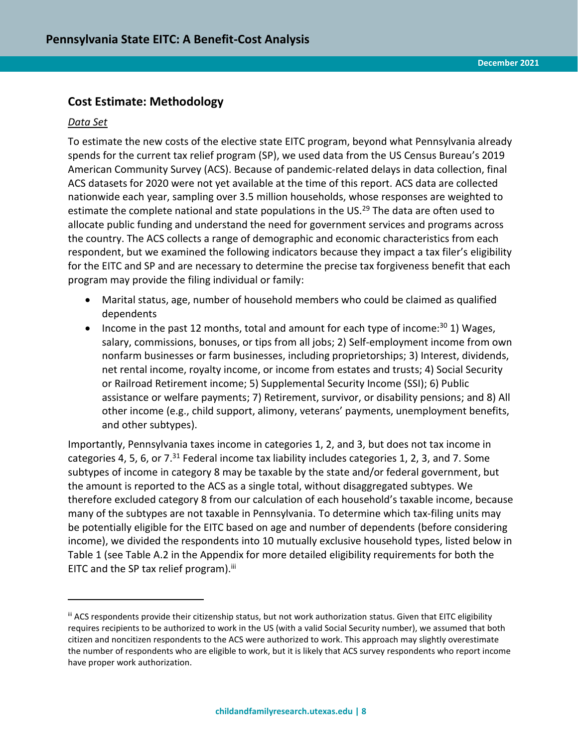# **Cost Estimate: Methodology**

#### *Data Set*

 $\overline{a}$ 

To estimate the new costs of the elective state EITC program, beyond what Pennsylvania already spends for the current tax relief program (SP), we used data from the US Census Bureau's 2019 American Community Survey (ACS). Because of pandemic-related delays in data collection, final ACS datasets for 2020 were not yet available at the time of this report. ACS data are collected nationwide each year, sampling over 3.5 million households, whose responses are weighted to estimate the complete national and state populations in the US.<sup>29</sup> The data are often used to allocate public funding and understand the need for government services and programs across the country. The ACS collects a range of demographic and economic characteristics from each respondent, but we examined the following indicators because they impact a tax filer's eligibility for the EITC and SP and are necessary to determine the precise tax forgiveness benefit that each program may provide the filing individual or family:

- Marital status, age, number of household members who could be claimed as qualified dependents
- Income in the past 12 months, total and amount for each type of income: $30$  1) Wages, salary, commissions, bonuses, or tips from all jobs; 2) Self-employment income from own nonfarm businesses or farm businesses, including proprietorships; 3) Interest, dividends, net rental income, royalty income, or income from estates and trusts; 4) Social Security or Railroad Retirement income; 5) Supplemental Security Income (SSI); 6) Public assistance or welfare payments; 7) Retirement, survivor, or disability pensions; and 8) All other income (e.g., child support, alimony, veterans' payments, unemployment benefits, and other subtypes).

Importantly, Pennsylvania taxes income in categories 1, 2, and 3, but does not tax income in categories 4, 5, 6, or 7.<sup>31</sup> Federal income tax liability includes categories 1, 2, 3, and 7. Some subtypes of income in category 8 may be taxable by the state and/or federal government, but the amount is reported to the ACS as a single total, without disaggregated subtypes. We therefore excluded category 8 from our calculation of each household's taxable income, because many of the subtypes are not taxable in Pennsylvania. To determine which tax-filing units may be potentially eligible for the EITC based on age and number of dependents (before considering income), we divided the respondents into 10 mutually exclusive household types, listed below in Table 1 (see Table A.2 in the Appendix for more detailed eligibility requirements for both the EITC and the SP tax relief program).<sup>iii</sup>

iii ACS respondents provide their citizenship status, but not work authorization status. Given that EITC eligibility requires recipients to be authorized to work in the US (with a valid Social Security number), we assumed that both citizen and noncitizen respondents to the ACS were authorized to work. This approach may slightly overestimate the number of respondents who are eligible to work, but it is likely that ACS survey respondents who report income have proper work authorization.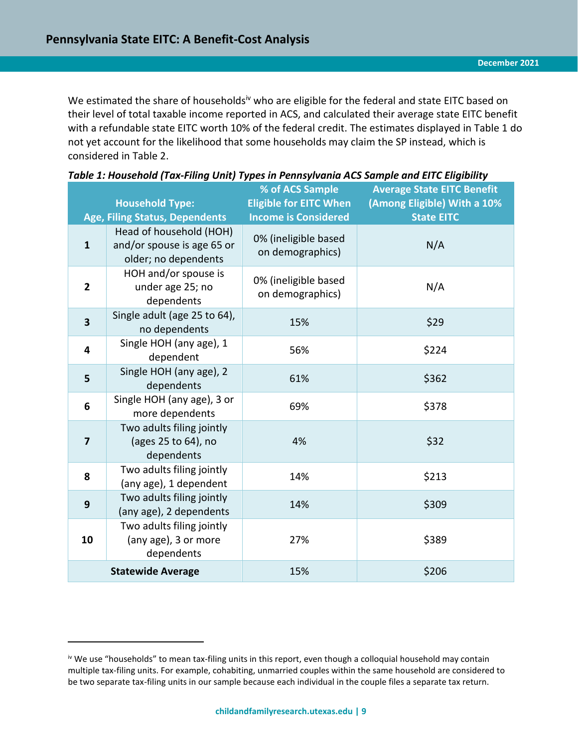We estimated the share of households<sup>iv</sup> who are eligible for the federal and state EITC based on their level of total taxable income reported in ACS, and calculated their average state EITC benefit with a refundable state EITC worth 10% of the federal credit. The estimates displayed in Table 1 do not yet account for the likelihood that some households may claim the SP instead, which is considered in Table 2.

|                         | <b>Household Type:</b><br><b>Age, Filing Status, Dependents</b>               | % of ACS Sample<br><b>Eligible for EITC When</b><br><b>Income is Considered</b> | <b>Average State EITC Benefit</b><br>(Among Eligible) With a 10%<br><b>State EITC</b> |
|-------------------------|-------------------------------------------------------------------------------|---------------------------------------------------------------------------------|---------------------------------------------------------------------------------------|
| $\mathbf{1}$            | Head of household (HOH)<br>and/or spouse is age 65 or<br>older; no dependents | 0% (ineligible based<br>on demographics)                                        | N/A                                                                                   |
| $\overline{2}$          | HOH and/or spouse is<br>under age 25; no<br>dependents                        | 0% (ineligible based<br>on demographics)                                        | N/A                                                                                   |
| $\overline{\mathbf{3}}$ | Single adult (age 25 to 64),<br>no dependents                                 | 15%                                                                             | \$29                                                                                  |
| $\overline{\mathbf{4}}$ | Single HOH (any age), 1<br>dependent                                          | 56%                                                                             | \$224                                                                                 |
| 5                       | Single HOH (any age), 2<br>dependents                                         | 61%                                                                             | \$362                                                                                 |
| $6\phantom{1}6$         | Single HOH (any age), 3 or<br>more dependents                                 | 69%                                                                             | \$378                                                                                 |
| $\overline{7}$          | Two adults filing jointly<br>(ages 25 to 64), no<br>dependents                | 4%                                                                              | \$32                                                                                  |
| 8                       | Two adults filing jointly<br>(any age), 1 dependent                           | 14%                                                                             | \$213                                                                                 |
| $\boldsymbol{9}$        | Two adults filing jointly<br>(any age), 2 dependents                          | 14%                                                                             | \$309                                                                                 |
| 10                      | Two adults filing jointly<br>(any age), 3 or more<br>dependents               | 27%                                                                             | \$389                                                                                 |
|                         | <b>Statewide Average</b>                                                      | 15%                                                                             | \$206                                                                                 |

<span id="page-8-0"></span>

| Table 1: Household (Tax-Filing Unit) Types in Pennsylvania ACS Sample and EITC Eligibility |  |  |
|--------------------------------------------------------------------------------------------|--|--|
|--------------------------------------------------------------------------------------------|--|--|

 $\overline{a}$ 

iv We use "households" to mean tax-filing units in this report, even though a colloquial household may contain multiple tax-filing units. For example, cohabiting, unmarried couples within the same household are considered to be two separate tax-filing units in our sample because each individual in the couple files a separate tax return.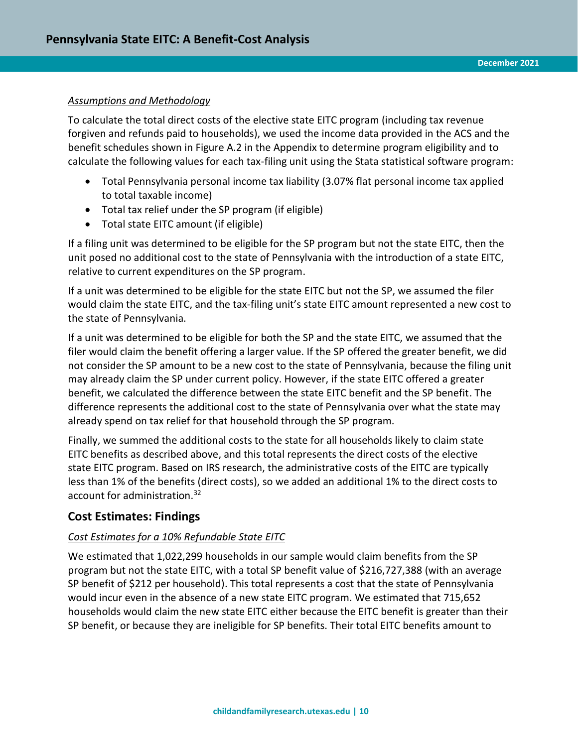#### *Assumptions and Methodology*

To calculate the total direct costs of the elective state EITC program (including tax revenue forgiven and refunds paid to households), we used the income data provided in the ACS and the benefit schedules shown in Figure A.2 in the Appendix to determine program eligibility and to calculate the following values for each tax-filing unit using the Stata statistical software program:

- Total Pennsylvania personal income tax liability (3.07% flat personal income tax applied to total taxable income)
- Total tax relief under the SP program (if eligible)
- Total state EITC amount (if eligible)

If a filing unit was determined to be eligible for the SP program but not the state EITC, then the unit posed no additional cost to the state of Pennsylvania with the introduction of a state EITC, relative to current expenditures on the SP program.

If a unit was determined to be eligible for the state EITC but not the SP, we assumed the filer would claim the state EITC, and the tax-filing unit's state EITC amount represented a new cost to the state of Pennsylvania.

If a unit was determined to be eligible for both the SP and the state EITC, we assumed that the filer would claim the benefit offering a larger value. If the SP offered the greater benefit, we did not consider the SP amount to be a new cost to the state of Pennsylvania, because the filing unit may already claim the SP under current policy. However, if the state EITC offered a greater benefit, we calculated the difference between the state EITC benefit and the SP benefit. The difference represents the additional cost to the state of Pennsylvania over what the state may already spend on tax relief for that household through the SP program.

Finally, we summed the additional costs to the state for all households likely to claim state EITC benefits as described above, and this total represents the direct costs of the elective state EITC program. Based on IRS research, the administrative costs of the EITC are typically less than 1% of the benefits (direct costs), so we added an additional 1% to the direct costs to account for administration.<sup>32</sup>

# **Cost Estimates: Findings**

## *Cost Estimates for a 10% Refundable State EITC*

We estimated that 1,022,299 households in our sample would claim benefits from the SP program but not the state EITC, with a total SP benefit value of \$216,727,388 (with an average SP benefit of \$212 per household). This total represents a cost that the state of Pennsylvania would incur even in the absence of a new state EITC program. We estimated that 715,652 households would claim the new state EITC either because the EITC benefit is greater than their SP benefit, or because they are ineligible for SP benefits. Their total EITC benefits amount to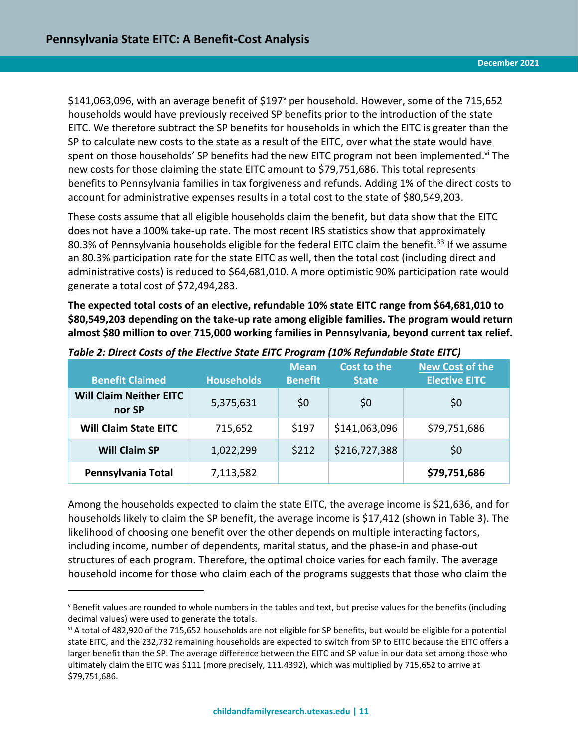$\overline{a}$ 

\$141,063,096, with an average benefit of \$197<sup>v</sup> per household. However, some of the 715,652 households would have previously received SP benefits prior to the introduction of the state EITC. We therefore subtract the SP benefits for households in which the EITC is greater than the SP to calculate new costs to the state as a result of the EITC, over what the state would have spent on those households' SP benefits had the new EITC program not been implemented.<sup>vi</sup> The new costs for those claiming the state EITC amount to \$79,751,686. This total represents benefits to Pennsylvania families in tax forgiveness and refunds. Adding 1% of the direct costs to account for administrative expenses results in a total cost to the state of \$80,549,203.

These costs assume that all eligible households claim the benefit, but data show that the EITC does not have a 100% take-up rate. The most recent IRS statistics show that approximately 80.3% of Pennsylvania households eligible for the federal EITC claim the benefit.<sup>33</sup> If we assume an 80.3% participation rate for the state EITC as well, then the total cost (including direct and administrative costs) is reduced to \$64,681,010. A more optimistic 90% participation rate would generate a total cost of \$72,494,283.

**The expected total costs of an elective, refundable 10% state EITC range from \$64,681,010 to \$80,549,203 depending on the take-up rate among eligible families. The program would return almost \$80 million to over 715,000 working families in Pennsylvania, beyond current tax relief.** 

| <b>Benefit Claimed</b>                   | <b>Households</b> | <b>Mean</b><br><b>Benefit</b> | <b>Cost to the</b><br><b>State</b> | <b>New Cost of the</b><br><b>Elective EITC</b> |
|------------------------------------------|-------------------|-------------------------------|------------------------------------|------------------------------------------------|
| <b>Will Claim Neither EITC</b><br>nor SP | 5,375,631         | \$0                           | \$0                                | \$0                                            |
| <b>Will Claim State EITC</b>             | 715,652           | \$197                         | \$141,063,096                      | \$79,751,686                                   |
| <b>Will Claim SP</b>                     | 1,022,299         | \$212                         | \$216,727,388                      | \$0                                            |
| Pennsylvania Total                       | 7,113,582         |                               |                                    | \$79,751,686                                   |

<span id="page-10-0"></span>*Table 2: Direct Costs of the Elective State EITC Program (10% Refundable State EITC)*

Among the households expected to claim the state EITC, the average income is \$21,636, and for households likely to claim the SP benefit, the average income is \$17,412 (shown in Table 3). The likelihood of choosing one benefit over the other depends on multiple interacting factors, including income, number of dependents, marital status, and the phase-in and phase-out structures of each program. Therefore, the optimal choice varies for each family. The average household income for those who claim each of the programs suggests that those who claim the

<sup>v</sup> Benefit values are rounded to whole numbers in the tables and text, but precise values for the benefits (including decimal values) were used to generate the totals.

vi A total of 482,920 of the 715,652 households are not eligible for SP benefits, but would be eligible for a potential state EITC, and the 232,732 remaining households are expected to switch from SP to EITC because the EITC offers a larger benefit than the SP. The average difference between the EITC and SP value in our data set among those who ultimately claim the EITC was \$111 (more precisely, 111.4392), which was multiplied by 715,652 to arrive at \$79,751,686.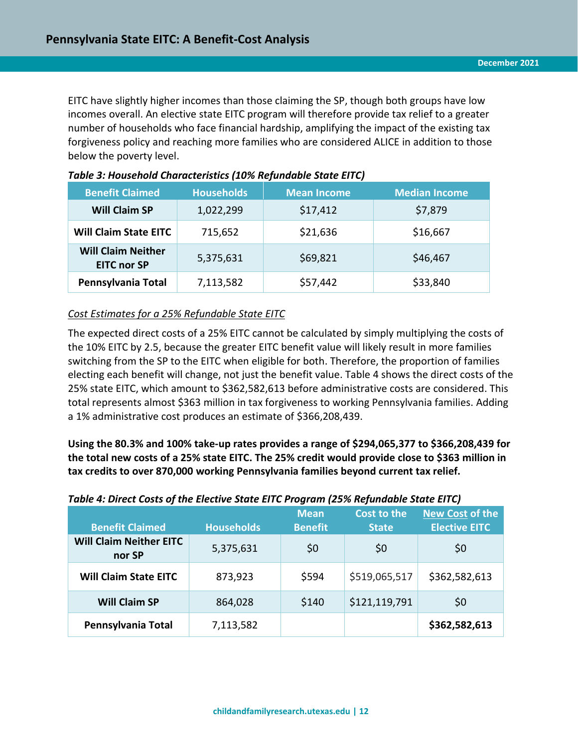EITC have slightly higher incomes than those claiming the SP, though both groups have low incomes overall. An elective state EITC program will therefore provide tax relief to a greater number of households who face financial hardship, amplifying the impact of the existing tax forgiveness policy and reaching more families who are considered ALICE in addition to those below the poverty level.

| <b>Benefit Claimed</b>                          | <b>Households</b> | <b>Mean Income</b> | <b>Median Income</b> |
|-------------------------------------------------|-------------------|--------------------|----------------------|
| <b>Will Claim SP</b>                            | 1,022,299         | \$17,412           | \$7,879              |
| <b>Will Claim State EITC</b>                    | 715,652           | \$21,636           | \$16,667             |
| <b>Will Claim Neither</b><br><b>EITC nor SP</b> | 5,375,631         | \$69,821           | \$46,467             |
| Pennsylvania Total                              | 7,113,582         | \$57,442           | \$33,840             |

#### <span id="page-11-0"></span>*Table 3: Household Characteristics (10% Refundable State EITC)*

## *Cost Estimates for a 25% Refundable State EITC*

The expected direct costs of a 25% EITC cannot be calculated by simply multiplying the costs of the 10% EITC by 2.5, because the greater EITC benefit value will likely result in more families switching from the SP to the EITC when eligible for both. Therefore, the proportion of families electing each benefit will change, not just the benefit value. Table 4 shows the direct costs of the 25% state EITC, which amount to \$362,582,613 before administrative costs are considered. This total represents almost \$363 million in tax forgiveness to working Pennsylvania families. Adding a 1% administrative cost produces an estimate of \$366,208,439.

**Using the 80.3% and 100% take-up rates provides a range of \$294,065,377 to \$366,208,439 for the total new costs of a 25% state EITC. The 25% credit would provide close to \$363 million in tax credits to over 870,000 working Pennsylvania families beyond current tax relief.** 

#### <span id="page-11-1"></span>*Table 4: Direct Costs of the Elective State EITC Program (25% Refundable State EITC)*

| <b>Benefit Claimed</b>                   | <b>Households</b> | <b>Mean</b><br><b>Benefit</b> | Cost to the<br><b>State</b> | <b>New Cost of the</b><br><b>Elective EITC</b> |
|------------------------------------------|-------------------|-------------------------------|-----------------------------|------------------------------------------------|
| <b>Will Claim Neither EITC</b><br>nor SP | 5,375,631         | \$0                           | \$0                         | \$0                                            |
| <b>Will Claim State EITC</b>             | 873,923           | \$594                         | \$519,065,517               | \$362,582,613                                  |
| <b>Will Claim SP</b>                     | 864,028           | \$140                         | \$121,119,791               | \$0                                            |
| Pennsylvania Total                       | 7,113,582         |                               |                             | \$362,582,613                                  |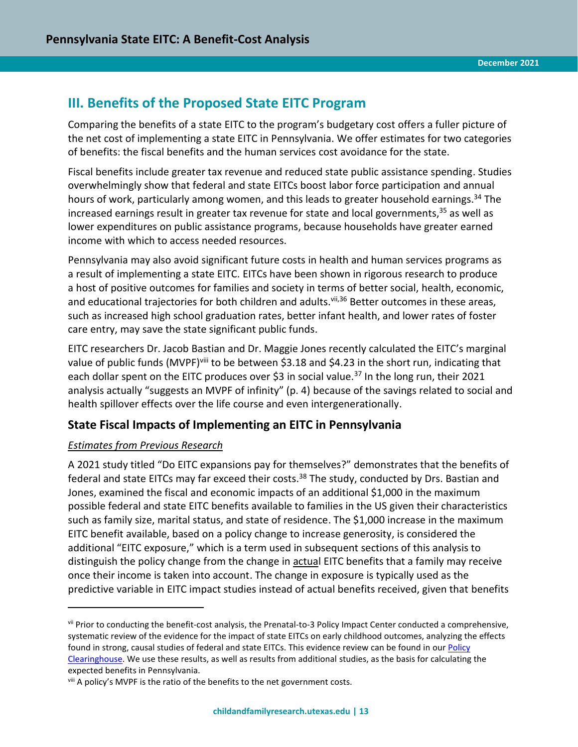# <span id="page-12-0"></span>**III. Benefits of the Proposed State EITC Program**

Comparing the benefits of a state EITC to the program's budgetary cost offers a fuller picture of the net cost of implementing a state EITC in Pennsylvania. We offer estimates for two categories of benefits: the fiscal benefits and the human services cost avoidance for the state.

Fiscal benefits include greater tax revenue and reduced state public assistance spending. Studies overwhelmingly show that federal and state EITCs boost labor force participation and annual hours of work, particularly among women, and this leads to greater household earnings.<sup>34</sup> The increased earnings result in greater tax revenue for state and local governments, <sup>35</sup> as well as lower expenditures on public assistance programs, because households have greater earned income with which to access needed resources.

Pennsylvania may also avoid significant future costs in health and human services programs as a result of implementing a state EITC. EITCs have been shown in rigorous research to produce a host of positive outcomes for families and society in terms of better social, health, economic, and educational trajectories for both children and adults.<sup>vii,36</sup> Better outcomes in these areas, such as increased high school graduation rates, better infant health, and lower rates of foster care entry, may save the state significant public funds.

EITC researchers Dr. Jacob Bastian and Dr. Maggie Jones recently calculated the EITC's marginal value of public funds (MVPF)<sup>viii</sup> to be between \$3.18 and \$4.23 in the short run, indicating that each dollar spent on the EITC produces over \$3 in social value.<sup>37</sup> In the long run, their 2021 analysis actually "suggests an MVPF of infinity" (p. 4) because of the savings related to social and health spillover effects over the life course and even intergenerationally.

# **State Fiscal Impacts of Implementing an EITC in Pennsylvania**

## *Estimates from Previous Research*

 $\overline{a}$ 

A 2021 study titled "Do EITC expansions pay for themselves?" demonstrates that the benefits of federal and state EITCs may far exceed their costs.<sup>38</sup> The study, conducted by Drs. Bastian and Jones, examined the fiscal and economic impacts of an additional \$1,000 in the maximum possible federal and state EITC benefits available to families in the US given their characteristics such as family size, marital status, and state of residence. The \$1,000 increase in the maximum EITC benefit available, based on a policy change to increase generosity, is considered the additional "EITC exposure," which is a term used in subsequent sections of this analysis to distinguish the policy change from the change in actual EITC benefits that a family may receive once their income is taken into account. The change in exposure is typically used as the predictive variable in EITC impact studies instead of actual benefits received, given that benefits

vii Prior to conducting the benefit-cost analysis, the Prenatal-to-3 Policy Impact Center conducted a comprehensive, systematic review of the evidence for the impact of state EITCs on early childhood outcomes, analyzing the effects found in strong, causal studies of federal and state EITCs. This evidence review can be found in our Policy [Clearinghouse.](https://pn3policy.org/policy-clearinghouse/2021-state-earned-income-tax-credit/) We use these results, as well as results from additional studies, as the basis for calculating the expected benefits in Pennsylvania.

viii A policy's MVPF is the ratio of the benefits to the net government costs.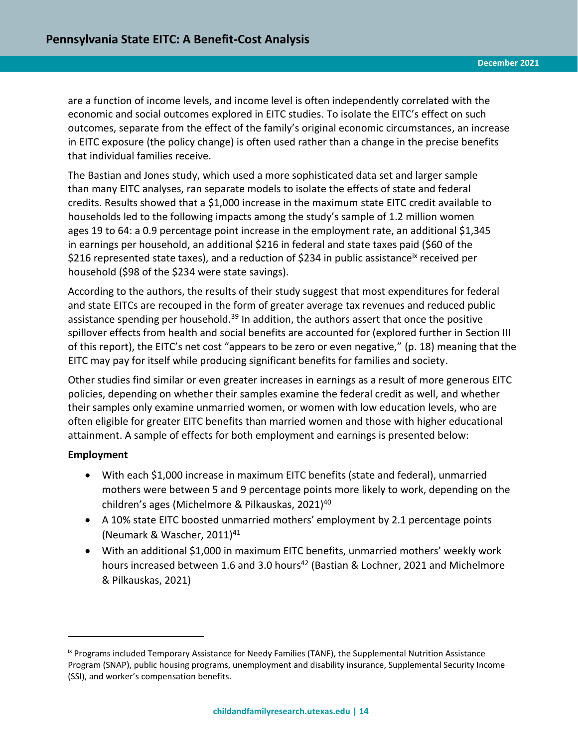are a function of income levels, and income level is often independently correlated with the economic and social outcomes explored in EITC studies. To isolate the EITC's effect on such outcomes, separate from the effect of the family's original economic circumstances, an increase in EITC exposure (the policy change) is often used rather than a change in the precise benefits that individual families receive.

The Bastian and Jones study, which used a more sophisticated data set and larger sample than many EITC analyses, ran separate models to isolate the effects of state and federal credits. Results showed that a \$1,000 increase in the maximum state EITC credit available to households led to the following impacts among the study's sample of 1.2 million women ages 19 to 64: a 0.9 percentage point increase in the employment rate, an additional \$1,345 in earnings per household, an additional \$216 in federal and state taxes paid (\$60 of the \$216 represented state taxes), and a reduction of \$234 in public assistance<sup>ix</sup> received per household (\$98 of the \$234 were state savings).

According to the authors, the results of their study suggest that most expenditures for federal and state EITCs are recouped in the form of greater average tax revenues and reduced public assistance spending per household.<sup>39</sup> In addition, the authors assert that once the positive spillover effects from health and social benefits are accounted for (explored further in Section III of this report), the EITC's net cost "appears to be zero or even negative," (p. 18) meaning that the EITC may pay for itself while producing significant benefits for families and society.

Other studies find similar or even greater increases in earnings as a result of more generous EITC policies, depending on whether their samples examine the federal credit as well, and whether their samples only examine unmarried women, or women with low education levels, who are often eligible for greater EITC benefits than married women and those with higher educational attainment. A sample of effects for both employment and earnings is presented below:

## **Employment**

 $\overline{a}$ 

- With each \$1,000 increase in maximum EITC benefits (state and federal), unmarried mothers were between 5 and 9 percentage points more likely to work, depending on the children's ages (Michelmore & Pilkauskas, 2021)<sup>40</sup>
- A 10% state EITC boosted unmarried mothers' employment by 2.1 percentage points (Neumark & Wascher, 2011)<sup>41</sup>
- With an additional \$1,000 in maximum EITC benefits, unmarried mothers' weekly work hours increased between 1.6 and 3.0 hours<sup>42</sup> (Bastian & Lochner, 2021 and Michelmore & Pilkauskas, 2021)

ix Programs included Temporary Assistance for Needy Families (TANF), the Supplemental Nutrition Assistance Program (SNAP), public housing programs, unemployment and disability insurance, Supplemental Security Income (SSI), and worker's compensation benefits.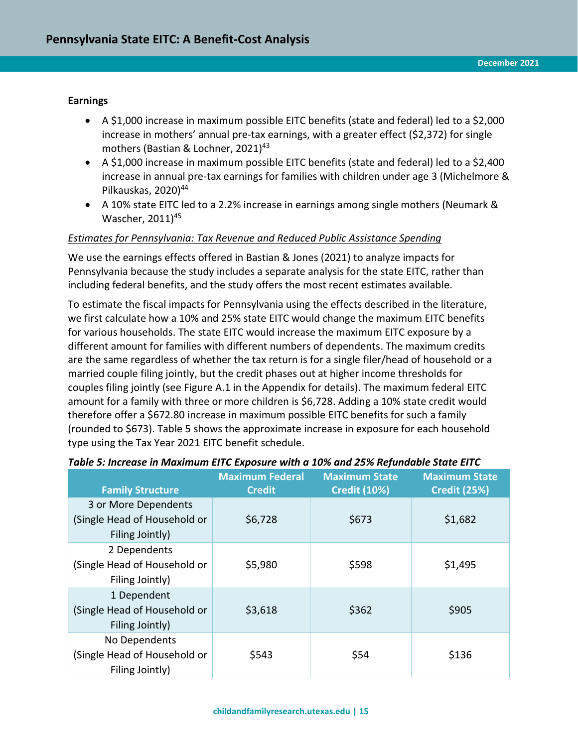#### **Earnings**

- A \$1,000 increase in maximum possible EITC benefits (state and federal) led to a \$2,000 increase in mothers' annual pre-tax earnings, with a greater effect (\$2,372) for single mothers (Bastian & Lochner, 2021)<sup>43</sup>
- A \$1,000 increase in maximum possible EITC benefits (state and federal) led to a \$2,400 increase in annual pre-tax earnings for families with children under age 3 (Michelmore & Pilkauskas, 2020)<sup>44</sup>
- A 10% state EITC led to a 2.2% increase in earnings among single mothers (Neumark & Wascher, 2011)<sup>45</sup>

#### *Estimates for Pennsylvania: Tax Revenue and Reduced Public Assistance Spending*

We use the earnings effects offered in Bastian & Jones (2021) to analyze impacts for Pennsylvania because the study includes a separate analysis for the state EITC, rather than including federal benefits, and the study offers the most recent estimates available.

To estimate the fiscal impacts for Pennsylvania using the effects described in the literature, we first calculate how a 10% and 25% state EITC would change the maximum EITC benefits for various households. The state EITC would increase the maximum EITC exposure by a different amount for families with different numbers of dependents. The maximum credits are the same regardless of whether the tax return is for a single filer/head of household or a married couple filing jointly, but the credit phases out at higher income thresholds for couples filing jointly (see Figure A.1 in the Appendix for details). The maximum federal EITC amount for a family with three or more children is \$6,728. Adding a 10% state credit would therefore offer a \$672.80 increase in maximum possible EITC benefits for such a family (rounded to \$673). Table 5 shows the approximate increase in exposure for each household type using the Tax Year 2021 EITC benefit schedule.

| <b>Family Structure</b>                                                 | <b>Maximum Federal</b><br><b>Credit</b> | <b>Maximum State</b><br><b>Credit (10%)</b> | <b>Maximum State</b><br><b>Credit (25%)</b> |
|-------------------------------------------------------------------------|-----------------------------------------|---------------------------------------------|---------------------------------------------|
| 3 or More Dependents<br>(Single Head of Household or<br>Filing Jointly) | \$6,728                                 | \$673                                       | \$1,682                                     |
| 2 Dependents<br>(Single Head of Household or<br>Filing Jointly)         | \$5,980                                 | \$598                                       | \$1,495                                     |
| 1 Dependent<br>(Single Head of Household or<br>Filing Jointly)          | \$3,618                                 | \$362                                       | \$905                                       |
| No Dependents<br>(Single Head of Household or<br>Filing Jointly)        | \$543                                   | \$54                                        | \$136                                       |

#### <span id="page-14-0"></span>*Table 5: Increase in Maximum EITC Exposure with a 10% and 25% Refundable State EITC*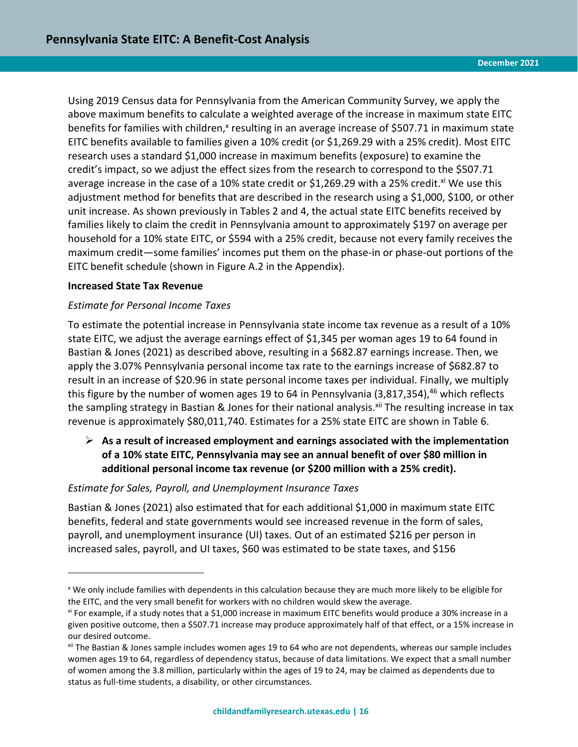Using 2019 Census data for Pennsylvania from the American Community Survey, we apply the above maximum benefits to calculate a weighted average of the increase in maximum state EITC benefits for families with children,<sup>x</sup> resulting in an average increase of \$507.71 in maximum state EITC benefits available to families given a 10% credit (or \$1,269.29 with a 25% credit). Most EITC research uses a standard \$1,000 increase in maximum benefits (exposure) to examine the credit's impact, so we adjust the effect sizes from the research to correspond to the \$507.71 average increase in the case of a 10% state credit or \$1,269.29 with a 25% credit.<sup>xi</sup> We use this adjustment method for benefits that are described in the research using a \$1,000, \$100, or other unit increase. As shown previously in Tables 2 and 4, the actual state EITC benefits received by families likely to claim the credit in Pennsylvania amount to approximately \$197 on average per household for a 10% state EITC, or \$594 with a 25% credit, because not every family receives the maximum credit—some families' incomes put them on the phase-in or phase-out portions of the EITC benefit schedule (shown in Figure A.2 in the Appendix).

#### **Increased State Tax Revenue**

 $\overline{a}$ 

## *Estimate for Personal Income Taxes*

To estimate the potential increase in Pennsylvania state income tax revenue as a result of a 10% state EITC, we adjust the average earnings effect of \$1,345 per woman ages 19 to 64 found in Bastian & Jones (2021) as described above, resulting in a \$682.87 earnings increase. Then, we apply the 3.07% Pennsylvania personal income tax rate to the earnings increase of \$682.87 to result in an increase of \$20.96 in state personal income taxes per individual. Finally, we multiply this figure by the number of women ages 19 to 64 in Pennsylvania (3,817,354),<sup>46</sup> which reflects the sampling strategy in Bastian & Jones for their national analysis.<sup>xii</sup> The resulting increase in tax revenue is approximately \$80,011,740. Estimates for a 25% state EITC are shown in Table 6.

# ➢ **As a result of increased employment and earnings associated with the implementation of a 10% state EITC, Pennsylvania may see an annual benefit of over \$80 million in additional personal income tax revenue (or \$200 million with a 25% credit).**

#### *Estimate for Sales, Payroll, and Unemployment Insurance Taxes*

Bastian & Jones (2021) also estimated that for each additional \$1,000 in maximum state EITC benefits, federal and state governments would see increased revenue in the form of sales, payroll, and unemployment insurance (UI) taxes. Out of an estimated \$216 per person in increased sales, payroll, and UI taxes, \$60 was estimated to be state taxes, and \$156

<sup>x</sup> We only include families with dependents in this calculation because they are much more likely to be eligible for the EITC, and the very small benefit for workers with no children would skew the average.

xi For example, if a study notes that a \$1,000 increase in maximum EITC benefits would produce a 30% increase in a given positive outcome, then a \$507.71 increase may produce approximately half of that effect, or a 15% increase in our desired outcome.

xii The Bastian & Jones sample includes women ages 19 to 64 who are not dependents, whereas our sample includes women ages 19 to 64, regardless of dependency status, because of data limitations. We expect that a small number of women among the 3.8 million, particularly within the ages of 19 to 24, may be claimed as dependents due to status as full-time students, a disability, or other circumstances.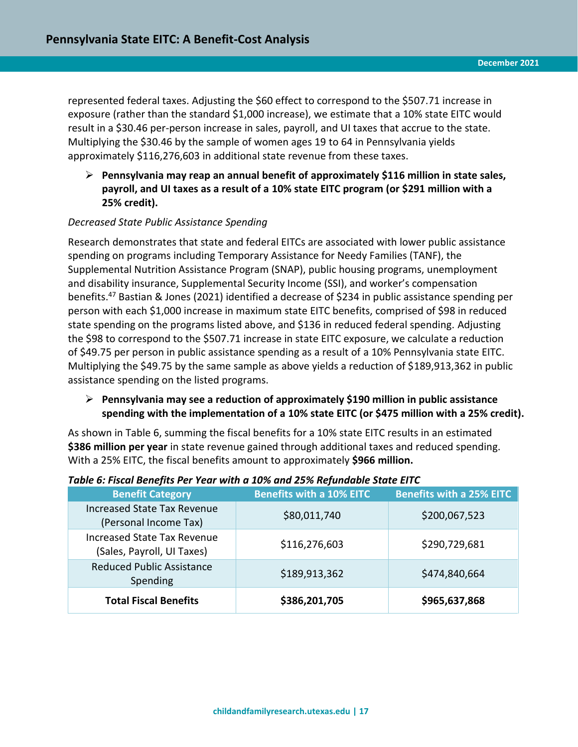represented federal taxes. Adjusting the \$60 effect to correspond to the \$507.71 increase in exposure (rather than the standard \$1,000 increase), we estimate that a 10% state EITC would result in a \$30.46 per-person increase in sales, payroll, and UI taxes that accrue to the state. Multiplying the \$30.46 by the sample of women ages 19 to 64 in Pennsylvania yields approximately \$116,276,603 in additional state revenue from these taxes.

➢ **Pennsylvania may reap an annual benefit of approximately \$116 million in state sales, payroll, and UI taxes as a result of a 10% state EITC program (or \$291 million with a 25% credit).** 

## *Decreased State Public Assistance Spending*

Research demonstrates that state and federal EITCs are associated with lower public assistance spending on programs including Temporary Assistance for Needy Families (TANF), the Supplemental Nutrition Assistance Program (SNAP), public housing programs, unemployment and disability insurance, Supplemental Security Income (SSI), and worker's compensation benefits.<sup>47</sup> Bastian & Jones (2021) identified a decrease of \$234 in public assistance spending per person with each \$1,000 increase in maximum state EITC benefits, comprised of \$98 in reduced state spending on the programs listed above, and \$136 in reduced federal spending. Adjusting the \$98 to correspond to the \$507.71 increase in state EITC exposure, we calculate a reduction of \$49.75 per person in public assistance spending as a result of a 10% Pennsylvania state EITC. Multiplying the \$49.75 by the same sample as above yields a reduction of \$189,913,362 in public assistance spending on the listed programs.

#### ➢ **Pennsylvania may see a reduction of approximately \$190 million in public assistance spending with the implementation of a 10% state EITC (or \$475 million with a 25% credit).**

As shown in Table 6, summing the fiscal benefits for a 10% state EITC results in an estimated **\$386 million per year** in state revenue gained through additional taxes and reduced spending. With a 25% EITC, the fiscal benefits amount to approximately **\$966 million.**

| <b>Benefit Category</b>                                          | <b>Benefits with a 10% EITC</b> | <b>Benefits with a 25% EITC</b> |
|------------------------------------------------------------------|---------------------------------|---------------------------------|
| <b>Increased State Tax Revenue</b><br>(Personal Income Tax)      | \$80,011,740                    | \$200,067,523                   |
| <b>Increased State Tax Revenue</b><br>(Sales, Payroll, UI Taxes) | \$116,276,603                   | \$290,729,681                   |
| <b>Reduced Public Assistance</b><br>Spending                     | \$189,913,362                   | \$474,840,664                   |
| <b>Total Fiscal Benefits</b>                                     | \$386,201,705                   | \$965,637,868                   |

#### <span id="page-16-0"></span>*Table 6: Fiscal Benefits Per Year with a 10% and 25% Refundable State EITC*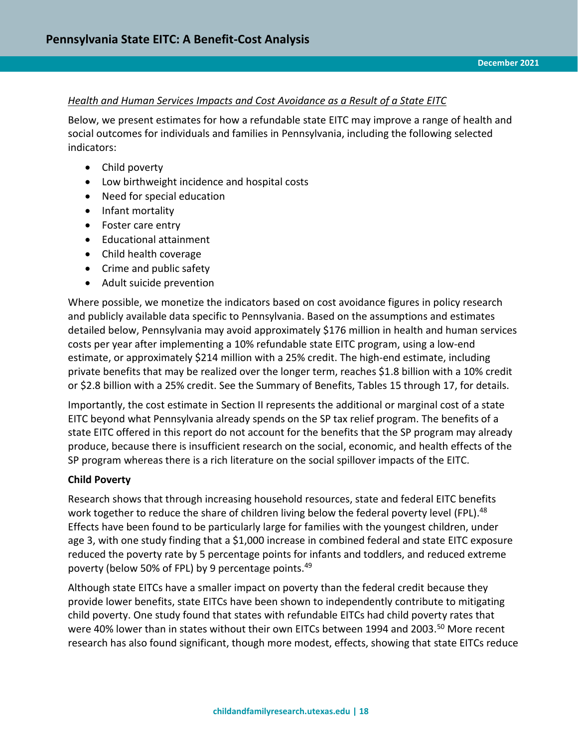### *Health and Human Services Impacts and Cost Avoidance as a Result of a State EITC*

Below, we present estimates for how a refundable state EITC may improve a range of health and social outcomes for individuals and families in Pennsylvania, including the following selected indicators:

- Child poverty
- Low birthweight incidence and hospital costs
- Need for special education
- Infant mortality
- Foster care entry
- Educational attainment
- Child health coverage
- Crime and public safety
- Adult suicide prevention

Where possible, we monetize the indicators based on cost avoidance figures in policy research and publicly available data specific to Pennsylvania. Based on the assumptions and estimates detailed below, Pennsylvania may avoid approximately \$176 million in health and human services costs per year after implementing a 10% refundable state EITC program, using a low-end estimate, or approximately \$214 million with a 25% credit. The high-end estimate, including private benefits that may be realized over the longer term, reaches \$1.8 billion with a 10% credit or \$2.8 billion with a 25% credit. See the Summary of Benefits, Tables 15 through 17, for details.

Importantly, the cost estimate in Section II represents the additional or marginal cost of a state EITC beyond what Pennsylvania already spends on the SP tax relief program. The benefits of a state EITC offered in this report do not account for the benefits that the SP program may already produce, because there is insufficient research on the social, economic, and health effects of the SP program whereas there is a rich literature on the social spillover impacts of the EITC.

#### **Child Poverty**

Research shows that through increasing household resources, state and federal EITC benefits work together to reduce the share of children living below the federal poverty level (FPL).<sup>48</sup> Effects have been found to be particularly large for families with the youngest children, under age 3, with one study finding that a \$1,000 increase in combined federal and state EITC exposure reduced the poverty rate by 5 percentage points for infants and toddlers, and reduced extreme poverty (below 50% of FPL) by 9 percentage points.<sup>49</sup>

Although state EITCs have a smaller impact on poverty than the federal credit because they provide lower benefits, state EITCs have been shown to independently contribute to mitigating child poverty. One study found that states with refundable EITCs had child poverty rates that were 40% lower than in states without their own EITCs between 1994 and 2003.<sup>50</sup> More recent research has also found significant, though more modest, effects, showing that state EITCs reduce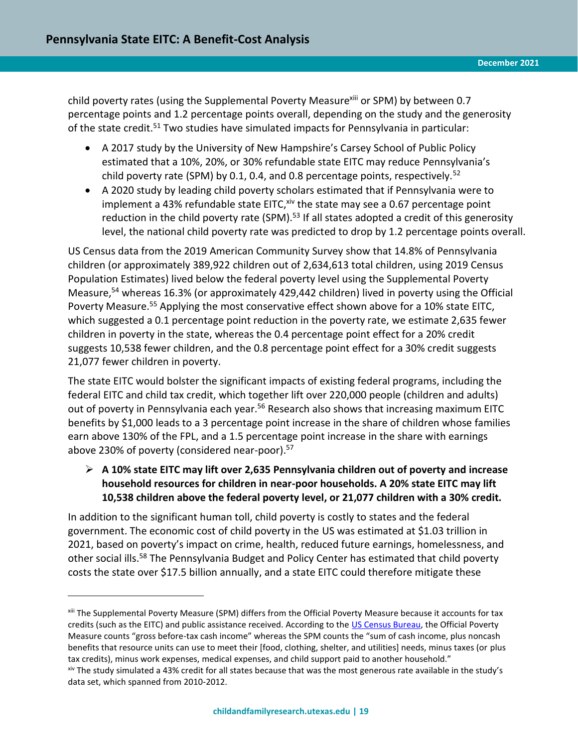$\overline{a}$ 

child poverty rates (using the Supplemental Poverty Measure<sup>xiii</sup> or SPM) by between 0.7 percentage points and 1.2 percentage points overall, depending on the study and the generosity of the state credit.<sup>51</sup> Two studies have simulated impacts for Pennsylvania in particular:

- A 2017 study by the University of New Hampshire's Carsey School of Public Policy estimated that a 10%, 20%, or 30% refundable state EITC may reduce Pennsylvania's child poverty rate (SPM) by 0.1, 0.4, and 0.8 percentage points, respectively.<sup>52</sup>
- A 2020 study by leading child poverty scholars estimated that if Pennsylvania were to implement a 43% refundable state EITC, xiv the state may see a 0.67 percentage point reduction in the child poverty rate (SPM).<sup>53</sup> If all states adopted a credit of this generosity level, the national child poverty rate was predicted to drop by 1.2 percentage points overall.

US Census data from the 2019 American Community Survey show that 14.8% of Pennsylvania children (or approximately 389,922 children out of 2,634,613 total children, using 2019 Census Population Estimates) lived below the federal poverty level using the Supplemental Poverty Measure,<sup>54</sup> whereas 16.3% (or approximately 429,442 children) lived in poverty using the Official Poverty Measure.<sup>55</sup> Applying the most conservative effect shown above for a 10% state EITC, which suggested a 0.1 percentage point reduction in the poverty rate, we estimate 2,635 fewer children in poverty in the state, whereas the 0.4 percentage point effect for a 20% credit suggests 10,538 fewer children, and the 0.8 percentage point effect for a 30% credit suggests 21,077 fewer children in poverty.

The state EITC would bolster the significant impacts of existing federal programs, including the federal EITC and child tax credit, which together lift over 220,000 people (children and adults) out of poverty in Pennsylvania each year.<sup>56</sup> Research also shows that increasing maximum EITC benefits by \$1,000 leads to a 3 percentage point increase in the share of children whose families earn above 130% of the FPL, and a 1.5 percentage point increase in the share with earnings above 230% of poverty (considered near-poor).<sup>57</sup>

➢ **A 10% state EITC may lift over 2,635 Pennsylvania children out of poverty and increase household resources for children in near-poor households. A 20% state EITC may lift 10,538 children above the federal poverty level, or 21,077 children with a 30% credit.** 

In addition to the significant human toll, child poverty is costly to states and the federal government. The economic cost of child poverty in the US was estimated at \$1.03 trillion in 2021, based on poverty's impact on crime, health, reduced future earnings, homelessness, and other social ills.<sup>58</sup> The Pennsylvania Budget and Policy Center has estimated that child poverty costs the state over \$17.5 billion annually, and a state EITC could therefore mitigate these

xiii The Supplemental Poverty Measure (SPM) differs from the Official Poverty Measure because it accounts for tax credits (such as the EITC) and public assistance received. According to the US [Census Bureau,](https://www.census.gov/newsroom/blogs/random-samplings/2021/09/difference-between-supplemental-and-official-poverty-measures.html) the Official Poverty Measure counts "gross before-tax cash income" whereas the SPM counts the "sum of cash income, plus noncash benefits that resource units can use to meet their [food, clothing, shelter, and utilities] needs, minus taxes (or plus tax credits), minus work expenses, medical expenses, and child support paid to another household." xiv The study simulated a 43% credit for all states because that was the most generous rate available in the study's data set, which spanned from 2010-2012.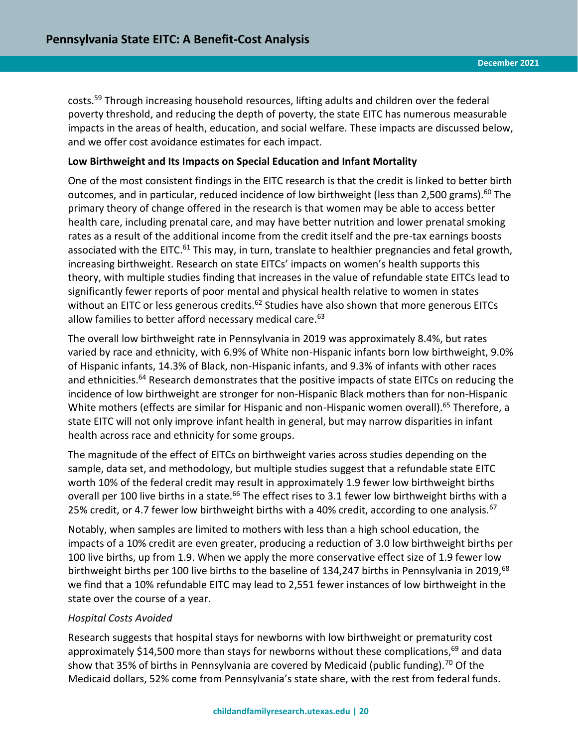costs. <sup>59</sup> Through increasing household resources, lifting adults and children over the federal poverty threshold, and reducing the depth of poverty, the state EITC has numerous measurable impacts in the areas of health, education, and social welfare. These impacts are discussed below, and we offer cost avoidance estimates for each impact.

#### **Low Birthweight and Its Impacts on Special Education and Infant Mortality**

One of the most consistent findings in the EITC research is that the credit is linked to better birth outcomes, and in particular, reduced incidence of low birthweight (less than 2,500 grams).<sup>60</sup> The primary theory of change offered in the research is that women may be able to access better health care, including prenatal care, and may have better nutrition and lower prenatal smoking rates as a result of the additional income from the credit itself and the pre-tax earnings boosts associated with the EITC.<sup>61</sup> This may, in turn, translate to healthier pregnancies and fetal growth, increasing birthweight. Research on state EITCs' impacts on women's health supports this theory, with multiple studies finding that increases in the value of refundable state EITCs lead to significantly fewer reports of poor mental and physical health relative to women in states without an EITC or less generous credits.<sup>62</sup> Studies have also shown that more generous EITCs allow families to better afford necessary medical care.<sup>63</sup>

The overall low birthweight rate in Pennsylvania in 2019 was approximately 8.4%, but rates varied by race and ethnicity, with 6.9% of White non-Hispanic infants born low birthweight, 9.0% of Hispanic infants, 14.3% of Black, non-Hispanic infants, and 9.3% of infants with other races and ethnicities.<sup>64</sup> Research demonstrates that the positive impacts of state EITCs on reducing the incidence of low birthweight are stronger for non-Hispanic Black mothers than for non-Hispanic White mothers (effects are similar for Hispanic and non-Hispanic women overall).<sup>65</sup> Therefore, a state EITC will not only improve infant health in general, but may narrow disparities in infant health across race and ethnicity for some groups.

The magnitude of the effect of EITCs on birthweight varies across studies depending on the sample, data set, and methodology, but multiple studies suggest that a refundable state EITC worth 10% of the federal credit may result in approximately 1.9 fewer low birthweight births overall per 100 live births in a state.<sup>66</sup> The effect rises to 3.1 fewer low birthweight births with a 25% credit, or 4.7 fewer low birthweight births with a 40% credit, according to one analysis.<sup>67</sup>

Notably, when samples are limited to mothers with less than a high school education, the impacts of a 10% credit are even greater, producing a reduction of 3.0 low birthweight births per 100 live births, up from 1.9. When we apply the more conservative effect size of 1.9 fewer low birthweight births per 100 live births to the baseline of 134,247 births in Pennsylvania in 2019,<sup>68</sup> we find that a 10% refundable EITC may lead to 2,551 fewer instances of low birthweight in the state over the course of a year.

#### *Hospital Costs Avoided*

Research suggests that hospital stays for newborns with low birthweight or prematurity cost approximately \$14,500 more than stays for newborns without these complications, $69$  and data show that 35% of births in Pennsylvania are covered by Medicaid (public funding).<sup>70</sup> Of the Medicaid dollars, 52% come from Pennsylvania's state share, with the rest from federal funds.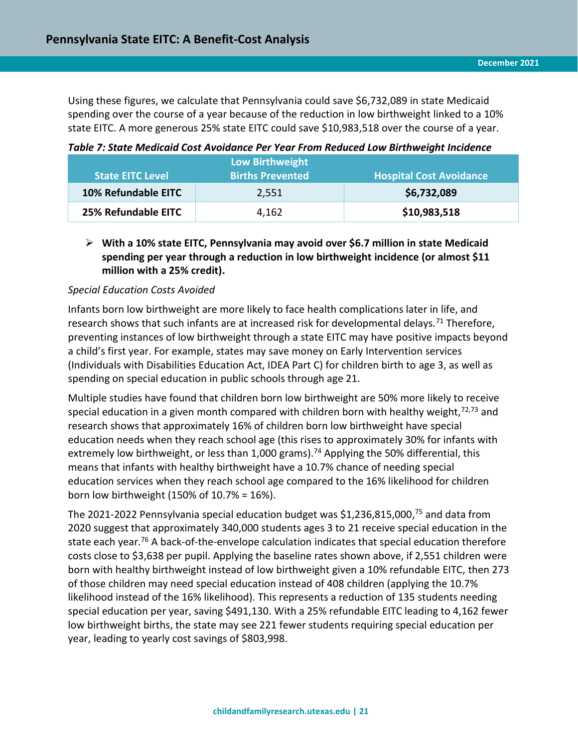Using these figures, we calculate that Pennsylvania could save \$6,732,089 in state Medicaid spending over the course of a year because of the reduction in low birthweight linked to a 10% state EITC. A more generous 25% state EITC could save \$10,983,518 over the course of a year.

|                         | <b>Low Birthweight</b>  |                                |  |
|-------------------------|-------------------------|--------------------------------|--|
| <b>State EITC Level</b> | <b>Births Prevented</b> | <b>Hospital Cost Avoidance</b> |  |
| 10% Refundable EITC     | 2,551                   | \$6,732,089                    |  |
| 25% Refundable EITC     | 4,162                   | \$10,983,518                   |  |

<span id="page-20-0"></span>*Table 7: State Medicaid Cost Avoidance Per Year From Reduced Low Birthweight Incidence*

#### ➢ **With a 10% state EITC, Pennsylvania may avoid over \$6.7 million in state Medicaid spending per year through a reduction in low birthweight incidence (or almost \$11 million with a 25% credit).**

#### *Special Education Costs Avoided*

Infants born low birthweight are more likely to face health complications later in life, and research shows that such infants are at increased risk for developmental delays.<sup>71</sup> Therefore, preventing instances of low birthweight through a state EITC may have positive impacts beyond a child's first year. For example, states may save money on Early Intervention services (Individuals with Disabilities Education Act, IDEA Part C) for children birth to age 3, as well as spending on special education in public schools through age 21.

Multiple studies have found that children born low birthweight are 50% more likely to receive special education in a given month compared with children born with healthy weight, $72,73$  and research shows that approximately 16% of children born low birthweight have special education needs when they reach school age (this rises to approximately 30% for infants with extremely low birthweight, or less than 1,000 grams).<sup>74</sup> Applying the 50% differential, this means that infants with healthy birthweight have a 10.7% chance of needing special education services when they reach school age compared to the 16% likelihood for children born low birthweight (150% of 10.7% = 16%).

The 2021-2022 Pennsylvania special education budget was \$1,236,815,000,<sup>75</sup> and data from 2020 suggest that approximately 340,000 students ages 3 to 21 receive special education in the state each year.<sup>76</sup> A back-of-the-envelope calculation indicates that special education therefore costs close to \$3,638 per pupil. Applying the baseline rates shown above, if 2,551 children were born with healthy birthweight instead of low birthweight given a 10% refundable EITC, then 273 of those children may need special education instead of 408 children (applying the 10.7% likelihood instead of the 16% likelihood). This represents a reduction of 135 students needing special education per year, saving \$491,130. With a 25% refundable EITC leading to 4,162 fewer low birthweight births, the state may see 221 fewer students requiring special education per year, leading to yearly cost savings of \$803,998.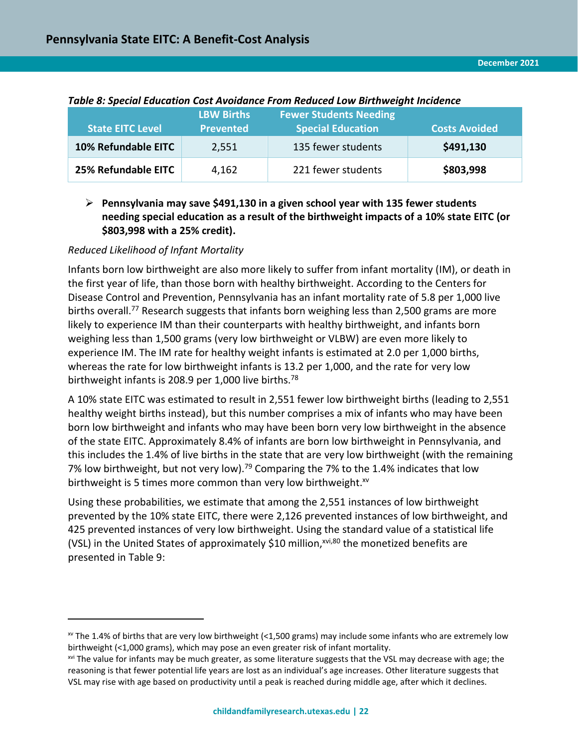| <b>State EITC Level</b> | <b>LBW Births</b><br><b>Prevented</b> | <b>Fewer Students Needing</b><br><b>Special Education</b> | <b>Costs Avoided</b> |
|-------------------------|---------------------------------------|-----------------------------------------------------------|----------------------|
| 10% Refundable EITC     | 2,551                                 | 135 fewer students                                        | \$491,130            |
| 25% Refundable EITC     | 4,162                                 | 221 fewer students                                        | \$803,998            |

#### <span id="page-21-0"></span>*Table 8: Special Education Cost Avoidance From Reduced Low Birthweight Incidence*

# ➢ **Pennsylvania may save \$491,130 in a given school year with 135 fewer students needing special education as a result of the birthweight impacts of a 10% state EITC (or \$803,998 with a 25% credit).**

#### *Reduced Likelihood of Infant Mortality*

 $\overline{a}$ 

Infants born low birthweight are also more likely to suffer from infant mortality (IM), or death in the first year of life, than those born with healthy birthweight. According to the Centers for Disease Control and Prevention, Pennsylvania has an infant mortality rate of 5.8 per 1,000 live births overall.<sup>77</sup> Research suggests that infants born weighing less than 2,500 grams are more likely to experience IM than their counterparts with healthy birthweight, and infants born weighing less than 1,500 grams (very low birthweight or VLBW) are even more likely to experience IM. The IM rate for healthy weight infants is estimated at 2.0 per 1,000 births, whereas the rate for low birthweight infants is 13.2 per 1,000, and the rate for very low birthweight infants is 208.9 per 1,000 live births.<sup>78</sup>

A 10% state EITC was estimated to result in 2,551 fewer low birthweight births (leading to 2,551 healthy weight births instead), but this number comprises a mix of infants who may have been born low birthweight and infants who may have been born very low birthweight in the absence of the state EITC. Approximately 8.4% of infants are born low birthweight in Pennsylvania, and this includes the 1.4% of live births in the state that are very low birthweight (with the remaining 7% low birthweight, but not very low).<sup>79</sup> Comparing the 7% to the 1.4% indicates that low birthweight is 5 times more common than very low birthweight. $x^{y}$ 

Using these probabilities, we estimate that among the 2,551 instances of low birthweight prevented by the 10% state EITC, there were 2,126 prevented instances of low birthweight, and 425 prevented instances of very low birthweight. Using the standard value of a statistical life (VSL) in the United States of approximately \$10 million, $x^{v,i,80}$  the monetized benefits are presented in Table 9:

 $\text{w}$  The 1.4% of births that are very low birthweight (<1,500 grams) may include some infants who are extremely low birthweight (<1,000 grams), which may pose an even greater risk of infant mortality.

<sup>&</sup>lt;sup>xvi</sup> The value for infants may be much greater, as some literature suggests that the VSL may decrease with age; the reasoning is that fewer potential life years are lost as an individual's age increases. Other literature suggests that VSL may rise with age based on productivity until a peak is reached during middle age, after which it declines.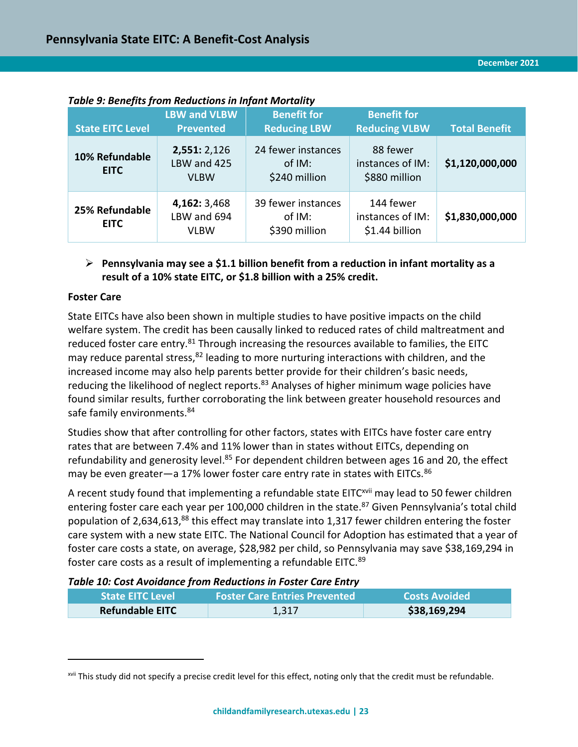| <b>State EITC Level</b>       | <b>LBW and VLBW</b><br><b>Prevented</b>    | <b>Benefit for</b><br><b>Reducing LBW</b>     | <b>Benefit for</b><br><b>Reducing VLBW</b>      | <b>Total Benefit</b> |
|-------------------------------|--------------------------------------------|-----------------------------------------------|-------------------------------------------------|----------------------|
| 10% Refundable<br><b>EITC</b> | 2,551: 2,126<br>LBW and 425<br><b>VLBW</b> | 24 fewer instances<br>of IM:<br>\$240 million | 88 fewer<br>instances of IM:<br>\$880 million   | \$1,120,000,000      |
| 25% Refundable<br><b>EITC</b> | 4,162: 3,468<br>LBW and 694<br><b>VLBW</b> | 39 fewer instances<br>of IM:<br>\$390 million | 144 fewer<br>instances of IM:<br>\$1.44 billion | \$1,830,000,000      |

<span id="page-22-0"></span>*Table 9: Benefits from Reductions in Infant Mortality* 

#### ➢ **Pennsylvania may see a \$1.1 billion benefit from a reduction in infant mortality as a result of a 10% state EITC, or \$1.8 billion with a 25% credit.**

#### **Foster Care**

 $\overline{a}$ 

State EITCs have also been shown in multiple studies to have positive impacts on the child welfare system. The credit has been causally linked to reduced rates of child maltreatment and reduced foster care entry.<sup>81</sup> Through increasing the resources available to families, the EITC may reduce parental stress, <sup>82</sup> leading to more nurturing interactions with children, and the increased income may also help parents better provide for their children's basic needs, reducing the likelihood of neglect reports.<sup>83</sup> Analyses of higher minimum wage policies have found similar results, further corroborating the link between greater household resources and safe family environments.<sup>84</sup>

Studies show that after controlling for other factors, states with EITCs have foster care entry rates that are between 7.4% and 11% lower than in states without EITCs, depending on refundability and generosity level.<sup>85</sup> For dependent children between ages 16 and 20, the effect may be even greater—a 17% lower foster care entry rate in states with EITCs.<sup>86</sup>

A recent study found that implementing a refundable state EITC<sup>xvii</sup> may lead to 50 fewer children entering foster care each year per 100,000 children in the state. <sup>87</sup> Given Pennsylvania's total child population of 2,634,613,<sup>88</sup> this effect may translate into 1,317 fewer children entering the foster care system with a new state EITC. The National Council for Adoption has estimated that a year of foster care costs a state, on average, \$28,982 per child, so Pennsylvania may save \$38,169,294 in foster care costs as a result of implementing a refundable EITC.<sup>89</sup>

#### <span id="page-22-1"></span>*Table 10: Cost Avoidance from Reductions in Foster Care Entry*

| <b>State EITC Level</b> | <b>Foster Care Entries Prevented</b> | <b>Costs Avoided</b> |
|-------------------------|--------------------------------------|----------------------|
| <b>Refundable EITC</b>  | 1,317                                | \$38,169,294         |

xvii This study did not specify a precise credit level for this effect, noting only that the credit must be refundable.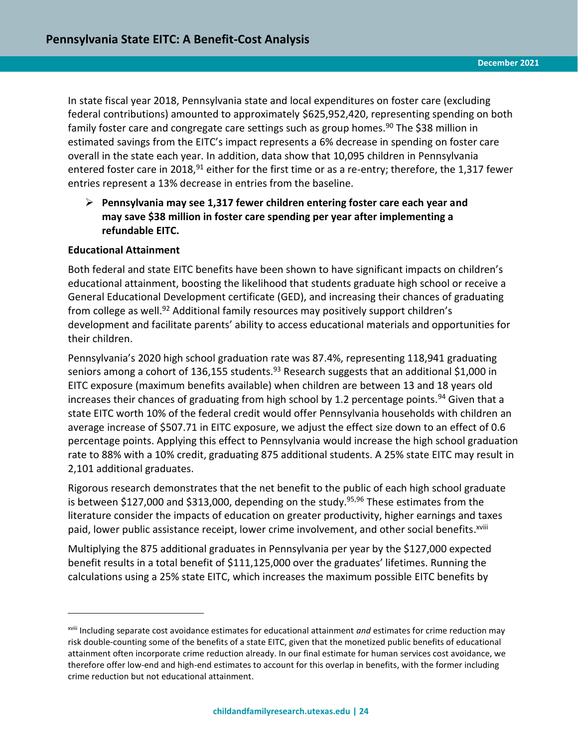In state fiscal year 2018, Pennsylvania state and local expenditures on foster care (excluding federal contributions) amounted to approximately \$625,952,420, representing spending on both family foster care and congregate care settings such as group homes.<sup>90</sup> The \$38 million in estimated savings from the EITC's impact represents a 6% decrease in spending on foster care overall in the state each year. In addition, data show that 10,095 children in Pennsylvania entered foster care in 2018,  $91$  either for the first time or as a re-entry; therefore, the 1,317 fewer entries represent a 13% decrease in entries from the baseline.

# ➢ **Pennsylvania may see 1,317 fewer children entering foster care each year and may save \$38 million in foster care spending per year after implementing a refundable EITC.**

#### **Educational Attainment**

 $\overline{a}$ 

Both federal and state EITC benefits have been shown to have significant impacts on children's educational attainment, boosting the likelihood that students graduate high school or receive a General Educational Development certificate (GED), and increasing their chances of graduating from college as well.<sup>92</sup> Additional family resources may positively support children's development and facilitate parents' ability to access educational materials and opportunities for their children.

Pennsylvania's 2020 high school graduation rate was 87.4%, representing 118,941 graduating seniors among a cohort of 136,155 students.<sup>93</sup> Research suggests that an additional \$1,000 in EITC exposure (maximum benefits available) when children are between 13 and 18 years old increases their chances of graduating from high school by 1.2 percentage points.<sup>94</sup> Given that a state EITC worth 10% of the federal credit would offer Pennsylvania households with children an average increase of \$507.71 in EITC exposure, we adjust the effect size down to an effect of 0.6 percentage points. Applying this effect to Pennsylvania would increase the high school graduation rate to 88% with a 10% credit, graduating 875 additional students. A 25% state EITC may result in 2,101 additional graduates.

Rigorous research demonstrates that the net benefit to the public of each high school graduate is between \$127,000 and \$313,000, depending on the study.<sup>95,96</sup> These estimates from the literature consider the impacts of education on greater productivity, higher earnings and taxes paid, lower public assistance receipt, lower crime involvement, and other social benefits.<sup>xviii</sup>

Multiplying the 875 additional graduates in Pennsylvania per year by the \$127,000 expected benefit results in a total benefit of \$111,125,000 over the graduates' lifetimes. Running the calculations using a 25% state EITC, which increases the maximum possible EITC benefits by

xviii Including separate cost avoidance estimates for educational attainment *and* estimates for crime reduction may risk double-counting some of the benefits of a state EITC, given that the monetized public benefits of educational attainment often incorporate crime reduction already. In our final estimate for human services cost avoidance, we therefore offer low-end and high-end estimates to account for this overlap in benefits, with the former including crime reduction but not educational attainment.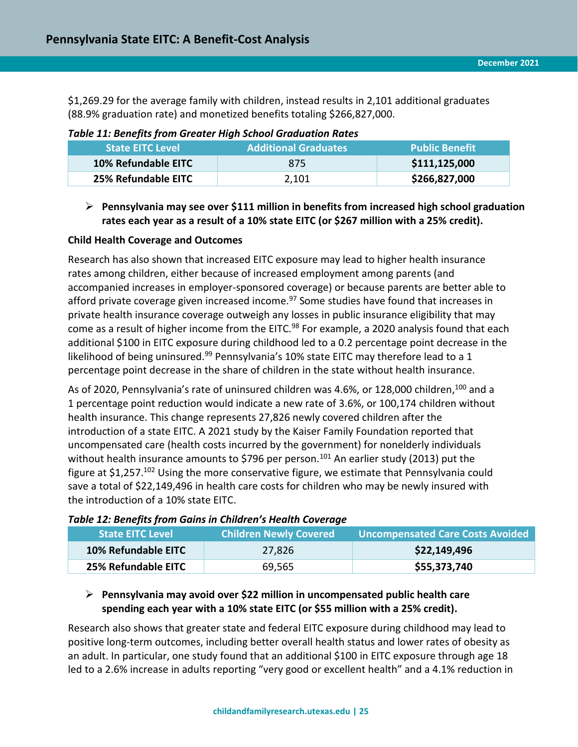\$1,269.29 for the average family with children, instead results in 2,101 additional graduates (88.9% graduation rate) and monetized benefits totaling \$266,827,000.

| <b>State EITC Level</b> | <b>Additional Graduates</b> | <b>Public Benefit</b> |
|-------------------------|-----------------------------|-----------------------|
| 10% Refundable EITC     | 875                         | \$111,125,000         |
| 25% Refundable EITC     | 2,101                       | \$266,827,000         |

<span id="page-24-0"></span>*Table 11: Benefits from Greater High School Graduation Rates*

# ➢ **Pennsylvania may see over \$111 million in benefits from increased high school graduation rates each year as a result of a 10% state EITC (or \$267 million with a 25% credit).**

## **Child Health Coverage and Outcomes**

Research has also shown that increased EITC exposure may lead to higher health insurance rates among children, either because of increased employment among parents (and accompanied increases in employer-sponsored coverage) or because parents are better able to afford private coverage given increased income. $97$  Some studies have found that increases in private health insurance coverage outweigh any losses in public insurance eligibility that may come as a result of higher income from the EITC.<sup>98</sup> For example, a 2020 analysis found that each additional \$100 in EITC exposure during childhood led to a 0.2 percentage point decrease in the likelihood of being uninsured.<sup>99</sup> Pennsylvania's 10% state EITC may therefore lead to a 1 percentage point decrease in the share of children in the state without health insurance.

As of 2020, Pennsylvania's rate of uninsured children was 4.6%, or 128,000 children,<sup>100</sup> and a 1 percentage point reduction would indicate a new rate of 3.6%, or 100,174 children without health insurance. This change represents 27,826 newly covered children after the introduction of a state EITC. A 2021 study by the Kaiser Family Foundation reported that uncompensated care (health costs incurred by the government) for nonelderly individuals without health insurance amounts to \$796 per person.<sup>101</sup> An earlier study (2013) put the figure at \$1,257.<sup>102</sup> Using the more conservative figure, we estimate that Pennsylvania could save a total of \$22,149,496 in health care costs for children who may be newly insured with the introduction of a 10% state EITC.

| <b>State EITC Level</b> | <b>Children Newly Covered</b> | <b>Uncompensated Care Costs Avoided</b> |
|-------------------------|-------------------------------|-----------------------------------------|
| 10% Refundable EITC     | 27,826                        | \$22,149,496                            |
| 25% Refundable EITC     | 69,565                        | \$55,373,740                            |

#### <span id="page-24-1"></span>*Table 12: Benefits from Gains in Children's Health Coverage*

## ➢ **Pennsylvania may avoid over \$22 million in uncompensated public health care spending each year with a 10% state EITC (or \$55 million with a 25% credit).**

Research also shows that greater state and federal EITC exposure during childhood may lead to positive long-term outcomes, including better overall health status and lower rates of obesity as an adult. In particular, one study found that an additional \$100 in EITC exposure through age 18 led to a 2.6% increase in adults reporting "very good or excellent health" and a 4.1% reduction in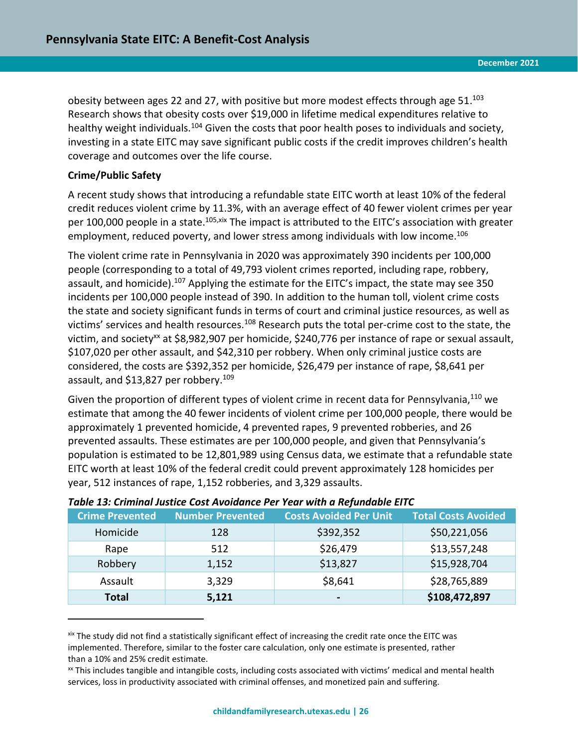obesity between ages 22 and 27, with positive but more modest effects through age 51.<sup>103</sup> Research shows that obesity costs over \$19,000 in lifetime medical expenditures relative to healthy weight individuals.<sup>104</sup> Given the costs that poor health poses to individuals and society, investing in a state EITC may save significant public costs if the credit improves children's health coverage and outcomes over the life course.

#### **Crime/Public Safety**

 $\overline{a}$ 

A recent study shows that introducing a refundable state EITC worth at least 10% of the federal credit reduces violent crime by 11.3%, with an average effect of 40 fewer violent crimes per year per 100,000 people in a state.<sup>105,xix</sup> The impact is attributed to the EITC's association with greater employment, reduced poverty, and lower stress among individuals with low income. 106

The violent crime rate in Pennsylvania in 2020 was approximately 390 incidents per 100,000 people (corresponding to a total of 49,793 violent crimes reported, including rape, robbery, assault, and homicide).<sup>107</sup> Applying the estimate for the EITC's impact, the state may see 350 incidents per 100,000 people instead of 390. In addition to the human toll, violent crime costs the state and society significant funds in terms of court and criminal justice resources, as well as victims' services and health resources.<sup>108</sup> Research puts the total per-crime cost to the state, the victim, and society<sup>xx</sup> at \$8,982,907 per homicide, \$240,776 per instance of rape or sexual assault, \$107,020 per other assault, and \$42,310 per robbery. When only criminal justice costs are considered, the costs are \$392,352 per homicide, \$26,479 per instance of rape, \$8,641 per assault, and \$13,827 per robbery.<sup>109</sup>

Given the proportion of different types of violent crime in recent data for Pennsylvania,<sup>110</sup> we estimate that among the 40 fewer incidents of violent crime per 100,000 people, there would be approximately 1 prevented homicide, 4 prevented rapes, 9 prevented robberies, and 26 prevented assaults. These estimates are per 100,000 people, and given that Pennsylvania's population is estimated to be 12,801,989 using Census data, we estimate that a refundable state EITC worth at least 10% of the federal credit could prevent approximately 128 homicides per year, 512 instances of rape, 1,152 robberies, and 3,329 assaults.

| <b>Crime Prevented</b> | <b>Number Prevented</b> | <b>Costs Avoided Per Unit</b> | <b>Total Costs Avoided</b> |
|------------------------|-------------------------|-------------------------------|----------------------------|
| Homicide               | 128                     | \$392,352                     | \$50,221,056               |
| Rape                   | 512                     | \$26,479                      | \$13,557,248               |
| Robbery                | 1,152                   | \$13,827                      | \$15,928,704               |
| Assault                | 3,329                   | \$8,641                       | \$28,765,889               |
| <b>Total</b>           | 5,121                   | $\overline{\phantom{0}}$      | \$108,472,897              |

#### <span id="page-25-0"></span>*Table 13: Criminal Justice Cost Avoidance Per Year with a Refundable EITC*

xix The study did not find a statistically significant effect of increasing the credit rate once the EITC was implemented. Therefore, similar to the foster care calculation, only one estimate is presented, rather than a 10% and 25% credit estimate.

xx This includes tangible and intangible costs, including costs associated with victims' medical and mental health services, loss in productivity associated with criminal offenses, and monetized pain and suffering.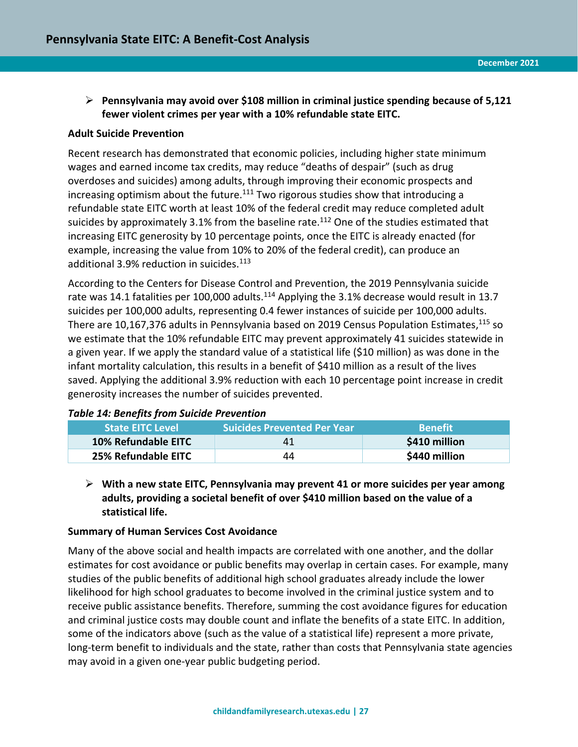# ➢ **Pennsylvania may avoid over \$108 million in criminal justice spending because of 5,121 fewer violent crimes per year with a 10% refundable state EITC.**

#### **Adult Suicide Prevention**

Recent research has demonstrated that economic policies, including higher state minimum wages and earned income tax credits, may reduce "deaths of despair" (such as drug overdoses and suicides) among adults, through improving their economic prospects and increasing optimism about the future.<sup>111</sup> Two rigorous studies show that introducing a refundable state EITC worth at least 10% of the federal credit may reduce completed adult suicides by approximately 3.1% from the baseline rate.<sup>112</sup> One of the studies estimated that increasing EITC generosity by 10 percentage points, once the EITC is already enacted (for example, increasing the value from 10% to 20% of the federal credit), can produce an additional 3.9% reduction in suicides.<sup>113</sup>

According to the Centers for Disease Control and Prevention, the 2019 Pennsylvania suicide rate was 14.1 fatalities per 100,000 adults.<sup>114</sup> Applying the 3.1% decrease would result in 13.7 suicides per 100,000 adults, representing 0.4 fewer instances of suicide per 100,000 adults. There are 10,167,376 adults in Pennsylvania based on 2019 Census Population Estimates,<sup>115</sup> so we estimate that the 10% refundable EITC may prevent approximately 41 suicides statewide in a given year. If we apply the standard value of a statistical life (\$10 million) as was done in the infant mortality calculation, this results in a benefit of \$410 million as a result of the lives saved. Applying the additional 3.9% reduction with each 10 percentage point increase in credit generosity increases the number of suicides prevented.

#### <span id="page-26-0"></span>*Table 14: Benefits from Suicide Prevention*

| <b>State EITC Level</b> | <b>Suicides Prevented Per Year</b> | <b>Benefit</b> |
|-------------------------|------------------------------------|----------------|
| 10% Refundable EITC     | 41                                 | \$410 million  |
| 25% Refundable EITC     | 44                                 | \$440 million  |

➢ **With a new state EITC, Pennsylvania may prevent 41 or more suicides per year among adults, providing a societal benefit of over \$410 million based on the value of a statistical life.** 

#### **Summary of Human Services Cost Avoidance**

Many of the above social and health impacts are correlated with one another, and the dollar estimates for cost avoidance or public benefits may overlap in certain cases. For example, many studies of the public benefits of additional high school graduates already include the lower likelihood for high school graduates to become involved in the criminal justice system and to receive public assistance benefits. Therefore, summing the cost avoidance figures for education and criminal justice costs may double count and inflate the benefits of a state EITC. In addition, some of the indicators above (such as the value of a statistical life) represent a more private, long-term benefit to individuals and the state, rather than costs that Pennsylvania state agencies may avoid in a given one-year public budgeting period.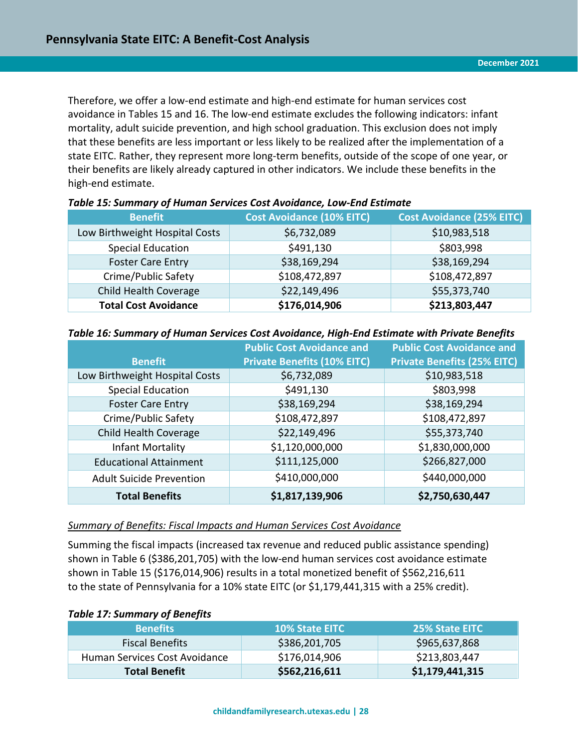Therefore, we offer a low-end estimate and high-end estimate for human services cost avoidance in Tables 15 and 16. The low-end estimate excludes the following indicators: infant mortality, adult suicide prevention, and high school graduation. This exclusion does not imply that these benefits are less important or less likely to be realized after the implementation of a state EITC. Rather, they represent more long-term benefits, outside of the scope of one year, or their benefits are likely already captured in other indicators. We include these benefits in the high-end estimate.

| <b>Benefit</b>                 | <b>Cost Avoidance (10% EITC)</b> | <b>Cost Avoidance (25% EITC)</b> |  |
|--------------------------------|----------------------------------|----------------------------------|--|
| Low Birthweight Hospital Costs | \$6,732,089                      | \$10,983,518                     |  |
| <b>Special Education</b>       | \$491,130                        | \$803,998                        |  |
| <b>Foster Care Entry</b>       | \$38,169,294                     | \$38,169,294                     |  |
| Crime/Public Safety            | \$108,472,897                    | \$108,472,897                    |  |
| Child Health Coverage          | \$22,149,496                     | \$55,373,740                     |  |
| <b>Total Cost Avoidance</b>    | \$176,014,906                    | \$213,803,447                    |  |

#### <span id="page-27-0"></span>*Table 15: Summary of Human Services Cost Avoidance, Low-End Estimate*

#### <span id="page-27-1"></span>*Table 16: Summary of Human Services Cost Avoidance, High-End Estimate with Private Benefits*

|                                 | <b>Public Cost Avoidance and</b>   | <b>Public Cost Avoidance and</b>   |  |
|---------------------------------|------------------------------------|------------------------------------|--|
| <b>Benefit</b>                  | <b>Private Benefits (10% EITC)</b> | <b>Private Benefits (25% EITC)</b> |  |
| Low Birthweight Hospital Costs  | \$6,732,089                        | \$10,983,518                       |  |
| <b>Special Education</b>        | \$491,130                          | \$803,998                          |  |
| <b>Foster Care Entry</b>        | \$38,169,294                       | \$38,169,294                       |  |
| Crime/Public Safety             | \$108,472,897                      | \$108,472,897                      |  |
| Child Health Coverage           | \$22,149,496                       | \$55,373,740                       |  |
| <b>Infant Mortality</b>         | \$1,120,000,000                    | \$1,830,000,000                    |  |
| <b>Educational Attainment</b>   | \$111,125,000                      | \$266,827,000                      |  |
| <b>Adult Suicide Prevention</b> | \$410,000,000                      | \$440,000,000                      |  |
| <b>Total Benefits</b>           | \$1,817,139,906                    | \$2,750,630,447                    |  |

#### *Summary of Benefits: Fiscal Impacts and Human Services Cost Avoidance*

Summing the fiscal impacts (increased tax revenue and reduced public assistance spending) shown in Table 6 (\$386,201,705) with the low-end human services cost avoidance estimate shown in Table 15 (\$176,014,906) results in a total monetized benefit of \$562,216,611 to the state of Pennsylvania for a 10% state EITC (or \$1,179,441,315 with a 25% credit).

#### <span id="page-27-2"></span>*Table 17: Summary of Benefits*

| <b>Benefits</b>               | <b>10% State EITC</b> | <b>25% State EITC</b> |  |
|-------------------------------|-----------------------|-----------------------|--|
| <b>Fiscal Benefits</b>        | \$386,201,705         | \$965,637,868         |  |
| Human Services Cost Avoidance | \$176,014,906         | \$213,803,447         |  |
| <b>Total Benefit</b>          | \$562,216,611         | \$1,179,441,315       |  |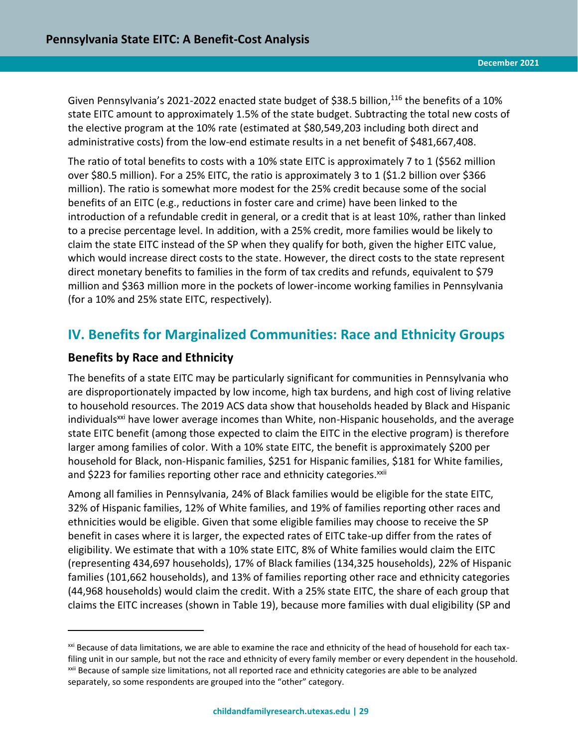Given Pennsylvania's 2021-2022 enacted state budget of \$38.5 billion,<sup>116</sup> the benefits of a 10% state EITC amount to approximately 1.5% of the state budget. Subtracting the total new costs of the elective program at the 10% rate (estimated at \$80,549,203 including both direct and administrative costs) from the low-end estimate results in a net benefit of \$481,667,408.

The ratio of total benefits to costs with a 10% state EITC is approximately 7 to 1 (\$562 million over \$80.5 million). For a 25% EITC, the ratio is approximately 3 to 1 (\$1.2 billion over \$366 million). The ratio is somewhat more modest for the 25% credit because some of the social benefits of an EITC (e.g., reductions in foster care and crime) have been linked to the introduction of a refundable credit in general, or a credit that is at least 10%, rather than linked to a precise percentage level. In addition, with a 25% credit, more families would be likely to claim the state EITC instead of the SP when they qualify for both, given the higher EITC value, which would increase direct costs to the state. However, the direct costs to the state represent direct monetary benefits to families in the form of tax credits and refunds, equivalent to \$79 million and \$363 million more in the pockets of lower-income working families in Pennsylvania (for a 10% and 25% state EITC, respectively).

# <span id="page-28-0"></span>**IV. Benefits for Marginalized Communities: Race and Ethnicity Groups**

# **Benefits by Race and Ethnicity**

 $\overline{a}$ 

The benefits of a state EITC may be particularly significant for communities in Pennsylvania who are disproportionately impacted by low income, high tax burdens, and high cost of living relative to household resources. The 2019 ACS data show that households headed by Black and Hispanic individuals<sup>xxi</sup> have lower average incomes than White, non-Hispanic households, and the average state EITC benefit (among those expected to claim the EITC in the elective program) is therefore larger among families of color. With a 10% state EITC, the benefit is approximately \$200 per household for Black, non-Hispanic families, \$251 for Hispanic families, \$181 for White families, and \$223 for families reporting other race and ethnicity categories.<sup>xxii</sup>

Among all families in Pennsylvania, 24% of Black families would be eligible for the state EITC, 32% of Hispanic families, 12% of White families, and 19% of families reporting other races and ethnicities would be eligible. Given that some eligible families may choose to receive the SP benefit in cases where it is larger, the expected rates of EITC take-up differ from the rates of eligibility. We estimate that with a 10% state EITC, 8% of White families would claim the EITC (representing 434,697 households), 17% of Black families (134,325 households), 22% of Hispanic families (101,662 households), and 13% of families reporting other race and ethnicity categories (44,968 households) would claim the credit. With a 25% state EITC, the share of each group that claims the EITC increases (shown in Table 19), because more families with dual eligibility (SP and

<sup>&</sup>lt;sup>xxi</sup> Because of data limitations, we are able to examine the race and ethnicity of the head of household for each taxfiling unit in our sample, but not the race and ethnicity of every family member or every dependent in the household. <sup>xxii</sup> Because of sample size limitations, not all reported race and ethnicity categories are able to be analyzed separately, so some respondents are grouped into the "other" category.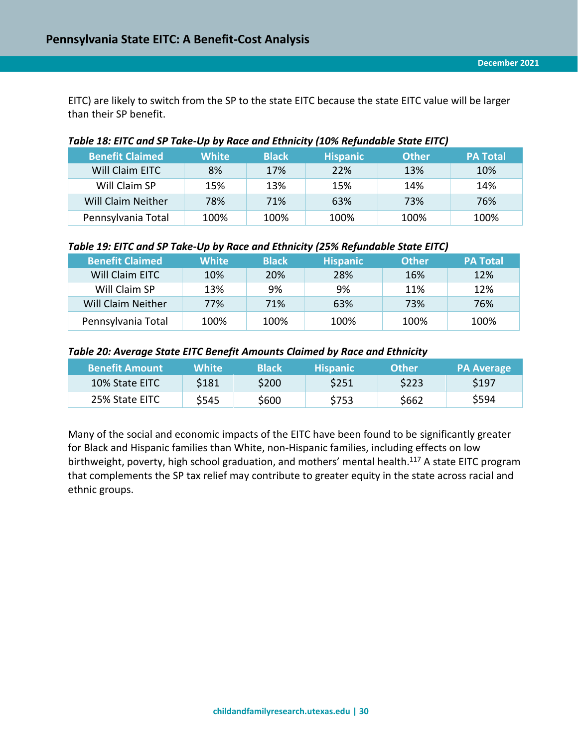EITC) are likely to switch from the SP to the state EITC because the state EITC value will be larger than their SP benefit.

#### <span id="page-29-0"></span>*Table 18: EITC and SP Take-Up by Race and Ethnicity (10% Refundable State EITC)*

| <b>Benefit Claimed</b>    | <b>White</b> | <b>Black</b> | <b>Hispanic</b> | <b>Other</b> | <b>PA Total</b> |
|---------------------------|--------------|--------------|-----------------|--------------|-----------------|
| Will Claim EITC           | 8%           | 17%          | 22%             | 13%          | 10%             |
| Will Claim SP             | 15%          | 13%          | 15%             | 14%          | 14%             |
| <b>Will Claim Neither</b> | 78%          | 71%          | 63%             | 73%          | 76%             |
| Pennsylvania Total        | 100%         | 100%         | 100%            | 100%         | 100%            |

#### <span id="page-29-1"></span>*Table 19: EITC and SP Take-Up by Race and Ethnicity (25% Refundable State EITC)*

| <b>Benefit Claimed</b> | <b>White</b> | <b>Black</b> | <b>Hispanic</b> | <b>Other</b> | <b>PA Total</b> |
|------------------------|--------------|--------------|-----------------|--------------|-----------------|
| Will Claim EITC        | 10%          | 20%          | 28%             | 16%          | <b>12%</b>      |
| Will Claim SP          | 13%          | 9%           | 9%              | 11%          | 12%             |
| Will Claim Neither     | 77%          | 71%          | 63%             | 73%          | 76%             |
| Pennsylvania Total     | 100%         | 100%         | 100%            | 100%         | 100%            |

#### <span id="page-29-2"></span>*Table 20: Average State EITC Benefit Amounts Claimed by Race and Ethnicity*

| <b>Benefit Amount</b> | White' | <b>Black</b> | <b>Hispanic</b> | <b>Other</b> | <b>PA Average</b> |
|-----------------------|--------|--------------|-----------------|--------------|-------------------|
| <b>10% State EITC</b> | \$181  | \$200        | \$251           | \$223        | \$197             |
| 25% State EITC        | \$545  | \$600        | \$753           | \$662        | \$594             |

Many of the social and economic impacts of the EITC have been found to be significantly greater for Black and Hispanic families than White, non-Hispanic families, including effects on low birthweight, poverty, high school graduation, and mothers' mental health.<sup>117</sup> A state EITC program that complements the SP tax relief may contribute to greater equity in the state across racial and ethnic groups.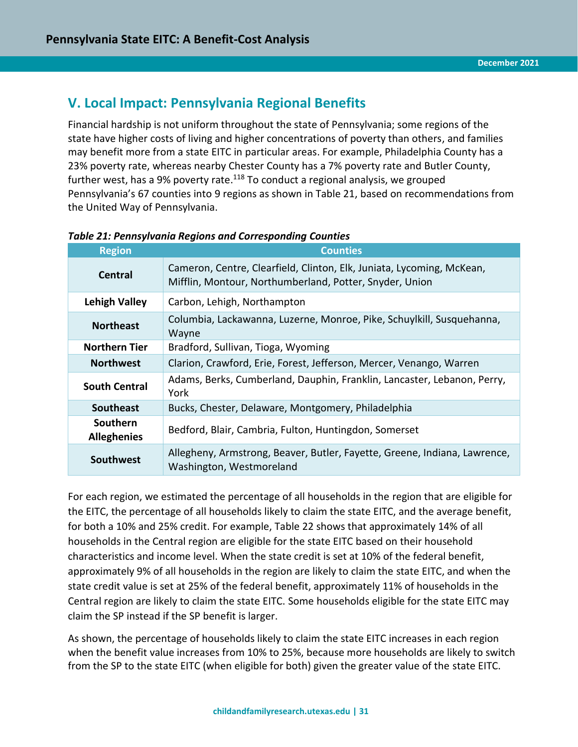# <span id="page-30-0"></span>**V. Local Impact: Pennsylvania Regional Benefits**

Financial hardship is not uniform throughout the state of Pennsylvania; some regions of the state have higher costs of living and higher concentrations of poverty than others, and families may benefit more from a state EITC in particular areas. For example, Philadelphia County has a 23% poverty rate, whereas nearby Chester County has a 7% poverty rate and Butler County, further west, has a 9% poverty rate.<sup>118</sup> To conduct a regional analysis, we grouped Pennsylvania's 67 counties into 9 regions as shown in Table 21, based on recommendations from the United Way of Pennsylvania.

| <b>Region</b>                         | <b>Counties</b>                                                                                                                  |
|---------------------------------------|----------------------------------------------------------------------------------------------------------------------------------|
| Central                               | Cameron, Centre, Clearfield, Clinton, Elk, Juniata, Lycoming, McKean,<br>Mifflin, Montour, Northumberland, Potter, Snyder, Union |
| <b>Lehigh Valley</b>                  | Carbon, Lehigh, Northampton                                                                                                      |
| <b>Northeast</b>                      | Columbia, Lackawanna, Luzerne, Monroe, Pike, Schuylkill, Susquehanna,<br>Wayne                                                   |
| <b>Northern Tier</b>                  | Bradford, Sullivan, Tioga, Wyoming                                                                                               |
| <b>Northwest</b>                      | Clarion, Crawford, Erie, Forest, Jefferson, Mercer, Venango, Warren                                                              |
| <b>South Central</b>                  | Adams, Berks, Cumberland, Dauphin, Franklin, Lancaster, Lebanon, Perry,<br>York                                                  |
| <b>Southeast</b>                      | Bucks, Chester, Delaware, Montgomery, Philadelphia                                                                               |
| <b>Southern</b><br><b>Alleghenies</b> | Bedford, Blair, Cambria, Fulton, Huntingdon, Somerset                                                                            |
| Southwest                             | Allegheny, Armstrong, Beaver, Butler, Fayette, Greene, Indiana, Lawrence,<br>Washington, Westmoreland                            |

#### <span id="page-30-1"></span>*Table 21: Pennsylvania Regions and Corresponding Counties*

For each region, we estimated the percentage of all households in the region that are eligible for the EITC, the percentage of all households likely to claim the state EITC, and the average benefit, for both a 10% and 25% credit. For example, Table 22 shows that approximately 14% of all households in the Central region are eligible for the state EITC based on their household characteristics and income level. When the state credit is set at 10% of the federal benefit, approximately 9% of all households in the region are likely to claim the state EITC, and when the state credit value is set at 25% of the federal benefit, approximately 11% of households in the Central region are likely to claim the state EITC. Some households eligible for the state EITC may claim the SP instead if the SP benefit is larger.

As shown, the percentage of households likely to claim the state EITC increases in each region when the benefit value increases from 10% to 25%, because more households are likely to switch from the SP to the state EITC (when eligible for both) given the greater value of the state EITC.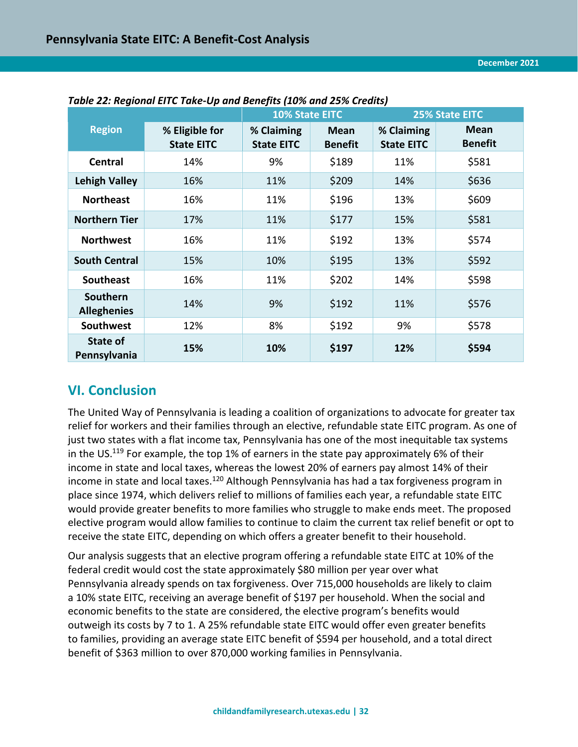|                                       |                                     | <b>10% State EITC</b>           |                               | <b>25% State EITC</b>           |                               |  |
|---------------------------------------|-------------------------------------|---------------------------------|-------------------------------|---------------------------------|-------------------------------|--|
| <b>Region</b>                         | % Eligible for<br><b>State EITC</b> | % Claiming<br><b>State EITC</b> | <b>Mean</b><br><b>Benefit</b> | % Claiming<br><b>State EITC</b> | <b>Mean</b><br><b>Benefit</b> |  |
| <b>Central</b>                        | 14%                                 | 9%                              | \$189                         | 11%                             | \$581                         |  |
| <b>Lehigh Valley</b>                  | 16%                                 | 11%                             | \$209                         | 14%                             | \$636                         |  |
| <b>Northeast</b>                      | 16%                                 | 11%                             | \$196                         | 13%                             | \$609                         |  |
| <b>Northern Tier</b>                  | 17%                                 | 11%                             | \$177                         | 15%                             | \$581                         |  |
| <b>Northwest</b>                      | 16%                                 | 11%                             | \$192                         | 13%                             | \$574                         |  |
| <b>South Central</b>                  | 15%                                 | 10%                             | \$195                         | 13%                             | \$592                         |  |
| <b>Southeast</b>                      | 16%                                 | 11%                             | \$202                         | 14%                             | \$598                         |  |
| <b>Southern</b><br><b>Alleghenies</b> | 14%                                 | 9%                              | \$192                         | 11%                             | \$576                         |  |
| <b>Southwest</b>                      | 12%                                 | 8%                              | \$192                         | 9%                              | \$578                         |  |
| State of<br>Pennsylvania              | 15%                                 | 10%                             | \$197                         | 12%                             | \$594                         |  |

#### <span id="page-31-1"></span>*Table 22: Regional EITC Take-Up and Benefits (10% and 25% Credits)*

# <span id="page-31-0"></span>**VI. Conclusion**

The United Way of Pennsylvania is leading a coalition of organizations to advocate for greater tax relief for workers and their families through an elective, refundable state EITC program. As one of just two states with a flat income tax, Pennsylvania has one of the most inequitable tax systems in the US.<sup>119</sup> For example, the top 1% of earners in the state pay approximately 6% of their income in state and local taxes, whereas the lowest 20% of earners pay almost 14% of their income in state and local taxes.<sup>120</sup> Although Pennsylvania has had a tax forgiveness program in place since 1974, which delivers relief to millions of families each year, a refundable state EITC would provide greater benefits to more families who struggle to make ends meet. The proposed elective program would allow families to continue to claim the current tax relief benefit or opt to receive the state EITC, depending on which offers a greater benefit to their household.

Our analysis suggests that an elective program offering a refundable state EITC at 10% of the federal credit would cost the state approximately \$80 million per year over what Pennsylvania already spends on tax forgiveness. Over 715,000 households are likely to claim a 10% state EITC, receiving an average benefit of \$197 per household. When the social and economic benefits to the state are considered, the elective program's benefits would outweigh its costs by 7 to 1. A 25% refundable state EITC would offer even greater benefits to families, providing an average state EITC benefit of \$594 per household, and a total direct benefit of \$363 million to over 870,000 working families in Pennsylvania.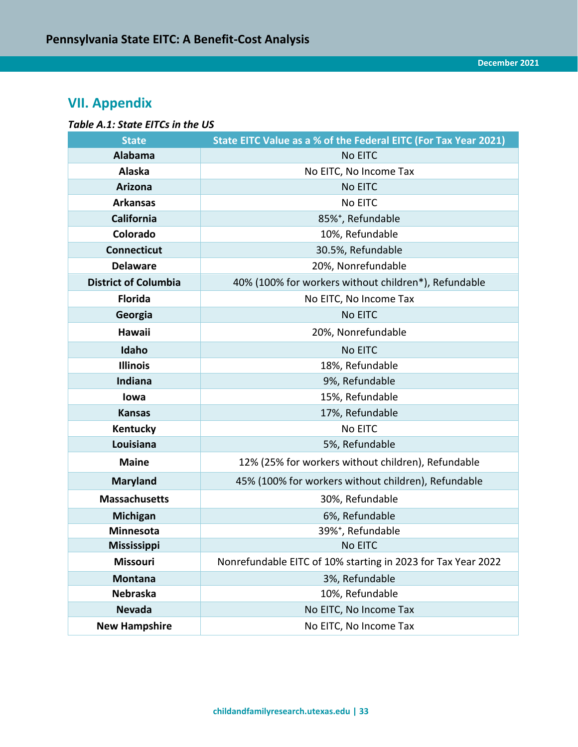# <span id="page-32-0"></span>**VII. Appendix**

#### <span id="page-32-1"></span>*Table A.1: State EITCs in the US*

| <b>State</b>                | State EITC Value as a % of the Federal EITC (For Tax Year 2021) |  |  |  |  |  |
|-----------------------------|-----------------------------------------------------------------|--|--|--|--|--|
| <b>Alabama</b>              | No EITC                                                         |  |  |  |  |  |
| Alaska                      | No EITC, No Income Tax                                          |  |  |  |  |  |
| <b>Arizona</b>              | No EITC                                                         |  |  |  |  |  |
| <b>Arkansas</b>             | No EITC                                                         |  |  |  |  |  |
| California                  | 85% <sup>+</sup> , Refundable                                   |  |  |  |  |  |
| Colorado                    | 10%, Refundable                                                 |  |  |  |  |  |
| <b>Connecticut</b>          | 30.5%, Refundable                                               |  |  |  |  |  |
| <b>Delaware</b>             | 20%, Nonrefundable                                              |  |  |  |  |  |
| <b>District of Columbia</b> | 40% (100% for workers without children*), Refundable            |  |  |  |  |  |
| <b>Florida</b>              | No EITC, No Income Tax                                          |  |  |  |  |  |
| Georgia                     | No EITC                                                         |  |  |  |  |  |
| Hawaii                      | 20%, Nonrefundable                                              |  |  |  |  |  |
| Idaho                       | No EITC                                                         |  |  |  |  |  |
| <b>Illinois</b>             | 18%, Refundable                                                 |  |  |  |  |  |
| <b>Indiana</b>              | 9%, Refundable                                                  |  |  |  |  |  |
| lowa                        | 15%, Refundable                                                 |  |  |  |  |  |
| <b>Kansas</b>               | 17%, Refundable                                                 |  |  |  |  |  |
| Kentucky                    | No EITC                                                         |  |  |  |  |  |
| Louisiana                   | 5%, Refundable                                                  |  |  |  |  |  |
| <b>Maine</b>                | 12% (25% for workers without children), Refundable              |  |  |  |  |  |
| <b>Maryland</b>             | 45% (100% for workers without children), Refundable             |  |  |  |  |  |
| <b>Massachusetts</b>        | 30%, Refundable                                                 |  |  |  |  |  |
| <b>Michigan</b>             | 6%, Refundable                                                  |  |  |  |  |  |
| Minnesota                   | 39% <sup>+</sup> , Refundable                                   |  |  |  |  |  |
| <b>Mississippi</b>          | No EITC                                                         |  |  |  |  |  |
| Missouri                    | Nonrefundable EITC of 10% starting in 2023 for Tax Year 2022    |  |  |  |  |  |
| <b>Montana</b>              | 3%, Refundable                                                  |  |  |  |  |  |
| <b>Nebraska</b>             | 10%, Refundable                                                 |  |  |  |  |  |
| <b>Nevada</b>               | No EITC, No Income Tax                                          |  |  |  |  |  |
| <b>New Hampshire</b>        | No EITC, No Income Tax                                          |  |  |  |  |  |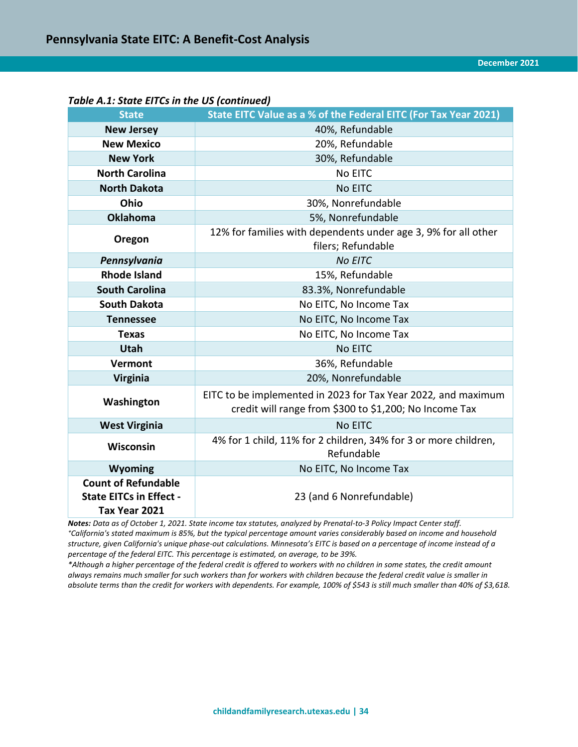| rable A.I. state Lires in the OS (continued)                                  |                                                                                                                         |  |  |  |  |  |  |
|-------------------------------------------------------------------------------|-------------------------------------------------------------------------------------------------------------------------|--|--|--|--|--|--|
| <b>State</b>                                                                  | State EITC Value as a % of the Federal EITC (For Tax Year 2021)                                                         |  |  |  |  |  |  |
| <b>New Jersey</b>                                                             | 40%, Refundable                                                                                                         |  |  |  |  |  |  |
| <b>New Mexico</b>                                                             | 20%, Refundable                                                                                                         |  |  |  |  |  |  |
| <b>New York</b>                                                               | 30%, Refundable                                                                                                         |  |  |  |  |  |  |
| <b>North Carolina</b>                                                         | No EITC                                                                                                                 |  |  |  |  |  |  |
| <b>North Dakota</b>                                                           | No EITC                                                                                                                 |  |  |  |  |  |  |
| Ohio                                                                          | 30%, Nonrefundable                                                                                                      |  |  |  |  |  |  |
| <b>Oklahoma</b>                                                               | 5%, Nonrefundable                                                                                                       |  |  |  |  |  |  |
| Oregon                                                                        | 12% for families with dependents under age 3, 9% for all other<br>filers; Refundable                                    |  |  |  |  |  |  |
| Pennsylvania                                                                  | <b>No EITC</b>                                                                                                          |  |  |  |  |  |  |
| <b>Rhode Island</b>                                                           | 15%, Refundable                                                                                                         |  |  |  |  |  |  |
| <b>South Carolina</b>                                                         | 83.3%, Nonrefundable                                                                                                    |  |  |  |  |  |  |
| <b>South Dakota</b>                                                           | No EITC, No Income Tax                                                                                                  |  |  |  |  |  |  |
| <b>Tennessee</b>                                                              | No EITC, No Income Tax                                                                                                  |  |  |  |  |  |  |
| <b>Texas</b>                                                                  | No EITC, No Income Tax                                                                                                  |  |  |  |  |  |  |
| <b>Utah</b>                                                                   | <b>No EITC</b>                                                                                                          |  |  |  |  |  |  |
| Vermont                                                                       | 36%, Refundable                                                                                                         |  |  |  |  |  |  |
| <b>Virginia</b>                                                               | 20%, Nonrefundable                                                                                                      |  |  |  |  |  |  |
| Washington                                                                    | EITC to be implemented in 2023 for Tax Year 2022, and maximum<br>credit will range from \$300 to \$1,200; No Income Tax |  |  |  |  |  |  |
| <b>West Virginia</b>                                                          | <b>No EITC</b>                                                                                                          |  |  |  |  |  |  |
| <b>Wisconsin</b>                                                              | 4% for 1 child, 11% for 2 children, 34% for 3 or more children,<br>Refundable                                           |  |  |  |  |  |  |
| <b>Wyoming</b>                                                                | No EITC, No Income Tax                                                                                                  |  |  |  |  |  |  |
| <b>Count of Refundable</b><br><b>State EITCs in Effect -</b><br>Tax Year 2021 | 23 (and 6 Nonrefundable)                                                                                                |  |  |  |  |  |  |

*Table A.1: State EITCs in the US (continued)*

*Notes: Data as of October 1, 2021. State income tax statutes, analyzed by Prenatal-to-3 Policy Impact Center staff. ⁺California's stated maximum is 85%, but the typical percentage amount varies considerably based on income and household structure, given California's unique phase-out calculations. Minnesota's EITC is based on a percentage of income instead of a percentage of the federal EITC. This percentage is estimated, on average, to be 39%.* 

*\*Although a higher percentage of the federal credit is offered to workers with no children in some states, the credit amount always remains much smaller for such workers than for workers with children because the federal credit value is smaller in absolute terms than the credit for workers with dependents. For example, 100% of \$543 is still much smaller than 40% of \$3,618.*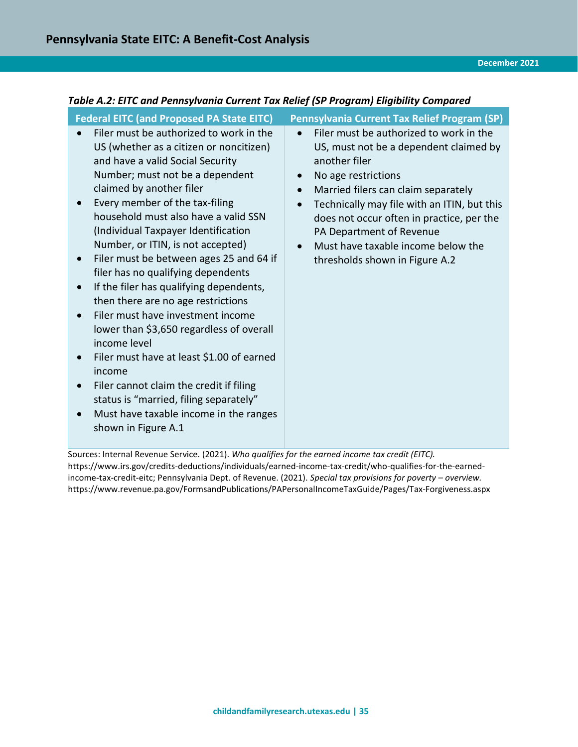# <span id="page-34-0"></span>*Table A.2: EITC and Pennsylvania Current Tax Relief (SP Program) Eligibility Compared*

| <b>Federal EITC (and Proposed PA State EITC)</b>                                                                                                                                                                                                                                                                                                                                                                                                                                                                                                                                                                                                                                                                                                                                                                                                                   | Pennsylvania Current Tax Relief Program (SP)                                                                                                                                                                                                                                                                                                                                                                                      |
|--------------------------------------------------------------------------------------------------------------------------------------------------------------------------------------------------------------------------------------------------------------------------------------------------------------------------------------------------------------------------------------------------------------------------------------------------------------------------------------------------------------------------------------------------------------------------------------------------------------------------------------------------------------------------------------------------------------------------------------------------------------------------------------------------------------------------------------------------------------------|-----------------------------------------------------------------------------------------------------------------------------------------------------------------------------------------------------------------------------------------------------------------------------------------------------------------------------------------------------------------------------------------------------------------------------------|
| Filer must be authorized to work in the<br>US (whether as a citizen or noncitizen)<br>and have a valid Social Security<br>Number; must not be a dependent<br>claimed by another filer<br>Every member of the tax-filing<br>household must also have a valid SSN<br>(Individual Taxpayer Identification<br>Number, or ITIN, is not accepted)<br>Filer must be between ages 25 and 64 if<br>$\bullet$<br>filer has no qualifying dependents<br>If the filer has qualifying dependents,<br>$\bullet$<br>then there are no age restrictions<br>Filer must have investment income<br>lower than \$3,650 regardless of overall<br>income level<br>Filer must have at least \$1.00 of earned<br>income<br>Filer cannot claim the credit if filing<br>$\bullet$<br>status is "married, filing separately"<br>Must have taxable income in the ranges<br>shown in Figure A.1 | Filer must be authorized to work in the<br>$\bullet$<br>US, must not be a dependent claimed by<br>another filer<br>No age restrictions<br>$\bullet$<br>Married filers can claim separately<br>$\bullet$<br>Technically may file with an ITIN, but this<br>$\bullet$<br>does not occur often in practice, per the<br>PA Department of Revenue<br>Must have taxable income below the<br>$\bullet$<br>thresholds shown in Figure A.2 |

Sources: Internal Revenue Service. (2021). *Who qualifies for the earned income tax credit (EITC).*  [https://www.irs.gov/credits-deductions/individuals/earned-income-tax-credit/who-qualifies-for-the-earned](https://www.irs.gov/credits-deductions/individuals/earned-income-tax-credit/who-qualifies-for-the-earned-income-tax-credit-eitc)[income-tax-credit-eitc;](https://www.irs.gov/credits-deductions/individuals/earned-income-tax-credit/who-qualifies-for-the-earned-income-tax-credit-eitc) Pennsylvania Dept. of Revenue. (2021). *Special tax provisions for poverty – overview.* https://www.revenue.pa.gov/FormsandPublications/PAPersonalIncomeTaxGuide/Pages/Tax-Forgiveness.aspx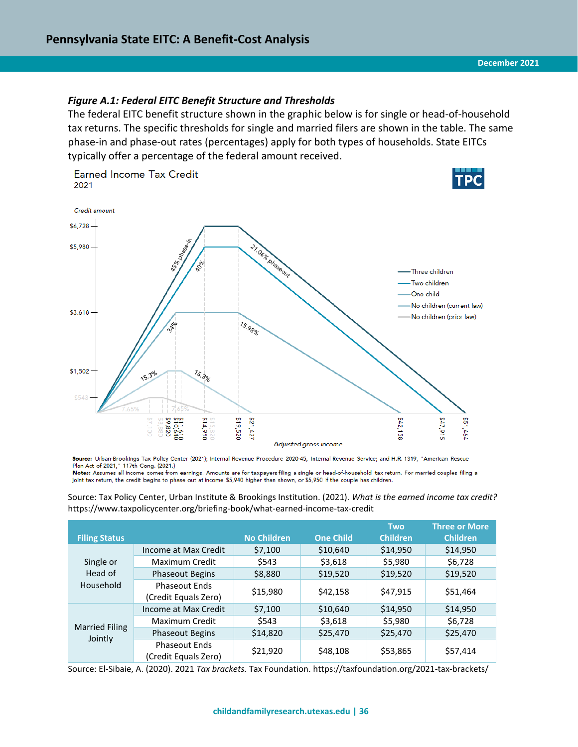#### <span id="page-35-0"></span>*Figure A.1: Federal EITC Benefit Structure and Thresholds*

The federal EITC benefit structure shown in the graphic below is for single or head-of-household tax returns. The specific thresholds for single and married filers are shown in the table. The same phase-in and phase-out rates (percentages) apply for both types of households. State EITCs typically offer a percentage of the federal amount received.



Source: Urban-Brookings Tax Policy Center (2021); Internal Revenue Procedure 2020-45, Internal Revenue Service; and H.R. 1319, "American Rescue Plan Act of 2021," 117th Cong. (2021.)

Notes: Assumes all income comes from earnings. Amounts are for taxpayers filing a single or head-of-household tax return. For married couples filing a joint tax return, the credit begins to phase out at income \$5,940 higher than shown, or \$5,950 if the couple has children.

Source: Tax Policy Center, Urban Institute & Brookings Institution. (2021). *What is the earned income tax credit?* https://www.taxpolicycenter.org/briefing-book/what-earned-income-tax-credit

| <b>Filing Status</b>             |                                              | <b>No Children</b> | <b>One Child</b> | <b>Two</b><br><b>Children</b> | <b>Three or More</b><br><b>Children</b> |
|----------------------------------|----------------------------------------------|--------------------|------------------|-------------------------------|-----------------------------------------|
|                                  | Income at Max Credit                         | \$7,100            | \$10,640         | \$14,950                      | \$14,950                                |
| Single or                        | Maximum Credit                               | \$543              | \$3,618          | \$5,980                       | \$6,728                                 |
| Head of                          | <b>Phaseout Begins</b>                       | \$8,880            | \$19,520         | \$19,520                      | \$19,520                                |
| Household                        | <b>Phaseout Ends</b>                         |                    |                  |                               |                                         |
|                                  | (Credit Equals Zero)                         | \$15,980           | \$42,158         | \$47,915                      | \$51,464                                |
|                                  | Income at Max Credit                         | \$7,100            | \$10,640         | \$14,950                      | \$14,950                                |
| <b>Married Filing</b><br>Jointly | Maximum Credit                               | \$543              | \$3,618          | \$5,980                       | \$6,728                                 |
|                                  | <b>Phaseout Begins</b>                       | \$14,820           | \$25,470         | \$25,470                      | \$25,470                                |
|                                  | <b>Phaseout Ends</b><br>(Credit Equals Zero) | \$21,920           | \$48,108         | \$53,865                      | \$57,414                                |

Source: El-Sibaie, A. (2020). 2021 *Tax brackets.* Tax Foundation. https://taxfoundation.org/2021-tax-brackets/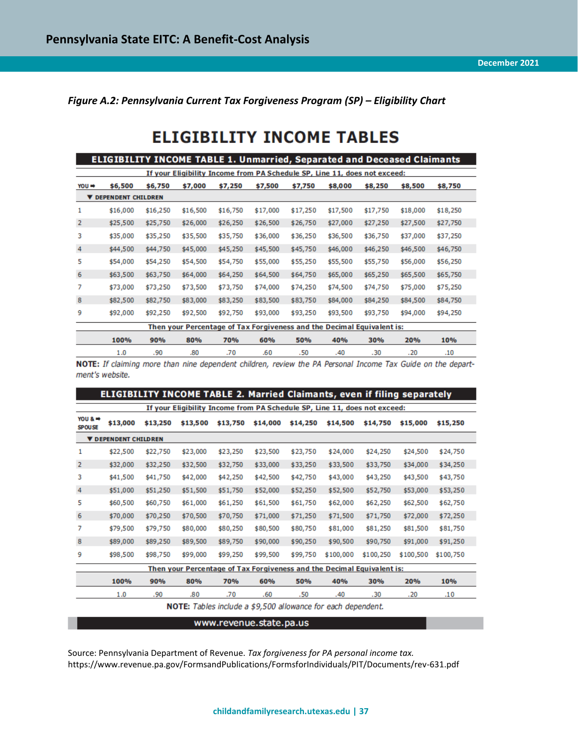<span id="page-36-0"></span>*Figure A.2: Pennsylvania Current Tax Forgiveness Program (SP) – Eligibility Chart* 

# **ELIGIBILITY INCOME TABLES**

|       | <b>ELIGIBILITY INCOME TABLE 1. Unmarried, Separated and Deceased Claimants</b> |          |                                                                           |          |          |          |          |          |          |          |  |
|-------|--------------------------------------------------------------------------------|----------|---------------------------------------------------------------------------|----------|----------|----------|----------|----------|----------|----------|--|
|       |                                                                                |          | If your Eligibility Income from PA Schedule SP, Line 11, does not exceed: |          |          |          |          |          |          |          |  |
| YOU ⇒ | \$6,500                                                                        | \$6,750  | \$7,000                                                                   | \$7,250  | \$7,500  | \$7,750  | \$8,000  | \$8,250  | \$8,500  | \$8,750  |  |
|       | <b>V DEPENDENT CHILDREN</b>                                                    |          |                                                                           |          |          |          |          |          |          |          |  |
| 1     | \$16,000                                                                       | \$16,250 | \$16,500                                                                  | \$16,750 | \$17,000 | \$17,250 | \$17,500 | \$17,750 | \$18,000 | \$18,250 |  |
| 2     | \$25,500                                                                       | \$25,750 | \$26,000                                                                  | \$26,250 | \$26,500 | \$26,750 | \$27,000 | \$27,250 | \$27,500 | \$27,750 |  |
| 3     | \$35,000                                                                       | \$35,250 | \$35,500                                                                  | \$35,750 | \$36,000 | \$36,250 | \$36,500 | \$36,750 | \$37,000 | \$37,250 |  |
| 4     | \$44,500                                                                       | \$44,750 | \$45,000                                                                  | \$45,250 | \$45,500 | \$45,750 | \$46,000 | \$46,250 | \$46,500 | \$46,750 |  |
| 5     | \$54,000                                                                       | \$54,250 | \$54,500                                                                  | \$54,750 | \$55,000 | \$55,250 | \$55,500 | \$55,750 | \$56,000 | \$56,250 |  |
| 6     | \$63,500                                                                       | \$63,750 | \$64,000                                                                  | \$64,250 | \$64,500 | \$64,750 | \$65,000 | \$65,250 | \$65,500 | \$65,750 |  |
| 7     | \$73,000                                                                       | \$73,250 | \$73,500                                                                  | \$73,750 | \$74,000 | \$74,250 | \$74,500 | \$74,750 | \$75,000 | \$75,250 |  |
| 8     | \$82,500                                                                       | \$82,750 | \$83,000                                                                  | \$83,250 | \$83,500 | \$83,750 | \$84,000 | \$84,250 | \$84,500 | \$84,750 |  |
| 9     | \$92,000                                                                       | \$92,250 | \$92,500                                                                  | \$92,750 | \$93,000 | \$93,250 | \$93,500 | \$93,750 | \$94,000 | \$94,250 |  |
|       |                                                                                |          | Then your Percentage of Tax Forgiveness and the Decimal Equivalent is:    |          |          |          |          |          |          |          |  |
|       | 100%                                                                           | 90%      | 80%                                                                       | 70%      | 60%      | 50%      | 40%      | 30%      | 20%      | 10%      |  |
|       | 1.0                                                                            | .90      | .80                                                                       | .70      | .60      | .50      | .40      | .30      | .20      | .10      |  |

NOTE: If claiming more than nine dependent children, review the PA Personal Income Tax Guide on the department's website.

|                             |          |          |          |          |                         |          | <b>ELIGIBILITY INCOME TABLE 2. Married Claimants, even if filing separately</b> |           |           |           |
|-----------------------------|----------|----------|----------|----------|-------------------------|----------|---------------------------------------------------------------------------------|-----------|-----------|-----------|
|                             |          |          |          |          |                         |          | If your Eligibility Income from PA Schedule SP, Line 11, does not exceed:       |           |           |           |
| YOU & ⇒<br><b>SPOUSE</b>    | \$13,000 | \$13,250 | \$13,500 | \$13,750 | \$14,000                | \$14,250 | \$14,500                                                                        | \$14,750  | \$15,000  | \$15,250  |
| <b>V DEPENDENT CHILDREN</b> |          |          |          |          |                         |          |                                                                                 |           |           |           |
| 1                           | \$22,500 | \$22,750 | \$23,000 | \$23,250 | \$23,500                | \$23,750 | \$24,000                                                                        | \$24,250  | \$24,500  | \$24,750  |
| 2                           | \$32,000 | \$32,250 | \$32,500 | \$32,750 | \$33,000                | \$33,250 | \$33,500                                                                        | \$33,750  | \$34,000  | \$34,250  |
| 3                           | \$41,500 | \$41,750 | \$42,000 | \$42,250 | \$42,500                | \$42,750 | \$43,000                                                                        | \$43,250  | \$43,500  | \$43,750  |
| 4                           | \$51,000 | \$51,250 | \$51,500 | \$51,750 | \$52,000                | \$52,250 | \$52,500                                                                        | \$52,750  | \$53,000  | \$53,250  |
| 5                           | \$60,500 | \$60,750 | \$61,000 | \$61,250 | \$61,500                | \$61,750 | \$62,000                                                                        | \$62,250  | \$62,500  | \$62,750  |
| 6                           | \$70,000 | \$70,250 | \$70,500 | \$70,750 | \$71,000                | \$71,250 | \$71,500                                                                        | \$71,750  | \$72,000  | \$72,250  |
| 7                           | \$79,500 | \$79,750 | \$80,000 | \$80,250 | \$80,500                | \$80,750 | \$81,000                                                                        | \$81,250  | \$81,500  | \$81,750  |
| 8                           | \$89,000 | \$89,250 | \$89,500 | \$89,750 | \$90,000                | \$90,250 | \$90,500                                                                        | \$90,750  | \$91,000  | \$91,250  |
| 9                           | \$98,500 | \$98,750 | \$99,000 | \$99,250 | \$99,500                | \$99,750 | \$100,000                                                                       | \$100,250 | \$100,500 | \$100,750 |
|                             |          |          |          |          |                         |          | Then your Percentage of Tax Forgiveness and the Decimal Equivalent is:          |           |           |           |
|                             | 100%     | 90%      | 80%      | 70%      | 60%                     | 50%      | 40%                                                                             | 30%       | 20%       | 10%       |
|                             | 1.0      | .90      | .80      | .70      | .60                     | .50      | .40                                                                             | .30       | .20       | .10       |
|                             |          |          |          |          |                         |          | NOTE: Tables include a \$9,500 allowance for each dependent.                    |           |           |           |
|                             |          |          |          |          | www.revenue.state.pa.us |          |                                                                                 |           |           |           |

Source: Pennsylvania Department of Revenue. *Tax forgiveness for PA personal income tax.* https://www.revenue.pa.gov/FormsandPublications/FormsforIndividuals/PIT/Documents/rev-631.pdf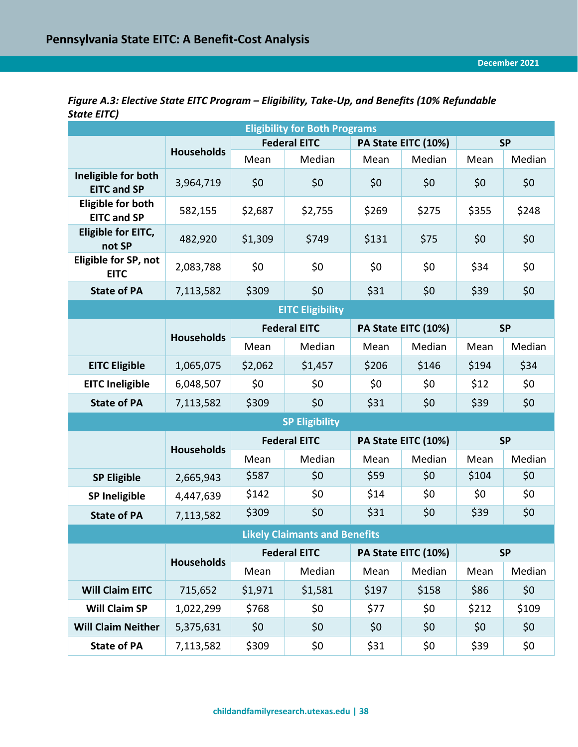<span id="page-37-0"></span>

| Figure A.3: Elective State EITC Program – Eligibility, Take-Up, and Benefits (10% Refundable |  |
|----------------------------------------------------------------------------------------------|--|
| State EITC)                                                                                  |  |

| <b>Eligibility for Both Programs</b>           |                   |                     |                                      |       |                     |           |           |  |  |
|------------------------------------------------|-------------------|---------------------|--------------------------------------|-------|---------------------|-----------|-----------|--|--|
|                                                |                   | <b>Federal EITC</b> |                                      |       | PA State EITC (10%) | <b>SP</b> |           |  |  |
|                                                | <b>Households</b> | Mean                | Median                               | Mean  | Median              | Mean      | Median    |  |  |
| Ineligible for both<br><b>EITC and SP</b>      | 3,964,719         | \$0                 | \$0                                  | \$0   | \$0                 | \$0       | \$0       |  |  |
| <b>Eligible for both</b><br><b>EITC and SP</b> | 582,155           | \$2,687             | \$2,755                              | \$269 | \$275               | \$355     | \$248     |  |  |
| Eligible for EITC,<br>not SP                   | 482,920           | \$1,309             | \$749                                | \$131 | \$75                | \$0       | \$0       |  |  |
| Eligible for SP, not<br><b>EITC</b>            | 2,083,788         | \$0                 | \$0                                  | \$0   | \$0                 | \$34      | \$0       |  |  |
| <b>State of PA</b>                             | 7,113,582         | \$309               | \$0                                  | \$31  | \$0                 | \$39      | \$0       |  |  |
|                                                |                   |                     | <b>EITC Eligibility</b>              |       |                     |           |           |  |  |
|                                                | <b>Households</b> |                     | <b>Federal EITC</b>                  |       | PA State EITC (10%) |           | <b>SP</b> |  |  |
|                                                |                   | Mean                | Median                               | Mean  | Median              | Mean      | Median    |  |  |
| <b>EITC Eligible</b>                           | 1,065,075         | \$2,062             | \$1,457                              | \$206 | \$146               | \$194     | \$34      |  |  |
| <b>EITC Ineligible</b>                         | 6,048,507         | \$0                 | \$0                                  | \$0   | \$0                 | \$12      | \$0       |  |  |
| <b>State of PA</b>                             | 7,113,582         | \$309               | \$0                                  | \$31  | \$0                 | \$39      | \$0       |  |  |
|                                                |                   |                     | <b>SP Eligibility</b>                |       |                     |           |           |  |  |
|                                                | <b>Households</b> |                     | <b>Federal EITC</b>                  |       | PA State EITC (10%) |           | <b>SP</b> |  |  |
|                                                |                   | Mean                | Median                               | Mean  | Median              | Mean      | Median    |  |  |
| <b>SP Eligible</b>                             | 2,665,943         | \$587               | \$0                                  | \$59  | \$0                 | \$104     | \$0       |  |  |
| <b>SP Ineligible</b>                           | 4,447,639         | \$142               | \$0                                  | \$14  | \$0                 | \$0       | \$0       |  |  |
| <b>State of PA</b>                             | 7,113,582         | \$309               | \$0                                  | \$31  | \$0                 | \$39      | \$0       |  |  |
|                                                |                   |                     | <b>Likely Claimants and Benefits</b> |       |                     |           |           |  |  |
|                                                | <b>Households</b> |                     | <b>Federal EITC</b>                  |       | PA State EITC (10%) |           | <b>SP</b> |  |  |
|                                                |                   | Mean                | Median                               | Mean  | Median              | Mean      | Median    |  |  |
| <b>Will Claim EITC</b>                         | 715,652           | \$1,971             | \$1,581                              | \$197 | \$158               | \$86      | \$0\$     |  |  |
| Will Claim SP                                  | 1,022,299         | \$768               | \$0                                  | \$77  | \$0                 | \$212     | \$109     |  |  |
| <b>Will Claim Neither</b>                      | 5,375,631         | \$0                 | \$0                                  | \$0\$ | \$0                 | \$0\$     | \$0\$     |  |  |
| <b>State of PA</b>                             | 7,113,582         | \$309               | \$0                                  | \$31  | \$0                 | \$39      | \$0       |  |  |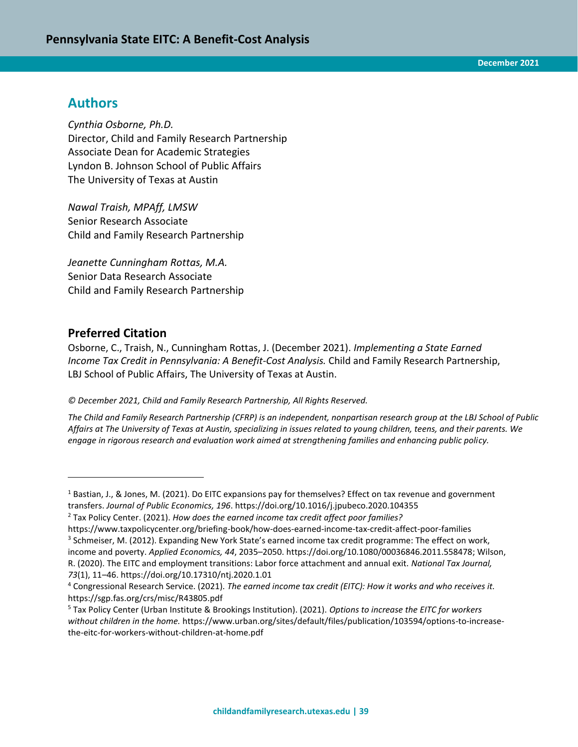# **Authors**

*Cynthia Osborne, Ph.D.* Director, Child and Family Research Partnership Associate Dean for Academic Strategies Lyndon B. Johnson School of Public Affairs The University of Texas at Austin

*Nawal Traish, MPAff, LMSW* Senior Research Associate Child and Family Research Partnership

*Jeanette Cunningham Rottas, M.A.* Senior Data Research Associate Child and Family Research Partnership

# **Preferred Citation**

 $\overline{a}$ 

Osborne, C., Traish, N., Cunningham Rottas, J. (December 2021). *Implementing a State Earned Income Tax Credit in Pennsylvania: A Benefit-Cost Analysis.* Child and Family Research Partnership, LBJ School of Public Affairs, The University of Texas at Austin.

#### *© December 2021, Child and Family Research Partnership, All Rights Reserved.*

*The Child and Family Research Partnership (CFRP) is an independent, nonpartisan research group at the LBJ School of Public Affairs at The University of Texas at Austin, specializing in issues related to young children, teens, and their parents. We engage in rigorous research and evaluation work aimed at strengthening families and enhancing public policy.*

https://www.taxpolicycenter.org/briefing-book/how-does-earned-income-tax-credit-affect-poor-families <sup>3</sup> Schmeiser, M. (2012). Expanding New York State's earned income tax credit programme: The effect on work, income and poverty. *Applied Economics, 44*, 2035–2050. https://doi.org/10.1080/00036846.2011.558478; Wilson, R. (2020). The EITC and employment transitions: Labor force attachment and annual exit. *National Tax Journal, 73*(1), 11–46. https://doi.org/10.17310/ntj.2020.1.01

 $1$  Bastian, J., & Jones, M. (2021). Do EITC expansions pay for themselves? Effect on tax revenue and government transfers. *Journal of Public Economics, 196*. <https://doi.org/10.1016/j.jpubeco.2020.104355>

<sup>2</sup> Tax Policy Center. (2021). *How does the earned income tax credit affect poor families?*

<sup>4</sup> Congressional Research Service. (2021). *The earned income tax credit (EITC): How it works and who receives it.* https://sgp.fas.org/crs/misc/R43805.pdf

<sup>5</sup> Tax Policy Center (Urban Institute & Brookings Institution). (2021). *Options to increase the EITC for workers without children in the home.* https://www.urban.org/sites/default/files/publication/103594/options-to-increasethe-eitc-for-workers-without-children-at-home.pdf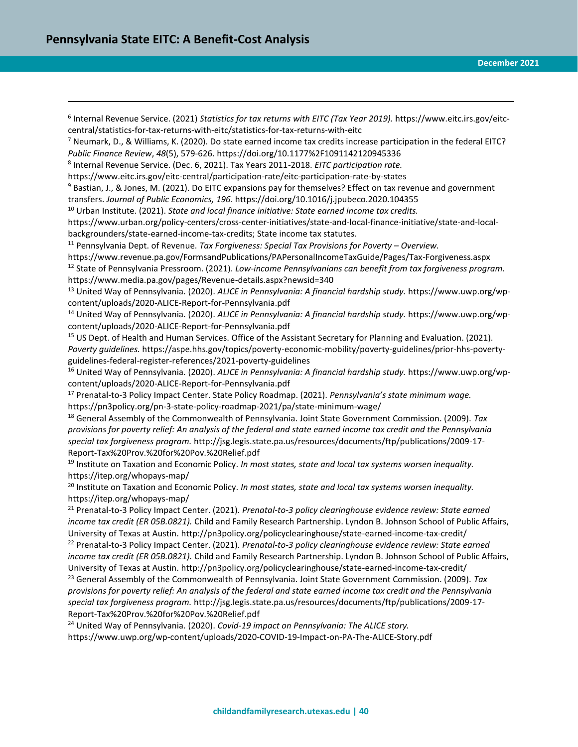$\overline{a}$ 6 Internal Revenue Service. (2021) *Statistics for tax returns with EITC (Tax Year 2019).* https://www.eitc.irs.gov/eitccentral/statistics-for-tax-returns-with-eitc/statistics-for-tax-returns-with-eitc <sup>7</sup> Neumark, D., & Williams, K. (2020). Do state earned income tax credits increase participation in the federal EITC? *Public Finance Review*, *48*(5), 579-626. https://doi.org/10.1177%2F1091142120945336 8 Internal Revenue Service. (Dec. 6, 2021). Tax Years 2011-2018. *EITC participation rate.* https://www.eitc.irs.gov/eitc-central/participation-rate/eitc-participation-rate-by-states <sup>9</sup> Bastian, J., & Jones, M. (2021). Do EITC expansions pay for themselves? Effect on tax revenue and government transfers. *Journal of Public Economics, 196*. <https://doi.org/10.1016/j.jpubeco.2020.104355> <sup>10</sup> Urban Institute. (2021). *State and local finance initiative: State earned income tax credits.* [https://www.urban.org/policy-centers/cross-center-initiatives/state-and-local-finance-initiative/state-and-local](https://www.urban.org/policy-centers/cross-center-initiatives/state-and-local-finance-initiative/state-and-local-backgrounders/state-earned-income-tax-credits)[backgrounders/state-earned-income-tax-credits;](https://www.urban.org/policy-centers/cross-center-initiatives/state-and-local-finance-initiative/state-and-local-backgrounders/state-earned-income-tax-credits) State income tax statutes. <sup>11</sup> Pennsylvania Dept. of Revenue. *Tax Forgiveness: Special Tax Provisions for Poverty – Overview.* https://www.revenue.pa.gov/FormsandPublications/PAPersonalIncomeTaxGuide/Pages/Tax-Forgiveness.aspx <sup>12</sup> State of Pennsylvania Pressroom. (2021). *Low-income Pennsylvanians can benefit from tax forgiveness program.* https://www.media.pa.gov/pages/Revenue-details.aspx?newsid=340 <sup>13</sup> United Way of Pennsylvania. (2020). *ALICE in Pennsylvania: A financial hardship study.* https://www.uwp.org/wpcontent/uploads/2020-ALICE-Report-for-Pennsylvania.pdf <sup>14</sup> United Way of Pennsylvania. (2020). *ALICE in Pennsylvania: A financial hardship study.* https://www.uwp.org/wpcontent/uploads/2020-ALICE-Report-for-Pennsylvania.pdf <sup>15</sup> US Dept. of Health and Human Services. Office of the Assistant Secretary for Planning and Evaluation. (2021). *Poverty guidelines.* https://aspe.hhs.gov/topics/poverty-economic-mobility/poverty-guidelines/prior-hhs-povertyguidelines-federal-register-references/2021-poverty-guidelines <sup>16</sup> United Way of Pennsylvania. (2020). *ALICE in Pennsylvania: A financial hardship study.* https://www.uwp.org/wpcontent/uploads/2020-ALICE-Report-for-Pennsylvania.pdf <sup>17</sup> Prenatal-to-3 Policy Impact Center. State Policy Roadmap. (2021). *Pennsylvania's state minimum wage.* https://pn3policy.org/pn-3-state-policy-roadmap-2021/pa/state-minimum-wage/ <sup>18</sup> General Assembly of the Commonwealth of Pennsylvania. Joint State Government Commission. (2009). *Tax provisions for poverty relief: An analysis of the federal and state earned income tax credit and the Pennsylvania special tax forgiveness program.* http://jsg.legis.state.pa.us/resources/documents/ftp/publications/2009-17- Report-Tax%20Prov.%20for%20Pov.%20Relief.pdf <sup>19</sup> Institute on Taxation and Economic Policy. *In most states, state and local tax systems worsen inequality.* https://itep.org/whopays-map/ <sup>20</sup> Institute on Taxation and Economic Policy. *In most states, state and local tax systems worsen inequality.* https://itep.org/whopays-map/ <sup>21</sup> Prenatal-to-3 Policy Impact Center. (2021). *Prenatal-to-3 policy clearinghouse evidence review: State earned income tax credit (ER 05B.0821).* Child and Family Research Partnership. Lyndon B. Johnson School of Public Affairs, University of Texas at Austin. http://pn3policy.org/policyclearinghouse/state-earned-income-tax-credit/ <sup>22</sup> Prenatal-to-3 Policy Impact Center. (2021). *Prenatal-to-3 policy clearinghouse evidence review: State earned income tax credit (ER 05B.0821).* Child and Family Research Partnership. Lyndon B. Johnson School of Public Affairs, University of Texas at Austin. http://pn3policy.org/policyclearinghouse/state-earned-income-tax-credit/ <sup>23</sup> General Assembly of the Commonwealth of Pennsylvania. Joint State Government Commission. (2009). *Tax provisions for poverty relief: An analysis of the federal and state earned income tax credit and the Pennsylvania special tax forgiveness program.* http://jsg.legis.state.pa.us/resources/documents/ftp/publications/2009-17- Report-Tax%20Prov.%20for%20Pov.%20Relief.pdf <sup>24</sup> United Way of Pennsylvania. (2020). *Covid-19 impact on Pennsylvania: The ALICE story.* https://www.uwp.org/wp-content/uploads/2020-COVID-19-Impact-on-PA-The-ALICE-Story.pdf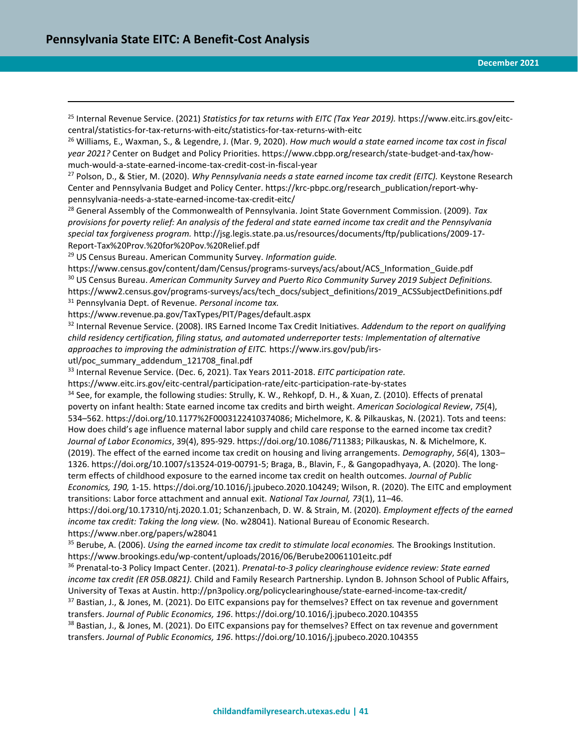$\overline{a}$ 

<sup>25</sup> Internal Revenue Service. (2021) *Statistics for tax returns with EITC (Tax Year 2019).* https://www.eitc.irs.gov/eitccentral/statistics-for-tax-returns-with-eitc/statistics-for-tax-returns-with-eitc

<sup>26</sup> Williams, E., Waxman, S., & Legendre, J. (Mar. 9, 2020). *How much would a state earned income tax cost in fiscal year 2021?* Center on Budget and Policy Priorities. https://www.cbpp.org/research/state-budget-and-tax/howmuch-would-a-state-earned-income-tax-credit-cost-in-fiscal-year

<sup>27</sup> Polson, D., & Stier, M. (2020). *Why Pennsylvania needs a state earned income tax credit (EITC).* Keystone Research Center and Pennsylvania Budget and Policy Center. https://krc-pbpc.org/research\_publication/report-whypennsylvania-needs-a-state-earned-income-tax-credit-eitc/

<sup>28</sup> General Assembly of the Commonwealth of Pennsylvania. Joint State Government Commission. (2009). *Tax provisions for poverty relief: An analysis of the federal and state earned income tax credit and the Pennsylvania special tax forgiveness program.* http://jsg.legis.state.pa.us/resources/documents/ftp/publications/2009-17- Report-Tax%20Prov.%20for%20Pov.%20Relief.pdf

<sup>29</sup> US Census Bureau. American Community Survey. *Information guide.*

https://www.census.gov/content/dam/Census/programs-surveys/acs/about/ACS\_Information\_Guide.pdf <sup>30</sup> US Census Bureau. *American Community Survey and Puerto Rico Community Survey 2019 Subject Definitions.* https://www2.census.gov/programs-surveys/acs/tech\_docs/subject\_definitions/2019\_ACSSubjectDefinitions.pdf <sup>31</sup> Pennsylvania Dept. of Revenue. *Personal income tax.* 

https://www.revenue.pa.gov/TaxTypes/PIT/Pages/default.aspx

<sup>32</sup> Internal Revenue Service. (2008). IRS Earned Income Tax Credit Initiatives. *Addendum to the report on qualifying child residency certification, filing status, and automated underreporter tests: Implementation of alternative approaches to improving the administration of EITC.* https://www.irs.gov/pub/irs-

utl/poc\_summary\_addendum\_121708\_final.pdf

<sup>33</sup> Internal Revenue Service. (Dec. 6, 2021). Tax Years 2011-2018. *EITC participation rate.*

https://www.eitc.irs.gov/eitc-central/participation-rate/eitc-participation-rate-by-states

<sup>34</sup> See, for example, the following studies: Strully, K. W., Rehkopf, D. H., & Xuan, Z. (2010). Effects of prenatal poverty on infant health: State earned income tax credits and birth weight. *American Sociological Review*, *75*(4), 534–562. [https://doi.org/10.1177%2F0003122410374086;](https://doi.org/10.1177%2F0003122410374086) Michelmore, K. & Pilkauskas, N. (2021). Tots and teens: How does child's age influence maternal labor supply and child care response to the earned income tax credit? *Journal of Labor Economics*, 39(4), 895-929. [https://doi.org/10.1086/711383;](https://doi.org/10.1086/711383) Pilkauskas, N. & Michelmore, K. (2019). The effect of the earned income tax credit on housing and living arrangements. *Demography*, *56*(4), 1303– 1326. [https://doi.org/10.1007/s13524-019-00791-5;](https://doi.org/10.1007/s13524-019-00791-5) Braga, B., Blavin, F., & Gangopadhyaya, A. (2020). The longterm effects of childhood exposure to the earned income tax credit on health outcomes. *Journal of Public Economics, 190,* 1-15. https://doi.org/10.1016/j.jpubeco.2020.104249; Wilson, R. (2020). The EITC and employment transitions: Labor force attachment and annual exit. *National Tax Journal, 73*(1), 11–46.

https://doi.org/10.17310/ntj.2020.1.01; Schanzenbach, D. W. & Strain, M. (2020). *Employment effects of the earned income tax credit: Taking the long view.* (No. w28041). National Bureau of Economic Research. <https://www.nber.org/papers/w28041>

<sup>35</sup> Berube, A. (2006). *Using the earned income tax credit to stimulate local economies.* The Brookings Institution. https://www.brookings.edu/wp-content/uploads/2016/06/Berube20061101eitc.pdf

<sup>36</sup> Prenatal-to-3 Policy Impact Center. (2021). *Prenatal-to-3 policy clearinghouse evidence review: State earned income tax credit (ER 05B.0821).* Child and Family Research Partnership. Lyndon B. Johnson School of Public Affairs, University of Texas at Austin. http://pn3policy.org/policyclearinghouse/state-earned-income-tax-credit/

37 Bastian, J., & Jones, M. (2021). Do EITC expansions pay for themselves? Effect on tax revenue and government transfers. *Journal of Public Economics, 196*. <https://doi.org/10.1016/j.jpubeco.2020.104355>

<sup>38</sup> Bastian, J., & Jones, M. (2021). Do EITC expansions pay for themselves? Effect on tax revenue and government transfers. *Journal of Public Economics, 196*. <https://doi.org/10.1016/j.jpubeco.2020.104355>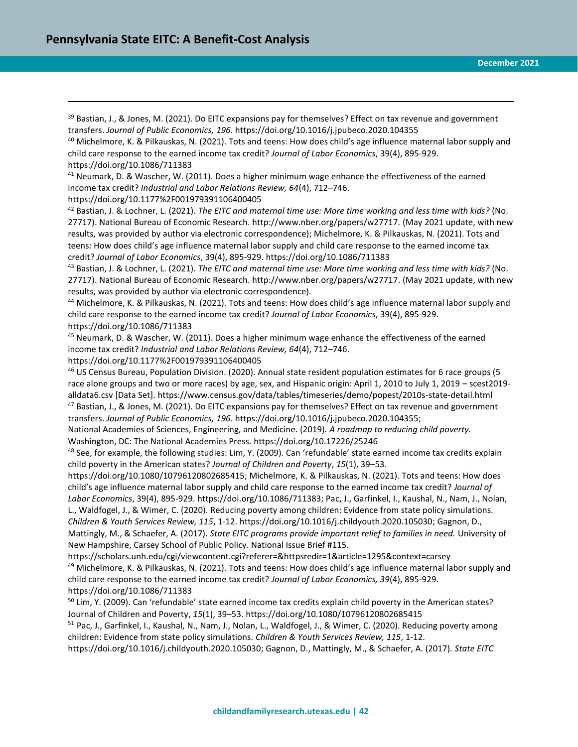<sup>39</sup> Bastian, J., & Jones, M. (2021). Do EITC expansions pay for themselves? Effect on tax revenue and government transfers. *Journal of Public Economics, 196*. <https://doi.org/10.1016/j.jpubeco.2020.104355>

<sup>40</sup> Michelmore, K. & Pilkauskas, N. (2021). Tots and teens: How does child's age influence maternal labor supply and child care response to the earned income tax credit? *Journal of Labor Economics*, 39(4), 895-929. <https://doi.org/10.1086/711383>

<sup>41</sup> Neumark, D. & Wascher, W. (2011). Does a higher minimum wage enhance the effectiveness of the earned income tax credit? *Industrial and Labor Relations Review, 64*(4), 712–746.

<https://doi.org/10.1177%2F001979391106400405>

 $\overline{a}$ 

<sup>42</sup> Bastian, J. & Lochner, L. (2021). *The EITC and maternal time use: More time working and less time with kids?* (No. 27717). National Bureau of Economic Research. http://www.nber.org/papers/w27717. (May 2021 update, with new results, was provided by author via electronic correspondence); Michelmore, K. & Pilkauskas, N. (2021). Tots and teens: How does child's age influence maternal labor supply and child care response to the earned income tax credit? *Journal of Labor Economics*, 39(4), 895-929[. https://doi.org/10.1086/711383](https://doi.org/10.1086/711383)

<sup>43</sup> Bastian, J. & Lochner, L. (2021). *The EITC and maternal time use: More time working and less time with kids?* (No. 27717). National Bureau of Economic Research. http://www.nber.org/papers/w27717. (May 2021 update, with new results, was provided by author via electronic correspondence).

<sup>44</sup> Michelmore, K. & Pilkauskas, N. (2021). Tots and teens: How does child's age influence maternal labor supply and child care response to the earned income tax credit? *Journal of Labor Economics*, 39(4), 895-929. <https://doi.org/10.1086/711383>

<sup>45</sup> Neumark, D. & Wascher, W. (2011). Does a higher minimum wage enhance the effectiveness of the earned income tax credit? *Industrial and Labor Relations Review, 64*(4), 712–746.

<https://doi.org/10.1177%2F001979391106400405>

<sup>46</sup> US Census Bureau, Population Division. (2020). Annual state resident population estimates for 6 race groups (5 race alone groups and two or more races) by age, sex, and Hispanic origin: April 1, 2010 to July 1, 2019 – scest2019 alldata6.csv [Data Set]. https://www.census.gov/data/tables/timeseries/demo/popest/2010s-state-detail.html  $47$  Bastian, J., & Jones, M. (2021). Do EITC expansions pay for themselves? Effect on tax revenue and government transfers. *Journal of Public Economics, 196*. [https://doi.org/10.1016/j.jpubeco.2020.104355;](https://doi.org/10.1016/j.jpubeco.2020.104355)

National Academies of Sciences, Engineering, and Medicine. (2019). *A roadmap to reducing child poverty.* Washington, DC: The National Academies Press.<https://doi.org/10.17226/25246>

48 See, for example, the following studies: Lim, Y. (2009). Can 'refundable' state earned income tax credits explain child poverty in the American states? *Journal of Children and Poverty*, *15*(1), 39–53.

[https://doi.org/10.1080/10796120802685415;](https://doi.org/10.1080/10796120802685415) Michelmore, K. & Pilkauskas, N. (2021). Tots and teens: How does child's age influence maternal labor supply and child care response to the earned income tax credit? *Journal of Labor Economics*, 39(4), 895-929. [https://doi.org/10.1086/711383;](https://doi.org/10.1086/711383) Pac, J., Garfinkel, I., Kaushal, N., Nam, J., Nolan, L., Waldfogel, J., & Wimer, C. (2020). Reducing poverty among children: Evidence from state policy simulations. *Children & Youth Services Review, 115*, 1-12. [https://doi.org/10.1016/j.childyouth.2020.105030;](https://doi.org/10.1016/j.childyouth.2020.105030) Gagnon, D., Mattingly, M., & Schaefer, A. (2017). *State EITC programs provide important relief to families in need.* University of

New Hampshire, Carsey School of Public Policy. National Issue Brief #115.

https://scholars.unh.edu/cgi/viewcontent.cgi?referer=&httpsredir=1&article=1295&context=carsey  $49$  Michelmore, K. & Pilkauskas, N. (2021). Tots and teens: How does child's age influence maternal labor supply and child care response to the earned income tax credit? *Journal of Labor Economics, 39*(4), 895-929. <https://doi.org/10.1086/711383>

 $50$  Lim, Y. (2009). Can 'refundable' state earned income tax credits explain child poverty in the American states? Journal of Children and Poverty, *15*(1), 39–53[. https://doi.org/10.1080/10796120802685415](https://doi.org/10.1080/10796120802685415)

<sup>51</sup> Pac, J., Garfinkel, I., Kaushal, N., Nam, J., Nolan, L., Waldfogel, J., & Wimer, C. (2020). Reducing poverty among children: Evidence from state policy simulations. *Children & Youth Services Review, 115*, 1-12.

[https://doi.org/10.1016/j.childyouth.2020.105030;](https://doi.org/10.1016/j.childyouth.2020.105030) Gagnon, D., Mattingly, M., & Schaefer, A. (2017). *State EITC*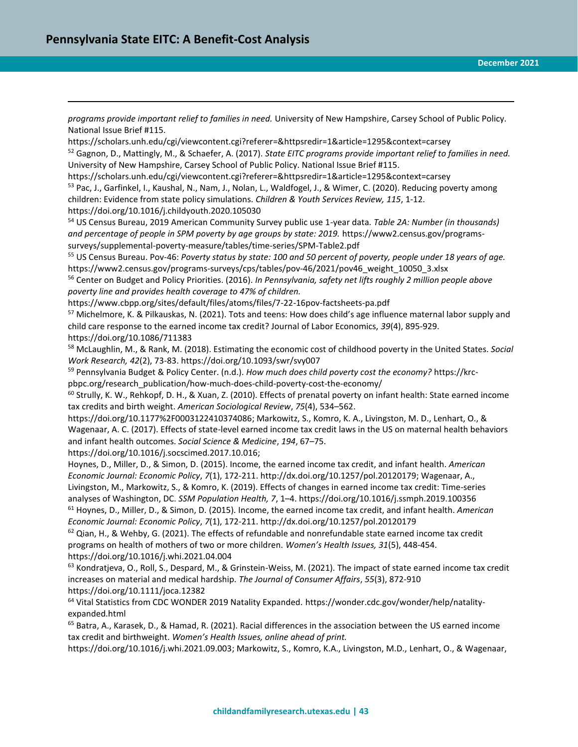$\overline{a}$ 

*programs provide important relief to families in need.* University of New Hampshire, Carsey School of Public Policy. National Issue Brief #115.

https://scholars.unh.edu/cgi/viewcontent.cgi?referer=&httpsredir=1&article=1295&context=carsey <sup>52</sup> Gagnon, D., Mattingly, M., & Schaefer, A. (2017). *State EITC programs provide important relief to families in need.* University of New Hampshire, Carsey School of Public Policy. National Issue Brief #115.

https://scholars.unh.edu/cgi/viewcontent.cgi?referer=&httpsredir=1&article=1295&context=carsey

<sup>53</sup> Pac, J., Garfinkel, I., Kaushal, N., Nam, J., Nolan, L., Waldfogel, J., & Wimer, C. (2020). Reducing poverty among children: Evidence from state policy simulations. *Children & Youth Services Review, 115*, 1-12. <https://doi.org/10.1016/j.childyouth.2020.105030>

<sup>54</sup> US Census Bureau, 2019 American Community Survey public use 1-year data*. Table 2A: Number (in thousands) and percentage of people in SPM poverty by age groups by state: 2019.* https://www2.census.gov/programssurveys/supplemental-poverty-measure/tables/time-series/SPM-Table2.pdf

<sup>55</sup> US Census Bureau. Pov-46: *Poverty status by state: 100 and 50 percent of poverty, people under 18 years of age.*  https://www2.census.gov/programs-surveys/cps/tables/pov-46/2021/pov46\_weight\_10050\_3.xlsx

<sup>56</sup> Center on Budget and Policy Priorities. (2016). *In Pennsylvania, safety net lifts roughly 2 million people above poverty line and provides health coverage to 47% of children.*

https://www.cbpp.org/sites/default/files/atoms/files/7-22-16pov-factsheets-pa.pdf

<sup>57</sup> Michelmore, K. & Pilkauskas, N. (2021). Tots and teens: How does child's age influence maternal labor supply and child care response to the earned income tax credit? Journal of Labor Economics, *39*(4), 895-929. <https://doi.org/10.1086/711383>

<sup>58</sup> McLaughlin, M., & Rank, M. (2018). Estimating the economic cost of childhood poverty in the United States. *Social Work Research, 42*(2), 73-83. https://doi.org/10.1093/swr/svy007

<sup>59</sup> Pennsylvania Budget & Policy Center. (n.d.). *How much does child poverty cost the economy?* https://krcpbpc.org/research\_publication/how-much-does-child-poverty-cost-the-economy/

<sup>60</sup> Strully, K. W., Rehkopf, D. H., & Xuan, Z. (2010). Effects of prenatal poverty on infant health: State earned income tax credits and birth weight. *American Sociological Review*, *75*(4), 534–562.

[https://doi.org/10.1177%2F0003122410374086;](https://doi.org/10.1177%2F0003122410374086) Markowitz, S., Komro, K. A., Livingston, M. D., Lenhart, O., & Wagenaar, A. C. (2017). Effects of state-level earned income tax credit laws in the US on maternal health behaviors and infant health outcomes. *Social Science & Medicine*, *194*, 67–75.

[https://doi.org/10.1016/j.socscimed.2017.10.016;](https://doi.org/10.1016/j.socscimed.2017.10.016)

Hoynes, D., Miller, D., & Simon, D. (2015). Income, the earned income tax credit, and infant health. *American Economic Journal: Economic Policy*, *7*(1), 172-211. [http://dx.doi.org/10.1257/pol.20120179;](http://dx.doi.org/10.1257/pol.20120179) Wagenaar, A.,

Livingston, M., Markowitz, S., & Komro, K. (2019). Effects of changes in earned income tax credit: Time-series analyses of Washington, DC. *SSM Population Health, 7*, 1–4.<https://doi.org/10.1016/j.ssmph.2019.100356> <sup>61</sup> Hoynes, D., Miller, D., & Simon, D. (2015). Income, the earned income tax credit, and infant health. *American Economic Journal: Economic Policy*, *7*(1), 172-211. <http://dx.doi.org/10.1257/pol.20120179>

 $62$  Qian, H., & Wehby, G. (2021). The effects of refundable and nonrefundable state earned income tax credit programs on health of mothers of two or more children. *Women's Health Issues, 31*(5), 448-454. https://doi.org/10.1016/j.whi.2021.04.004

 $63$  Kondratjeva, O., Roll, S., Despard, M., & Grinstein-Weiss, M. (2021). The impact of state earned income tax credit increases on material and medical hardship. *The Journal of Consumer Affairs*, *55*(3), 872-910 https://doi.org/10.1111/joca.12382

<sup>64</sup> Vital Statistics from CDC WONDER 2019 Natality Expanded. https://wonder.cdc.gov/wonder/help/natalityexpanded.html

<sup>65</sup> Batra, A., Karasek, D., & Hamad, R. (2021). Racial differences in the association between the US earned income tax credit and birthweight. *Women's Health Issues, online ahead of print.* 

[https://doi.org/10.1016/j.whi.2021.09.003;](https://doi.org/10.1016/j.whi.2021.09.003) Markowitz, S., Komro, K.A., Livingston, M.D., Lenhart, O., & Wagenaar,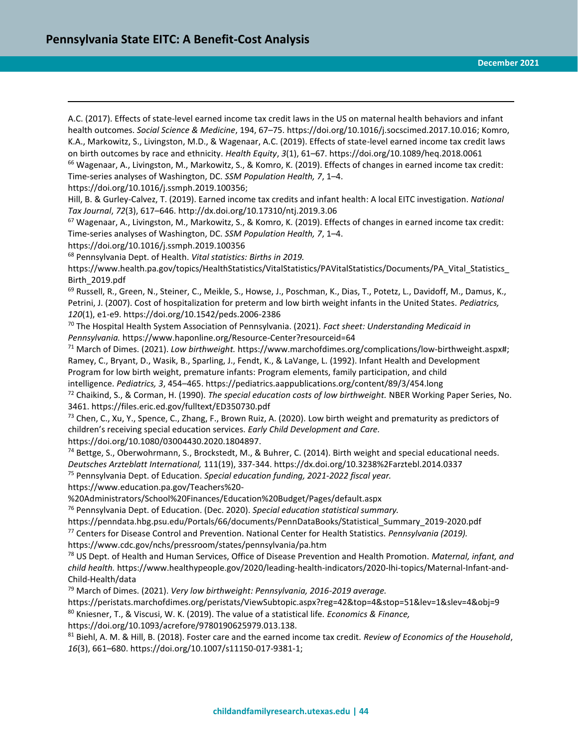$\overline{a}$ A.C. (2017). Effects of state-level earned income tax credit laws in the US on maternal health behaviors and infant health outcomes. *Social Science & Medicine*, 194, 67–75. [https://doi.org/10.1016/j.socscimed.2017.10.016;](https://doi.org/10.1016/j.socscimed.2017.10.016) Komro, K.A., Markowitz, S., Livingston, M.D., & Wagenaar, A.C. (2019). Effects of state-level earned income tax credit laws on birth outcomes by race and ethnicity. *Health Equity*, *3*(1), 61–67. https://doi.org/10.1089/heq.2018.0061 <sup>66</sup> Wagenaar, A., Livingston, M., Markowitz, S., & Komro, K. (2019). Effects of changes in earned income tax credit: Time-series analyses of Washington, DC. *SSM Population Health, 7*, 1–4. [https://doi.org/10.1016/j.ssmph.2019.100356;](https://doi.org/10.1016/j.ssmph.2019.100356) Hill, B. & Gurley-Calvez, T. (2019). Earned income tax credits and infant health: A local EITC investigation. *National Tax Journal*, *72*(3), 617–646.<http://dx.doi.org/10.17310/ntj.2019.3.06>  $67$  Wagenaar, A., Livingston, M., Markowitz, S., & Komro, K. (2019). Effects of changes in earned income tax credit: Time-series analyses of Washington, DC. *SSM Population Health, 7*, 1–4. <https://doi.org/10.1016/j.ssmph.2019.100356> <sup>68</sup> Pennsylvania Dept. of Health. *Vital statistics: Births in 2019.* https://www.health.pa.gov/topics/HealthStatistics/VitalStatistics/PAVitalStatistics/Documents/PA\_Vital\_Statistics\_ Birth\_2019.pdf <sup>69</sup> Russell, R., Green, N., Steiner, C., Meikle, S., Howse, J., Poschman, K., Dias, T., Potetz, L., Davidoff, M., Damus, K., Petrini, J. (2007). Cost of hospitalization for preterm and low birth weight infants in the United States. *Pediatrics, 120*(1), e1-e9. https://doi.org/10.1542/peds.2006-2386 <sup>70</sup> The Hospital Health System Association of Pennsylvania. (2021). *Fact sheet: Understanding Medicaid in Pennsylvania.* https://www.haponline.org/Resource-Center?resourceid=64 <sup>71</sup> March of Dimes. (2021). *Low birthweight.* [https://www.marchofdimes.org/complications/low-birthweight.aspx#;](https://www.marchofdimes.org/complications/low-birthweight.aspx) Ramey, C., Bryant, D., Wasik, B., Sparling, J., Fendt, K., & LaVange, L. (1992). Infant Health and Development Program for low birth weight, premature infants: Program elements, family participation, and child intelligence. *Pediatrics, 3*, 454–465. https://pediatrics.aappublications.org/content/89/3/454.long <sup>72</sup> Chaikind, S., & Corman, H. (1990). *The special education costs of low birthweight.* NBER Working Paper Series, No. 3461. https://files.eric.ed.gov/fulltext/ED350730.pdf  $<sup>73</sup>$  Chen, C., Xu, Y., Spence, C., Zhang, F., Brown Ruiz, A. (2020). Low birth weight and prematurity as predictors of</sup> children's receiving special education services. *Early Child Development and Care.* https://doi.org/10.1080/03004430.2020.1804897. <sup>74</sup> Bettge, S., Oberwohrmann, S., Brockstedt, M., & Buhrer, C. (2014). Birth weight and special educational needs. *Deutsches Arzteblatt International,* 111(19), 337-344. https://dx.doi.org/10.3238%2Farztebl.2014.0337 <sup>75</sup> Pennsylvania Dept. of Education. *Special education funding, 2021-2022 fiscal year.*  https://www.education.pa.gov/Teachers%20- %20Administrators/School%20Finances/Education%20Budget/Pages/default.aspx <sup>76</sup> Pennsylvania Dept. of Education. (Dec. 2020). *Special education statistical summary.*  https://penndata.hbg.psu.edu/Portals/66/documents/PennDataBooks/Statistical\_Summary\_2019-2020.pdf <sup>77</sup> Centers for Disease Control and Prevention. National Center for Health Statistics. *Pennsylvania (2019).* https://www.cdc.gov/nchs/pressroom/states/pennsylvania/pa.htm <sup>78</sup> US Dept. of Health and Human Services, Office of Disease Prevention and Health Promotion. *Maternal, infant, and child health.* https://www.healthypeople.gov/2020/leading-health-indicators/2020-lhi-topics/Maternal-Infant-and-Child-Health/data <sup>79</sup> March of Dimes. (2021). *Very low birthweight: Pennsylvania, 2016-2019 average.* https://peristats.marchofdimes.org/peristats/ViewSubtopic.aspx?reg=42&top=4&stop=51&lev=1&slev=4&obj=9

<sup>80</sup> Kniesner, T., & Viscusi, W. K. (2019). The value of a statistical life. *Economics & Finance,* 

https://doi.org/10.1093/acrefore/9780190625979.013.138.

<sup>81</sup> Biehl, A. M. & Hill, B. (2018). Foster care and the earned income tax credit. *Review of Economics of the Household*, *16*(3), 661–680. [https://doi.org/10.1007/s11150-017-9381-1;](https://doi.org/10.1007/s11150-017-9381-1)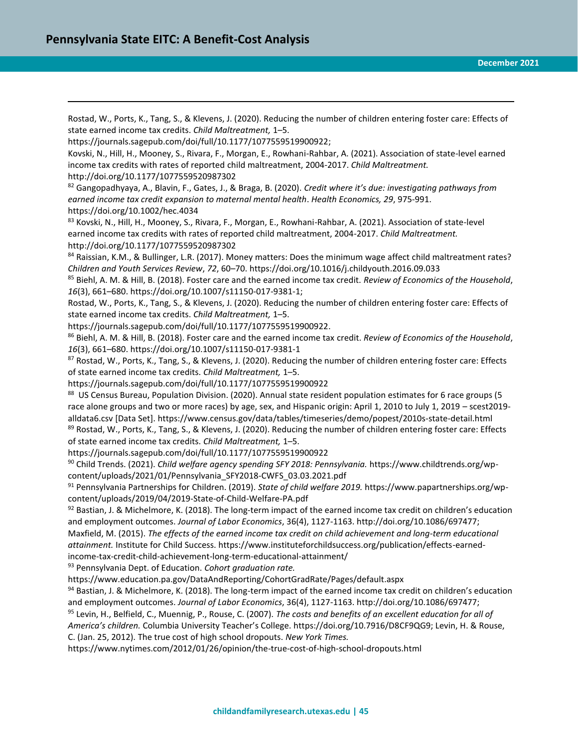$\overline{a}$ Rostad, W., Ports, K., Tang, S., & Klevens, J. (2020). Reducing the number of children entering foster care: Effects of state earned income tax credits. *Child Maltreatment,* 1–5. [https://journals.sagepub.com/doi/full/10.1177/1077559519900922;](https://journals.sagepub.com/doi/full/10.1177/1077559519900922) Kovski, N., Hill, H., Mooney, S., Rivara, F., Morgan, E., Rowhani-Rahbar, A. (2021). Association of state-level earned income tax credits with rates of reported child maltreatment, 2004-2017. *Child Maltreatment.*  <http://doi.org/10.1177/1077559520987302> <sup>82</sup> Gangopadhyaya, A., Blavin, F., Gates, J., & Braga, B. (2020). *Credit where it's due: investigating pathways from earned income tax credit expansion to maternal mental health*. *Health Economics, 29*, 975-991. https://doi.org/10.1002/hec.4034 83 Kovski, N., Hill, H., Mooney, S., Rivara, F., Morgan, E., Rowhani-Rahbar, A. (2021). Association of state-level earned income tax credits with rates of reported child maltreatment, 2004-2017. *Child Maltreatment.*  <http://doi.org/10.1177/1077559520987302> 84 Raissian, K.M., & Bullinger, L.R. (2017). Money matters: Does the minimum wage affect child maltreatment rates? *Children and Youth Services Review*, *72*, 60–70. https://doi.org/10.1016/j.childyouth.2016.09.033 <sup>85</sup> Biehl, A. M. & Hill, B. (2018). Foster care and the earned income tax credit. *Review of Economics of the Household*, *16*(3), 661–680. [https://doi.org/10.1007/s11150-017-9381-1;](https://doi.org/10.1007/s11150-017-9381-1) Rostad, W., Ports, K., Tang, S., & Klevens, J. (2020). Reducing the number of children entering foster care: Effects of state earned income tax credits. *Child Maltreatment,* 1–5. [https://journals.sagepub.com/doi/full/10.1177/1077559519900922.](https://journals.sagepub.com/doi/full/10.1177/1077559519900922) <sup>86</sup> Biehl, A. M. & Hill, B. (2018). Foster care and the earned income tax credit. *Review of Economics of the Household*, *16*(3), 661–680.<https://doi.org/10.1007/s11150-017-9381-1>  $87$  Rostad, W., Ports, K., Tang, S., & Klevens, J. (2020). Reducing the number of children entering foster care: Effects of state earned income tax credits. *Child Maltreatment,* 1–5. <https://journals.sagepub.com/doi/full/10.1177/1077559519900922> 88 US Census Bureau, Population Division. (2020). Annual state resident population estimates for 6 race groups (5 race alone groups and two or more races) by age, sex, and Hispanic origin: April 1, 2010 to July 1, 2019 – scest2019 alldata6.csv [Data Set]. https://www.census.gov/data/tables/timeseries/demo/popest/2010s-state-detail.html 89 Rostad, W., Ports, K., Tang, S., & Klevens, J. (2020). Reducing the number of children entering foster care: Effects of state earned income tax credits. *Child Maltreatment,* 1–5. <https://journals.sagepub.com/doi/full/10.1177/1077559519900922> <sup>90</sup> Child Trends. (2021). *Child welfare agency spending SFY 2018: Pennsylvania.* https://www.childtrends.org/wpcontent/uploads/2021/01/Pennsylvania\_SFY2018-CWFS\_03.03.2021.pdf <sup>91</sup> Pennsylvania Partnerships for Children. (2019). *State of child welfare 2019.* https://www.papartnerships.org/wpcontent/uploads/2019/04/2019-State-of-Child-Welfare-PA.pdf  $92$  Bastian, J. & Michelmore, K. (2018). The long-term impact of the earned income tax credit on children's education and employment outcomes. *Journal of Labor Economics*, 36(4), 1127-1163. http://doi.org/10.1086/697477; Maxfield, M. (2015). *The effects of the earned income tax credit on child achievement and long-term educational attainment.* Institute for Child Success. https://www.instituteforchildsuccess.org/publication/effects-earnedincome-tax-credit-child-achievement-long-term-educational-attainment/ <sup>93</sup> Pennsylvania Dept. of Education. *Cohort graduation rate.*  https://www.education.pa.gov/DataAndReporting/CohortGradRate/Pages/default.aspx  $94$  Bastian, J. & Michelmore, K. (2018). The long-term impact of the earned income tax credit on children's education and employment outcomes. *Journal of Labor Economics*, 36(4), 1127-1163. http://doi.org/10.1086/697477; <sup>95</sup> Levin, H., Belfield, C., Muennig, P., Rouse, C. (2007). *The costs and benefits of an excellent education for all of America's children.* Columbia University Teacher's College. https://doi.org/10.7916/D8CF9QG9; Levin, H. & Rouse,

C. (Jan. 25, 2012). The true cost of high school dropouts. *New York Times.*

https://www.nytimes.com/2012/01/26/opinion/the-true-cost-of-high-school-dropouts.html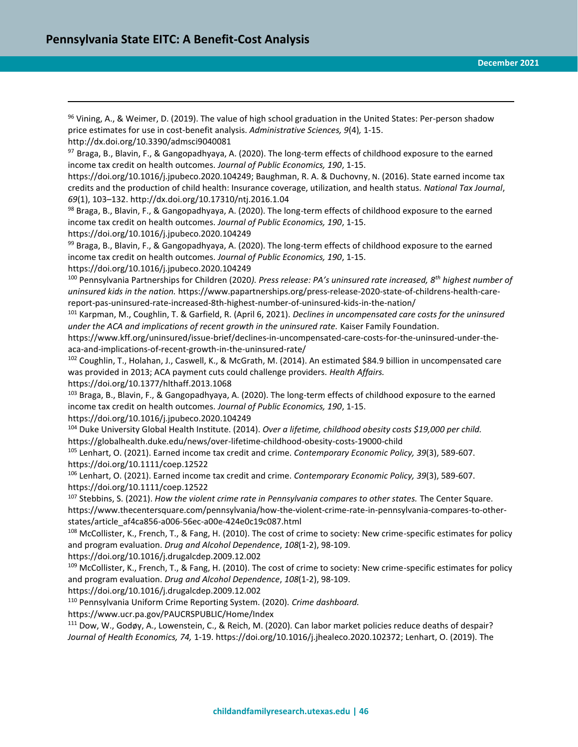<sup>96</sup> Vining, A., & Weimer, D. (2019). The value of high school graduation in the United States: Per-person shadow price estimates for use in cost-benefit analysis. *Administrative Sciences, 9*(4)*,* 1-15.

http://dx.doi.org/10.3390/admsci9040081

 $\overline{a}$ 

97 Braga, B., Blavin, F., & Gangopadhyaya, A. (2020). The long-term effects of childhood exposure to the earned income tax credit on health outcomes. *Journal of Public Economics, 190*, 1-15.

[https://doi.org/10.1016/j.jpubeco.2020.104249;](https://doi.org/10.1016/j.jpubeco.2020.104249) Baughman, R. A. & Duchovny, N. (2016). State earned income tax credits and the production of child health: Insurance coverage, utilization, and health status. *National Tax Journal*, *69*(1), 103–132.<http://dx.doi.org/10.17310/ntj.2016.1.04>

<sup>98</sup> Braga, B., Blavin, F., & Gangopadhyaya, A. (2020). The long-term effects of childhood exposure to the earned income tax credit on health outcomes. *Journal of Public Economics, 190*, 1-15. <https://doi.org/10.1016/j.jpubeco.2020.104249>

99 Braga, B., Blavin, F., & Gangopadhyaya, A. (2020). The long-term effects of childhood exposure to the earned income tax credit on health outcomes. *Journal of Public Economics, 190*, 1-15.

<https://doi.org/10.1016/j.jpubeco.2020.104249>

<sup>100</sup> Pennsylvania Partnerships for Children (2020*). Press release: PA's uninsured rate increased, 8th highest number of uninsured kids in the nation.* https://www.papartnerships.org/press-release-2020-state-of-childrens-health-carereport-pas-uninsured-rate-increased-8th-highest-number-of-uninsured-kids-in-the-nation/

<sup>101</sup> Karpman, M., Coughlin, T. & Garfield, R. (April 6, 2021). *Declines in uncompensated care costs for the uninsured under the ACA and implications of recent growth in the uninsured rate.* Kaiser Family Foundation.

https://www.kff.org/uninsured/issue-brief/declines-in-uncompensated-care-costs-for-the-uninsured-under-theaca-and-implications-of-recent-growth-in-the-uninsured-rate/

<sup>102</sup> Coughlin, T., Holahan, J., Caswell, K., & McGrath, M. (2014). An estimated \$84.9 billion in uncompensated care was provided in 2013; ACA payment cuts could challenge providers. *Health Affairs.*

https://doi.org/10.1377/hlthaff.2013.1068

<sup>103</sup> Braga, B., Blavin, F., & Gangopadhyaya, A. (2020). The long-term effects of childhood exposure to the earned income tax credit on health outcomes. *Journal of Public Economics, 190*, 1-15.

<https://doi.org/10.1016/j.jpubeco.2020.104249>

<sup>104</sup> Duke University Global Health Institute. (2014). *Over a lifetime, childhood obesity costs \$19,000 per child.* https://globalhealth.duke.edu/news/over-lifetime-childhood-obesity-costs-19000-child

<sup>105</sup> Lenhart, O. (2021). Earned income tax credit and crime. *Contemporary Economic Policy, 39*(3), 589-607. https://doi.org/10.1111/coep.12522

<sup>106</sup> Lenhart, O. (2021). Earned income tax credit and crime. *Contemporary Economic Policy, 39*(3), 589-607. https://doi.org/10.1111/coep.12522

<sup>107</sup> Stebbins, S. (2021). *How the violent crime rate in Pennsylvania compares to other states.* The Center Square. https://www.thecentersquare.com/pennsylvania/how-the-violent-crime-rate-in-pennsylvania-compares-to-otherstates/article\_af4ca856-a006-56ec-a00e-424e0c19c087.html

<sup>108</sup> McCollister, K., French, T., & Fang, H. (2010). The cost of crime to society: New crime-specific estimates for policy and program evaluation. *Drug and Alcohol Dependence*, *108*(1-2), 98-109.

https://doi.org/10.1016/j.drugalcdep.2009.12.002

 $109$  McCollister, K., French, T., & Fang, H. (2010). The cost of crime to society: New crime-specific estimates for policy and program evaluation. *Drug and Alcohol Dependence*, *108*(1-2), 98-109.

https://doi.org/10.1016/j.drugalcdep.2009.12.002

<sup>110</sup> Pennsylvania Uniform Crime Reporting System. (2020). *Crime dashboard.* 

https://www.ucr.pa.gov/PAUCRSPUBLIC/Home/Index

<sup>111</sup> Dow, W., Godøy, A., Lowenstein, C., & Reich, M. (2020). Can labor market policies reduce deaths of despair? *Journal of Health Economics, 74,* 1-19. [https://doi.org/10.1016/j.jhealeco.2020.102372;](https://doi.org/10.1016/j.jhealeco.2020.102372) Lenhart, O. (2019). The